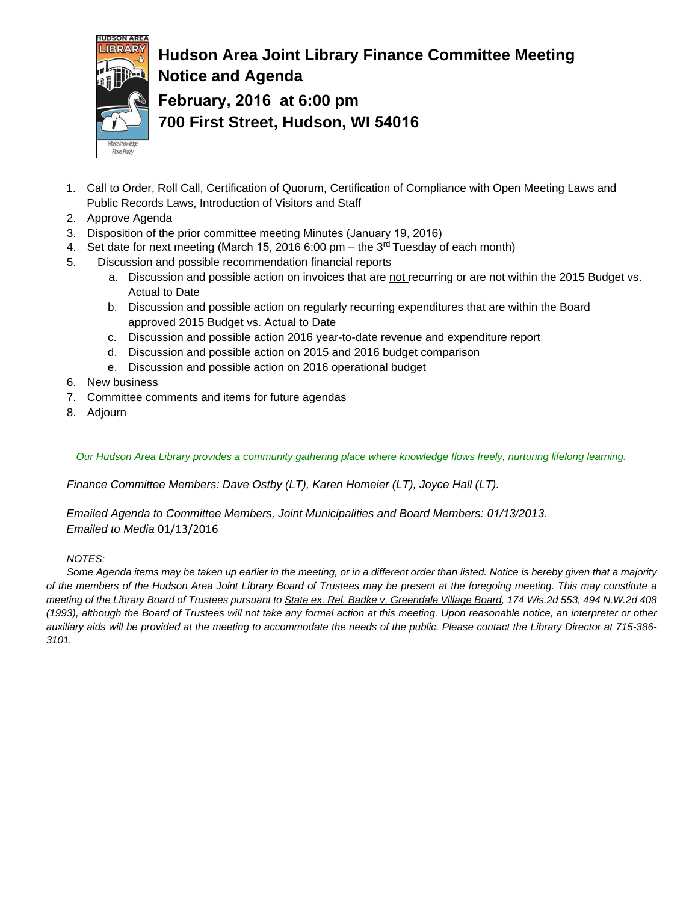

## **Hudson Area Joint Library Finance Committee Meeting Notice and Agenda February, 2016 at 6:00 pm 700 First Street, Hudson, WI 54016**

- 1. Call to Order, Roll Call, Certification of Quorum, Certification of Compliance with Open Meeting Laws and Public Records Laws, Introduction of Visitors and Staff
- 2. Approve Agenda
- 3. Disposition of the prior committee meeting Minutes (January 19, 2016)
- 4. Set date for next meeting (March 15, 2016 6:00 pm the 3<sup>rd</sup> Tuesday of each month)
- 5. Discussion and possible recommendation financial reports
	- a. Discussion and possible action on invoices that are not recurring or are not within the 2015 Budget vs. Actual to Date
	- b. Discussion and possible action on regularly recurring expenditures that are within the Board approved 2015 Budget vs. Actual to Date
	- c. Discussion and possible action 2016 year-to-date revenue and expenditure report
	- d. Discussion and possible action on 2015 and 2016 budget comparison
	- e. Discussion and possible action on 2016 operational budget
- 6. New business
- 7. Committee comments and items for future agendas
- 8. Adjourn

*Our Hudson Area Library provides a community gathering place where knowledge flows freely, nurturing lifelong learning.*

*Finance Committee Members: Dave Ostby (LT), Karen Homeier (LT), Joyce Hall (LT).*

*Emailed Agenda to Committee Members, Joint Municipalities and Board Members: 01/13/2013. Emailed to Media* 01/13/2016

### *NOTES:*

*Some Agenda items may be taken up earlier in the meeting, or in a different order than listed. Notice is hereby given that a majority of the members of the Hudson Area Joint Library Board of Trustees may be present at the foregoing meeting. This may constitute a meeting of the Library Board of Trustees pursuant to State ex. Rel. Badke v. Greendale Village Board, 174 Wis.2d 553, 494 N.W.2d 408 (1993), although the Board of Trustees will not take any formal action at this meeting. Upon reasonable notice, an interpreter or other auxiliary aids will be provided at the meeting to accommodate the needs of the public. Please contact the Library Director at 715-386- 3101.*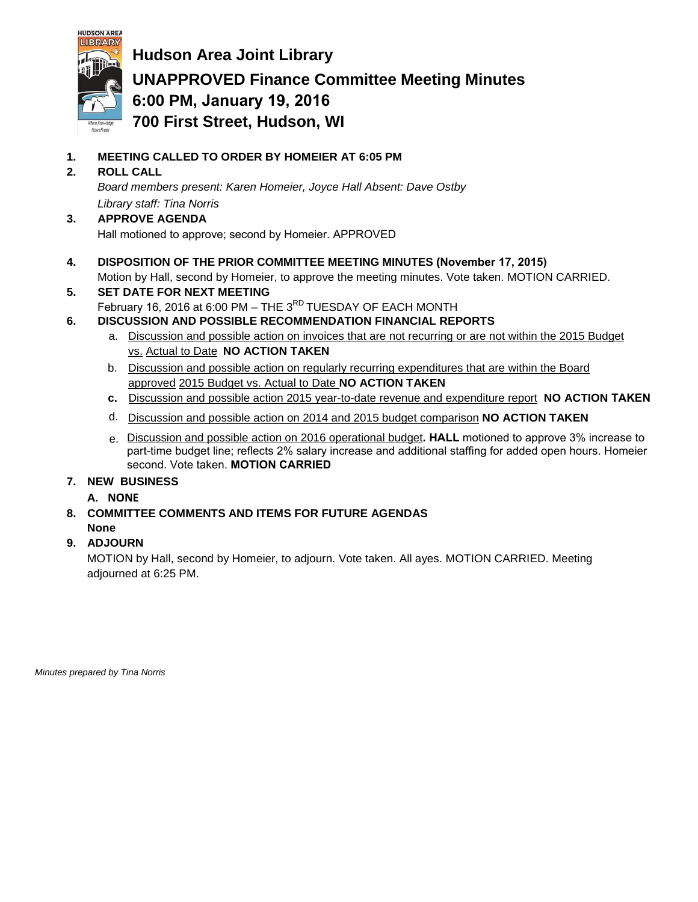

**Hudson Area Joint Library UNAPPROVED Finance Committee Meeting Minutes 6:00 PM, January 19, 2016 700 First Street, Hudson, WI**

**1. MEETING CALLED TO ORDER BY HOMEIER AT 6:05 PM**

## **2. ROLL CALL**

*Board members present: Karen Homeier, Joyce Hall Absent: Dave Ostby Library staff: Tina Norris*

## **3. APPROVE AGENDA**

Hall motioned to approve; second by Homeier. APPROVED

**4. DISPOSITION OF THE PRIOR COMMITTEE MEETING MINUTES (November 17, 2015)**

Motion by Hall, second by Homeier, to approve the meeting minutes. Vote taken. MOTION CARRIED.

- **5. SET DATE FOR NEXT MEETING** February 16, 2016 at 6:00 PM – THE 3<sup>RD</sup> TUESDAY OF EACH MONTH
- **6. DISCUSSION AND POSSIBLE RECOMMENDATION FINANCIAL REPORTS**
	- a. Discussion and possible action on invoices that are not recurring or are not within the 2015 Budget vs. Actual to Date **NO ACTION TAKEN**
	- b. Discussion and possible action on regularly recurring expenditures that are within the Board approved 2015 Budget vs. Actual to Date **NO ACTION TAKEN**
	- **c.** Discussion and possible action 2015 year-to-date revenue and expenditure report **NO ACTION TAKEN**
	- d. Discussion and possible action on 2014 and 2015 budget comparison **NO ACTION TAKEN**
	- e. Discussion and possible action on 2016 operational budget**. HALL** motioned to approve 3% increase to part-time budget line; reflects 2% salary increase and additional staffing for added open hours. Homeier second. Vote taken. **MOTION CARRIED**

## **7. NEW BUSINESS**

- **A. NONE**
- **8. COMMITTEE COMMENTS AND ITEMS FOR FUTURE AGENDAS None**

## **9. ADJOURN**

MOTION by Hall, second by Homeier, to adjourn. Vote taken. All ayes. MOTION CARRIED. Meeting adjourned at 6:25 PM.

*Minutes prepared by Tina Norris*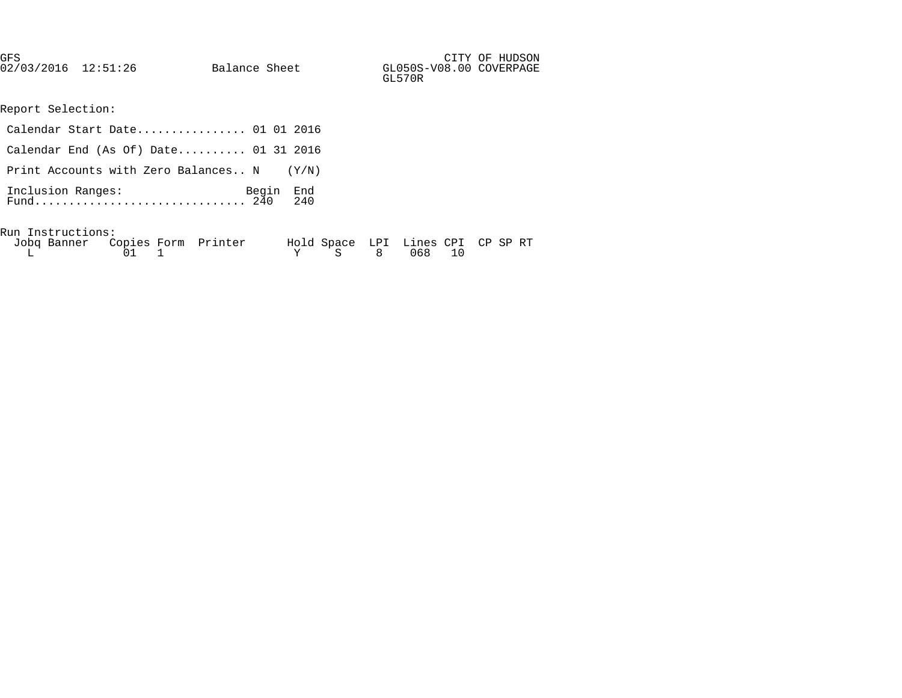| GFS                 |               |                         | CITY OF HUDSON |
|---------------------|---------------|-------------------------|----------------|
| 02/03/2016 12:51:26 | Balance Sheet | GL050S-V08.00 COVERPAGE |                |
|                     |               | GL570R                  |                |

Report Selection:

| Calendar Start Date 01 01 2016            |  |
|-------------------------------------------|--|
| Calendar End (As Of) Date 01 31 2016      |  |
| Print Accounts with Zero Balances N (Y/N) |  |
|                                           |  |
| Run Instructions:                         |  |

| Jobq Banner Copies Form Printer |              |  |  | Hold Space LPI Lines CPI CP SP RT |  |  |
|---------------------------------|--------------|--|--|-----------------------------------|--|--|
|                                 | $01 \quad 1$ |  |  | Y S 8 068 10                      |  |  |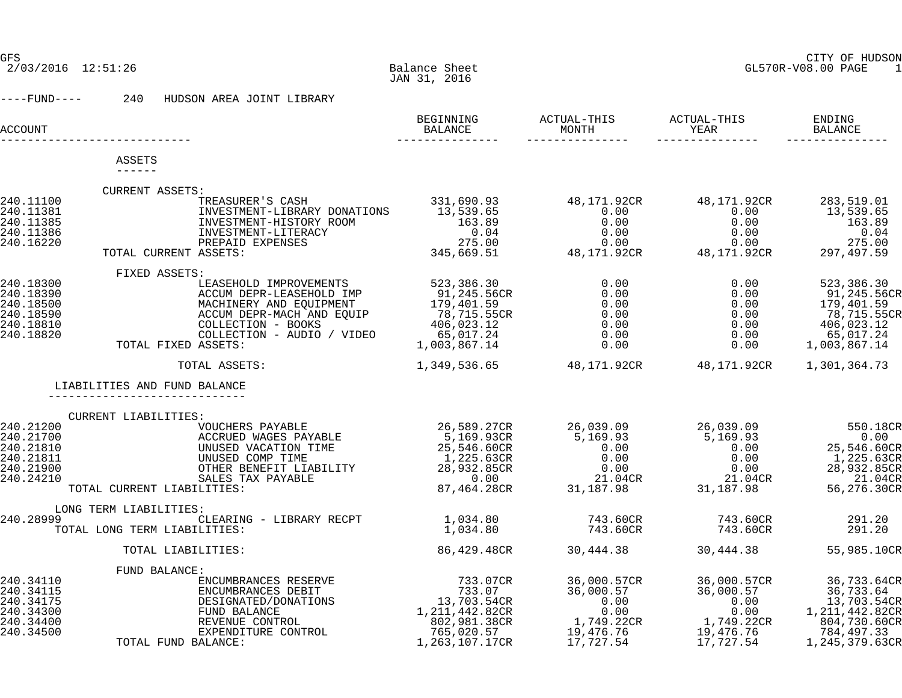## GFS CITY OF HUDSON

2/03/2016 12:51:26 Balance Sheet GL570R-V08.00 PAGE 1

----FUND---- 240 HUDSON AREA JOINT LIBRARY

| ACCOUNT                                                                    |                                                                                                                                                                                                                                                                             | BEGINNING<br>BALANCE<br><u>_______________</u>                                                                           | ACTUAL-THIS<br>MONTH<br>_____________                                                                     | ACTUAL-THIS<br>YEAR<br>_______________                                                                                                  | ENDING<br>BALANCE                                                                                         |
|----------------------------------------------------------------------------|-----------------------------------------------------------------------------------------------------------------------------------------------------------------------------------------------------------------------------------------------------------------------------|--------------------------------------------------------------------------------------------------------------------------|-----------------------------------------------------------------------------------------------------------|-----------------------------------------------------------------------------------------------------------------------------------------|-----------------------------------------------------------------------------------------------------------|
|                                                                            | ASSETS                                                                                                                                                                                                                                                                      |                                                                                                                          |                                                                                                           |                                                                                                                                         |                                                                                                           |
|                                                                            | $- - - - - -$                                                                                                                                                                                                                                                               |                                                                                                                          |                                                                                                           |                                                                                                                                         |                                                                                                           |
|                                                                            | CURRENT ASSETS:                                                                                                                                                                                                                                                             |                                                                                                                          |                                                                                                           |                                                                                                                                         |                                                                                                           |
| 240.11100<br>240.11381<br>240.11385<br>240.11386<br>240.16220              | .<br>TREASURER'S CASH 331,690.93<br>TNUESTMENT-LIBRARY DONATIONS 13,539.65<br>INVESTMENT-HISTORY ROOM<br>INVESTMENT-HISTORY ROOM<br>**************-TJTERACY<br>PREPAID EXPENSES<br>TOTAL CURRENT ASSETS:                                                                    |                                                                                                                          | 48,171.92CR<br>0.00                                                                                       | 48,171.92CR<br>0.00<br>$0.00$<br>0.00                                                                                                   | 283,519.01<br>13,539.65<br>163.89<br>0.04<br>275.00<br>297,497.59                                         |
|                                                                            | FIXED ASSETS:                                                                                                                                                                                                                                                               |                                                                                                                          |                                                                                                           |                                                                                                                                         |                                                                                                           |
| 240.18300<br>240.18390<br>240.18500<br>240.18590<br>240.18810<br>240.18820 | LEASEHOLD IMPROVEMENTS<br>ACCUM DEPR-LEASEHOLD IMP<br>MACHINERY AND EQUIPMENT<br>ACCUM DEPR-MACH AND EQUIP<br>COLLECTION - BOOKS<br>COLLECTION - AUDIO / VIDEO<br>TOTAL FIXED ASSETS:                                                                                       | دد - در ۱۵۶۰، ۱۵۶۰<br>91,245.56CR<br>179,401 - ۲<br>78,715.55CR<br>406,023.12<br>406,023.12<br>65,017.24<br>1,003,867.14 | 0.00<br>0.00<br>0.00<br>0.00<br>0.00<br>0.00<br>0.00                                                      | 0.00<br>0.00<br>0.00<br>0.00<br>0.00<br>0.00<br>0.00                                                                                    | 523,386.30<br>91,245.56CR<br>179,401.59<br>78,715.55CR<br>406,023.12<br>65,017.24<br>1,003,867.14         |
|                                                                            | TOTAL ASSETS:                                                                                                                                                                                                                                                               |                                                                                                                          |                                                                                                           | 1,349,536.65   48,171.92CR   48,171.92CR                                                                                                | 1,301,364.73                                                                                              |
|                                                                            | LIABILITIES AND FUND BALANCE                                                                                                                                                                                                                                                |                                                                                                                          |                                                                                                           |                                                                                                                                         |                                                                                                           |
|                                                                            |                                                                                                                                                                                                                                                                             |                                                                                                                          |                                                                                                           |                                                                                                                                         |                                                                                                           |
| 240.21200<br>240.21700<br>240.21810<br>240.21811<br>240.21900<br>240.24210 | CURRENT LIABILITIES:<br><br>VOUCHERS PAYABLE<br>ACCRUED WAGES PAYABLE<br>VOUCHERS PAYABLE<br>ACCRUED WAGES PAYABLE<br>UNUSED VACATION TIME<br>UNUSED COMP TIME<br>CHODED COMP TIME<br>OTHER BENEFIT LIABILITY<br>SALES TAX PAYABLE<br>LITIES:<br>TOTAL CURRENT LIABILITIES: | 26,589.27CR<br>93.27CR ـ دەد, د<br>5,169.93CR<br>25.546<br>1,225.63CR<br>28,932.85CR<br>0.00<br>87,464.28CR              | 26,039.09<br>5,169.93<br>$\begin{array}{c} 0.00 \\ 0.00 \\ 0.00 \end{array}$<br>21.04CR<br>31, 187.98     | 26,039.09<br>5,169.93<br>0.00<br>0.00<br>$0\,.\,00$<br>21.04CR<br>31,187.98                                                             | 550.18CR<br>0.00<br>25,546.60CR<br>1,225.63CR<br>28,932.85CR<br>21.04CR<br>56,276.30CR                    |
|                                                                            | LONG TERM LIABILITIES:                                                                                                                                                                                                                                                      |                                                                                                                          |                                                                                                           |                                                                                                                                         |                                                                                                           |
| 240.28999                                                                  | CLEARING - LIBRARY RECPT 1,034.80<br>TOTAL LONG TERM LIABILITIES:                                                                                                                                                                                                           | 1,034.80                                                                                                                 | 743.60CR<br>743.60CR                                                                                      | 743.60CR<br>743.60CR                                                                                                                    | 291.20<br>291.20                                                                                          |
|                                                                            | TOTAL LIABILITIES:                                                                                                                                                                                                                                                          | 86,429.48CR                                                                                                              | 30,444.38                                                                                                 |                                                                                                                                         | 30,444.38 55,985.10CR                                                                                     |
|                                                                            | FUND BALANCE:                                                                                                                                                                                                                                                               |                                                                                                                          |                                                                                                           |                                                                                                                                         |                                                                                                           |
| 240.34110<br>240.34115<br>240.34175<br>240.34300<br>240.34400<br>240.34500 | ENCUMBRANCES RESERVE<br>ENCUMBRANCES DEBIT<br>DESIGNATED/DONATIONS<br>FUND BALANCE<br>REVENUE CONTROL<br>EXPENDITURE CONTROL<br>BALANCE:<br>TOTAL FUND BALANCE:                                                                                                             | 733.07CR<br>733.07<br>13,703.54CR<br>1,211,442.82CR<br>802,981.38CR<br>765,020.57<br>1,263,107.17CR                      | 36,000.57CR<br>36,000.57<br>$0.\overline{0}0$<br>$0.00$<br>1,749.22CR<br>19.475<br>19,476.76<br>17,727.54 | 36,000.57CR<br>36,000.57<br>0.00 oc<br>0.00 0.00 0.00<br>0.00 0.00<br>0.00<br>0.00<br>1,749.22CR<br>19.476.76<br>19,476.76<br>17,727.54 | 36,733.64CR<br>36,733.64<br>13,703.54CR<br>1,211,442.82CR<br>804,730.60CR<br>784,497.33<br>1,245,379.63CR |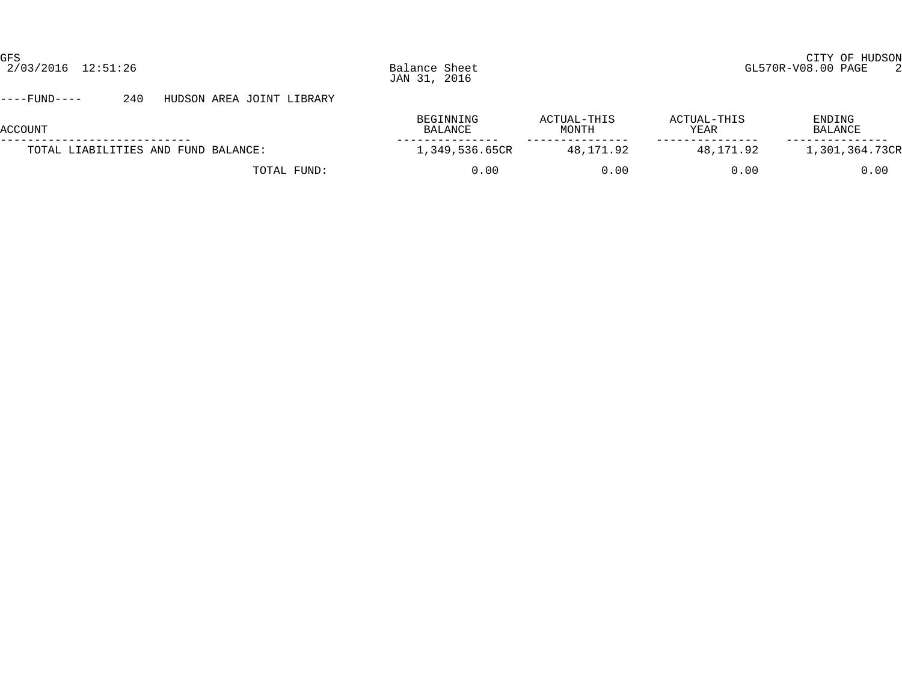#### ----FUND---- 240 HUDSON AREA JOINT LIBRARY

| ACCOUNT                             | BEGINNING<br>BALANCE | ACTUAL-THIS<br>MONTH | ACTUAL-THIS<br>YEAR | ENDING<br>BALANCE |
|-------------------------------------|----------------------|----------------------|---------------------|-------------------|
| TOTAL LIABILITIES AND FUND BALANCE: | 1,349,536.65CR       | 48,171.92            | 48,171.92           | 1,301,364.73CR    |
| TOTAL FUND:                         | 0.00                 | 0. OO                | 0.00                | 0.00              |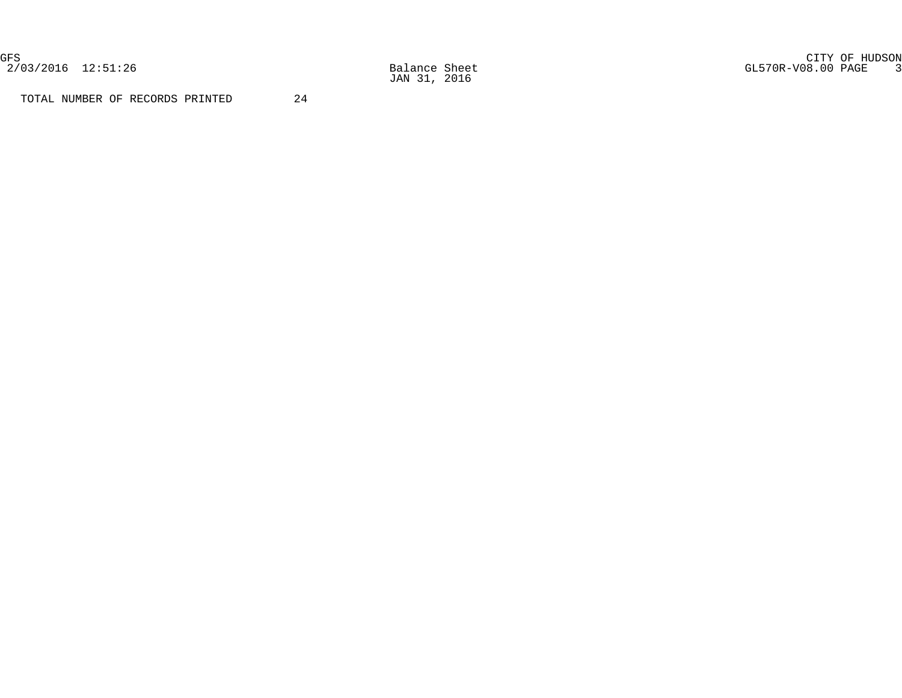2/03/2016 12:51:26 Balance Sheet<br>
JAN 31, 2016

GFS CITY OF HUDSON 2/03/2016 12:51:26 Balance Sheet GL570R-V08.00 PAGE 3

TOTAL NUMBER OF RECORDS PRINTED 24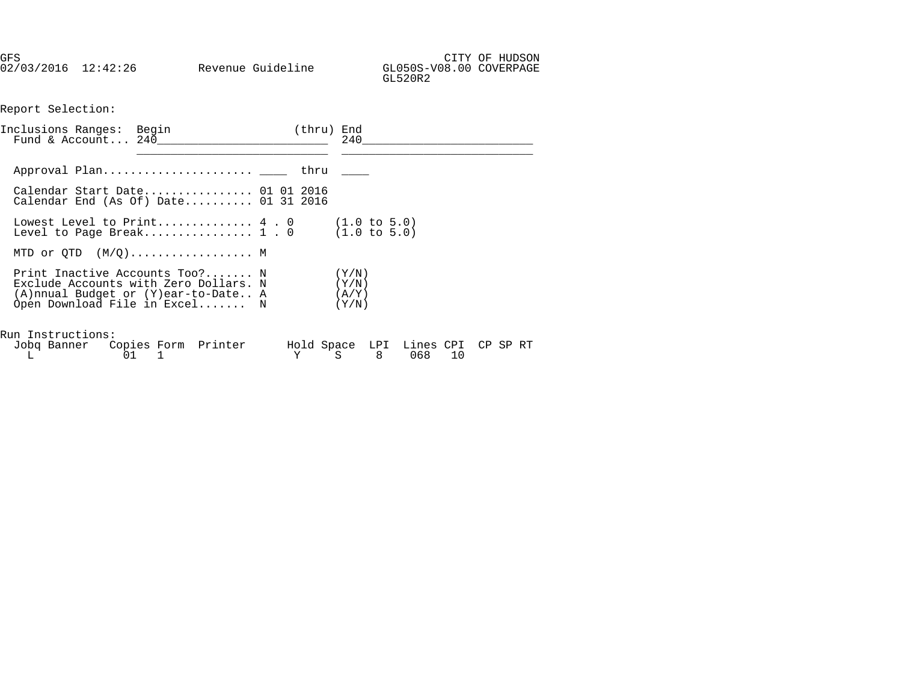GFS CITY OF HUDSON 02/03/2016 12:42:26 Revenue Guideline GL050S-V08.00 COVERPAGE

Report Selection:

| Inclusions Ranges: Begin<br>Fund & Account $240$                                                                                                                          | (thru) End | 240            |  |
|---------------------------------------------------------------------------------------------------------------------------------------------------------------------------|------------|----------------|--|
|                                                                                                                                                                           |            |                |  |
| Calendar Start Date 01 01 2016<br>Calendar End (As Of) Date $01\,31\,2016$                                                                                                |            |                |  |
| Lowest Level to Print $4 \cdot 0$ (1.0 to 5.0)<br>Level to Page Break 1 . 0 $(1.0 \text{ to } 5.0)$                                                                       |            |                |  |
| MTD or $QTD$ $(M/Q)$ M                                                                                                                                                    |            |                |  |
| Print Inactive Accounts Too? N<br>Exclude Accounts with Zero Dollars. $N$ ( $Y/N$ )<br>$(A)$ nnual Budget or $(Y)$ ear-to-Date A $(A/Y)$<br>Open Download File in Excel N |            | (Y/N)<br>(Y/N) |  |
| Run Instructions:<br>Jobq Banner Copies Form Printer Hold Space LPI Lines CPI CP SP RT<br>L 01 1                                                                          |            | Y S 8 068 10   |  |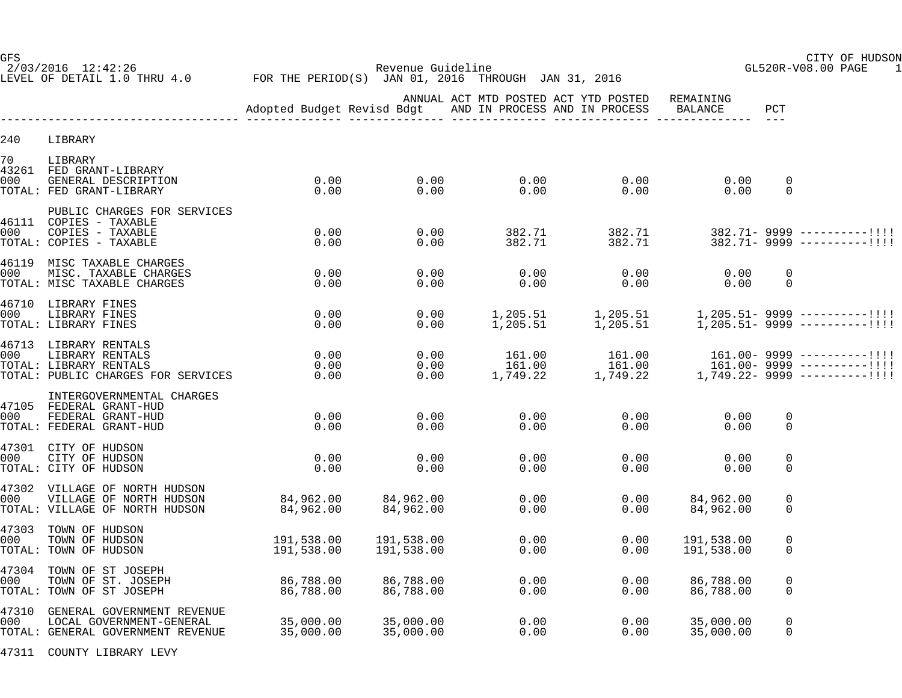2/03/2016 12:42:26 Revenue Guideline GL520R-V08.00 PAGE 1 LEVEL OF DETAIL 1.0 THRU 4.0 FOR THE PERIOD(S) JAN 01, 2016 THROUGH JAN 31, 2016

GFS CITY OF HUDSON

|              |                                                                                                          |                          |                                     | ANNUAL ACT MTD POSTED ACT YTD POSTED<br>AND IN PROCESS AND IN PROCESS |                      | REMAINING<br>BALANCE                                                                                    | PCT                        |                                                                  |
|--------------|----------------------------------------------------------------------------------------------------------|--------------------------|-------------------------------------|-----------------------------------------------------------------------|----------------------|---------------------------------------------------------------------------------------------------------|----------------------------|------------------------------------------------------------------|
| 240          | LIBRARY                                                                                                  |                          |                                     |                                                                       |                      |                                                                                                         |                            |                                                                  |
| 70<br>000    | LIBRARY<br>43261 FED GRANT-LIBRARY<br>GENERAL DESCRIPTION<br>TOTAL: FED GRANT-LIBRARY                    | 0.00<br>0.00             | $0.00$<br>$0.00$                    | $\begin{array}{c} 0\,.\,00\ 0\,. \ 00 \end{array}$                    | 0.00<br>0.00         | 0.00<br>0.00                                                                                            | $\mathbf 0$<br>$\mathbf 0$ |                                                                  |
| 000          | PUBLIC CHARGES FOR SERVICES<br>46111 COPIES - TAXABLE<br>COPIES - TAXABLE<br>TOTAL: COPIES - TAXABLE     | 0.00<br>0.00             | 0.00<br>0.00                        | 382.71<br>382.71                                                      | 382.71               |                                                                                                         |                            | $382.71 - 9999$ ----------!!!!<br>$382.71 - 9999$ ----------!!!! |
| 000          | 46119 MISC TAXABLE CHARGES<br>MISC. TAXABLE CHARGES<br>TOTAL: MISC TAXABLE CHARGES                       | 0.00<br>0.00             | 0.00<br>0.00                        | 0.00<br>0.00                                                          | 0.00<br>0.00         | 0.00<br>0.00                                                                                            | $\mathbf 0$<br>$\Omega$    |                                                                  |
| 000          | 46710 LIBRARY FINES<br>LIBRARY FINES<br>TOTAL: LIBRARY FINES                                             | 0.00<br>0.00             | 0.00<br>0.00                        |                                                                       |                      |                                                                                                         |                            |                                                                  |
| 000          | 46713 LIBRARY RENTALS<br>LIBRARY RENTALS<br>TOTAL: LIBRARY RENTALS<br>TOTAL: PUBLIC CHARGES FOR SERVICES | 0.00<br>0.00<br>0.00     | 0.00<br>0.00<br>0.00                | 161.00<br>161.00<br>1,749.22                                          | 161.00               | <br>!!!! –-------- 161.00 161.00 161.00 161.00 161.00<br>!!!! –-------- 1999 1,749.22 1,749.22 1,749.22 |                            | $161.00 - 9999$ ----------!!!!                                   |
| 000          | INTERGOVERNMENTAL CHARGES<br>47105 FEDERAL GRANT-HUD<br>FEDERAL GRANT-HUD<br>TOTAL: FEDERAL GRANT-HUD    | 0.00<br>0.00             | 0.00<br>0.00                        | 0.00<br>0.00                                                          | 0.00<br>0.00         | 0.00<br>0.00                                                                                            | $\mathbf 0$<br>$\mathbf 0$ |                                                                  |
| 000          | 47301 CITY OF HUDSON<br>CITY OF HUDSON<br>TOTAL: CITY OF HUDSON                                          | 0.00<br>0.00             | 0.00<br>0.00                        | 0.00<br>0.00                                                          | 0.00<br>0.00         | 0.00<br>0.00                                                                                            | 0<br>$\mathbf 0$           |                                                                  |
| 000          | 47302 VILLAGE OF NORTH HUDSON<br>VILLAGE OF NORTH HUDSON<br>TOTAL: VILLAGE OF NORTH HUDSON               | 84,962.00<br>84,962.00   | 84,962.00<br>84,962.00              | 0.00<br>0.00                                                          | 0.00<br>0.00         | 84,962.00<br>84,962.00                                                                                  | 0<br>$\Omega$              |                                                                  |
| 47303<br>000 | TOWN OF HUDSON<br>TOWN OF HUDSON<br>TOTAL: TOWN OF HUDSON                                                | 191,538.00<br>191,538.00 | 191,538.00<br>191,538.00            | 0.00<br>0.00                                                          | 0.00<br>0.00         | 191,538.00<br>191,538.00                                                                                | 0<br>0                     |                                                                  |
| 47304<br>000 | TOWN OF ST JOSEPH<br>TOWN OF ST. JOSEPH<br>TOTAL: TOWN OF ST JOSEPH                                      | 86,788.00<br>86,788.00   | 86,788.00<br>86,788.00              | 0.00                                                                  | 0.00<br>0.00<br>0.00 | 86,788.00<br>86,788.00                                                                                  | 0<br>$\mathbf 0$           |                                                                  |
| 000          | 47310 GENERAL GOVERNMENT REVENUE<br>LOCAL GOVERNMENT-GENERAL<br>TOTAL: GENERAL GOVERNMENT REVENUE        | 35,000.00<br>35,000.00   | 35,000.00<br>35.000.00<br>35,000.00 | $\begin{array}{c} 0.00 \\ 0.00 \end{array}$<br>0.00                   | 0.00<br>0.00         | 35,000.00<br>35,000.00                                                                                  | $\mathbf 0$<br>0           |                                                                  |

47311 COUNTY LIBRARY LEVY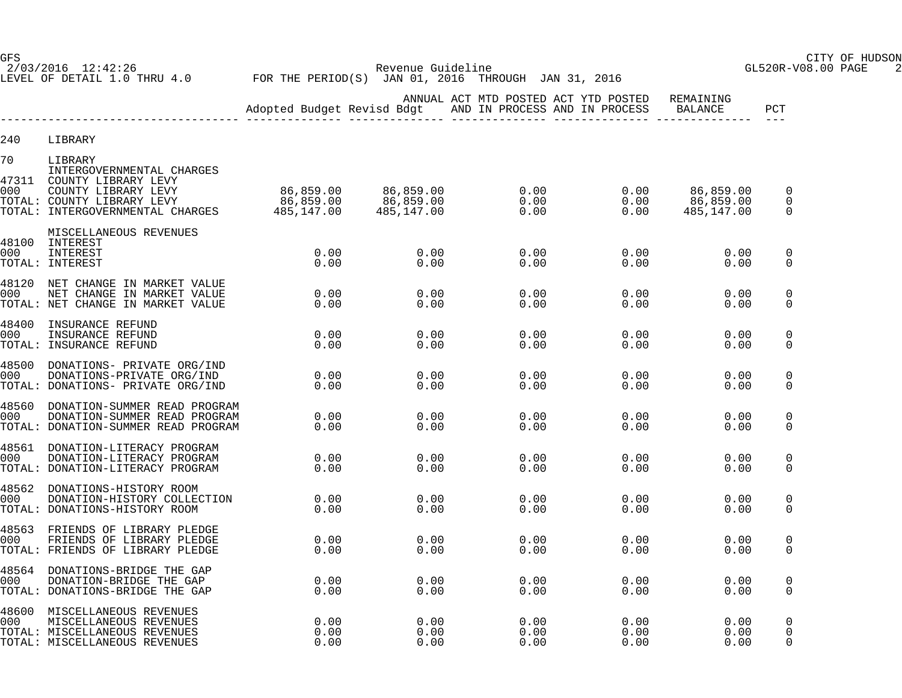2/03/2016 12:42:26 Revenue Guideline GL520R-V08.00 PAGE 2 LEVEL OF DETAIL 1.0 THRU 4.0 FOR THE PERIOD(S) JAN 01, 2016 THROUGH JAN 31, 2016

GFS CITY OF HUDSON

|              |                                                                                                                          |                      |                      |                      | ANNUAL ACT MTD POSTED ACT YTD POSTED<br>Adopted Budget Revisd Bdgt AND IN PROCESS AND IN PROCESS BALANCE | REMAINING                                                                                  | PCT                                      |
|--------------|--------------------------------------------------------------------------------------------------------------------------|----------------------|----------------------|----------------------|----------------------------------------------------------------------------------------------------------|--------------------------------------------------------------------------------------------|------------------------------------------|
| 240          | LIBRARY                                                                                                                  |                      |                      |                      |                                                                                                          |                                                                                            |                                          |
| 70           | LIBRARY<br>INTERGOVERNMENTAL CHARGES                                                                                     |                      |                      |                      |                                                                                                          |                                                                                            |                                          |
| 47311        | COUNTY LIBRARY LEVY                                                                                                      |                      |                      | 0.00<br>0.00<br>0.00 |                                                                                                          | $\begin{array}{ccc} 0.00 & 86,859.00 \ 0.00 & 86,859.00 \ 0.00 & 485,147.00 \ \end{array}$ | $\mathbf{0}$<br>$\mathbf{0}$<br>$\Omega$ |
| 000          | MISCELLANEOUS REVENUES<br>48100 INTEREST<br>INTEREST<br>TOTAL: INTEREST                                                  | 0.00<br>0.00         | 0.00<br>0.00         | 0.00<br>0.00         | 0.00<br>0.00                                                                                             | 0.00<br>0.00                                                                               | $\mathbf 0$<br>$\Omega$                  |
| 000          | 48120 NET CHANGE IN MARKET VALUE<br>NET CHANGE IN MARKET VALUE<br>TOTAL: NET CHANGE IN MARKET VALUE                      | 0.00<br>0.00         | 0.00<br>0.00         | 0.00<br>0.00         | 0.00<br>0.00                                                                                             | 0.00<br>0.00                                                                               | 0<br>$\Omega$                            |
| 48400<br>000 | INSURANCE REFUND<br>INSURANCE REFUND<br>TOTAL: INSURANCE REFUND                                                          | 0.00<br>0.00         | 0.00<br>0.00         | 0.00<br>0.00         | 0.00<br>0.00                                                                                             | 0.00<br>0.00                                                                               | 0<br>$\mathbf{0}$                        |
| 000          | 48500 DONATIONS- PRIVATE ORG/IND<br>DONATIONS-PRIVATE ORG/IND<br>TOTAL: DONATIONS- PRIVATE ORG/IND                       | 0.00<br>0.00         | 0.00<br>0.00         | 0.00<br>0.00         | 0.00<br>0.00                                                                                             | 0.00<br>0.00                                                                               | $\Omega$<br>$\Omega$                     |
| 48560<br>000 | DONATION-SUMMER READ PROGRAM<br>DONATION-SUMMER READ PROGRAM<br>TOTAL: DONATION-SUMMER READ PROGRAM                      | 0.00<br>0.00         | 0.00<br>0.00         | 0.00<br>0.00         | 0.00<br>0.00                                                                                             | 0.00<br>0.00                                                                               | $\Omega$<br>$\Omega$                     |
| 000          | 48561 DONATION-LITERACY PROGRAM<br>DONATION-LITERACY PROGRAM<br>TOTAL: DONATION-LITERACY PROGRAM                         | 0.00<br>0.00         | 0.00<br>0.00         | 0.00<br>0.00         | 0.00<br>0.00                                                                                             | 0.00<br>0.00                                                                               | $\mathbf{0}$<br>$\Omega$                 |
| 000          | 48562 DONATIONS-HISTORY ROOM<br>DONATION-HISTORY COLLECTION<br>TOTAL: DONATIONS-HISTORY ROOM                             | 0.00<br>0.00         | 0.00<br>0.00         | 0.00<br>0.00         | 0.00<br>0.00                                                                                             | 0.00<br>0.00                                                                               | $\mathbf{0}$<br>$\Omega$                 |
| 000          | 48563 FRIENDS OF LIBRARY PLEDGE<br>FRIENDS OF LIBRARY PLEDGE<br>TOTAL: FRIENDS OF LIBRARY PLEDGE                         | 0.00<br>0.00         | 0.00<br>0.00         | 0.00<br>0.00         | 0.00<br>0.00                                                                                             | 0.00<br>0.00                                                                               | $\mathbf{0}$<br>$\Omega$                 |
| 48564<br>000 | DONATIONS-BRIDGE THE GAP<br>DONATION-BRIDGE THE GAP<br>TOTAL: DONATIONS-BRIDGE THE GAP                                   | 0.00<br>0.00         | 0.00<br>0.00         | 0.00<br>0.00         | 0.00<br>0.00                                                                                             | 0.00<br>0.00                                                                               | $\mathbf{0}$<br>$\Omega$                 |
| 000          | 48600 MISCELLANEOUS REVENUES<br>MISCELLANEOUS REVENUES<br>TOTAL: MISCELLANEOUS REVENUES<br>TOTAL: MISCELLANEOUS REVENUES | 0.00<br>0.00<br>0.00 | 0.00<br>0.00<br>0.00 | 0.00<br>0.00<br>0.00 | 0.00<br>0.00<br>0.00                                                                                     | 0.00<br>0.00<br>0.00                                                                       | $\mathbf{0}$<br>$\mathbf{0}$<br>$\Omega$ |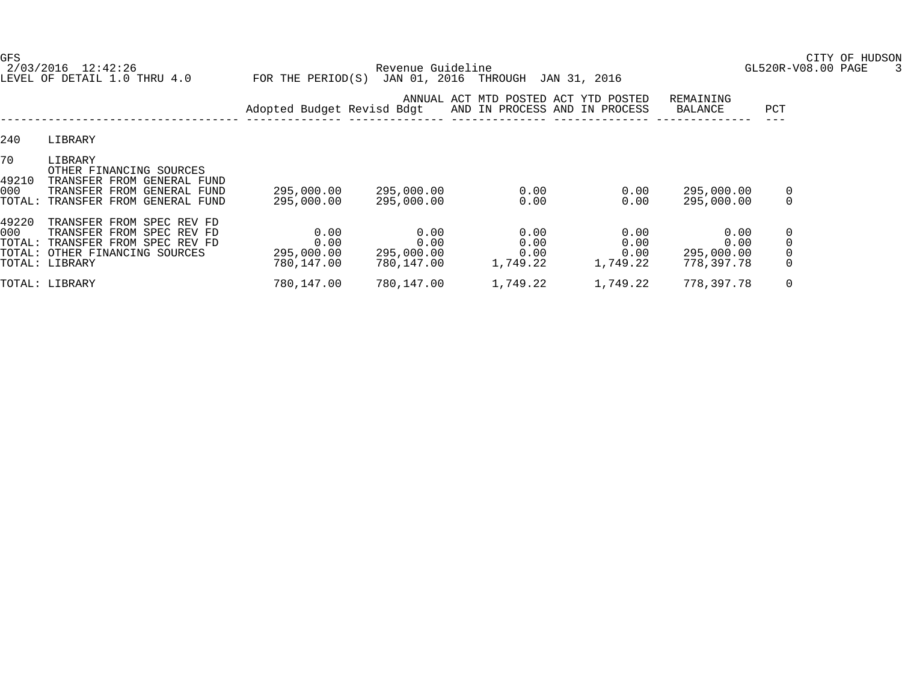2/03/2016 12:42:26 Revenue Guideline GL520R-V08.00 PAGE 3 LEVEL OF DETAIL 1.0 THRU 4.0 FOR THE PERIOD(S) JAN 01, 2016 THROUGH JAN 31, 2016

GFS CITY OF HUDSON

|                              |                                                                                                                                                | Adopted Budget Revisd Bdgt               |                                          | ANNUAL ACT MTD POSTED ACT YTD POSTED<br>AND IN PROCESS AND IN PROCESS |                                  | REMAINING<br>BALANCE                     | PCT                     |
|------------------------------|------------------------------------------------------------------------------------------------------------------------------------------------|------------------------------------------|------------------------------------------|-----------------------------------------------------------------------|----------------------------------|------------------------------------------|-------------------------|
| 240                          | LIBRARY                                                                                                                                        |                                          |                                          |                                                                       |                                  |                                          |                         |
| 70<br>49210<br>000<br>TOTAL: | LIBRARY<br>OTHER FINANCING SOURCES<br>TRANSFER FROM GENERAL FUND<br>TRANSFER FROM GENERAL<br>FUND<br>TRANSFER FROM GENERAL FUND                | 295,000.00<br>295,000.00                 | 295,000.00<br>295,000.00                 | 0.00<br>0.00                                                          | 0.00<br>0.00                     | 295,000.00<br>295,000.00                 | 0<br>$\Omega$           |
| 49220<br>000                 | TRANSFER FROM SPEC REV FD<br>TRANSFER FROM SPEC REV FD<br>TOTAL: TRANSFER FROM SPEC REV FD<br>TOTAL: OTHER FINANCING SOURCES<br>TOTAL: LIBRARY | 0.00<br>0.00<br>295,000.00<br>780,147.00 | 0.00<br>0.00<br>295,000.00<br>780,147.00 | 0.00<br>0.00<br>0.00<br>1,749.22                                      | 0.00<br>0.00<br>0.00<br>1,749.22 | 0.00<br>0.00<br>295,000.00<br>778,397.78 | 0<br>0<br>0<br>$\Omega$ |
|                              | TOTAL: LIBRARY                                                                                                                                 | 780,147.00                               | 780,147.00                               | 1,749.22                                                              | 1,749.22                         | 778, 397. 78                             | 0                       |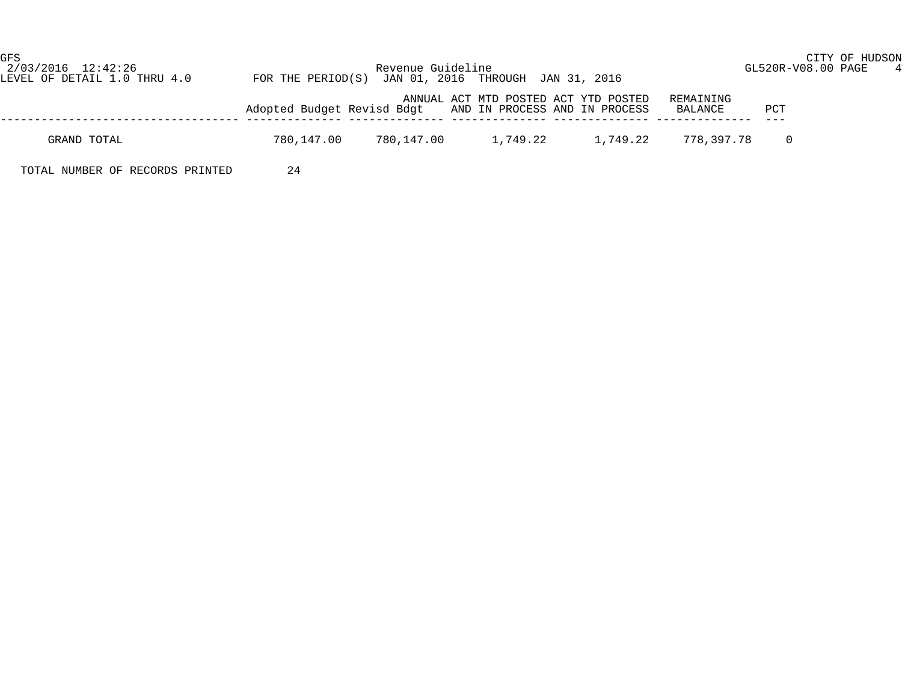GFS CITY OF HUDSON

| 2/03/2016 12:42:26<br>LEVEL OF DETAIL 1.0 THRU 4.0 | Revenue Guideline<br>FOR THE PERIOD(S) JAN 01, 2016 THROUGH JAN 31, 2016                                                 | GL520R-V08.00 PAGE |  |
|----------------------------------------------------|--------------------------------------------------------------------------------------------------------------------------|--------------------|--|
|                                                    |                                                                                                                          |                    |  |
|                                                    | ANNUAL ACT MTD POSTED ACT YTD POSTED<br>REMAINING<br>Adopted Budget Revisd Bdgt AND IN PROCESS AND IN PROCESS<br>BALANCE | PCT                |  |
|                                                    |                                                                                                                          |                    |  |

GRAND TOTAL 780,147.00 780,147.00 1,749.22 1,749.22 778,397.78 0

TOTAL NUMBER OF RECORDS PRINTED 24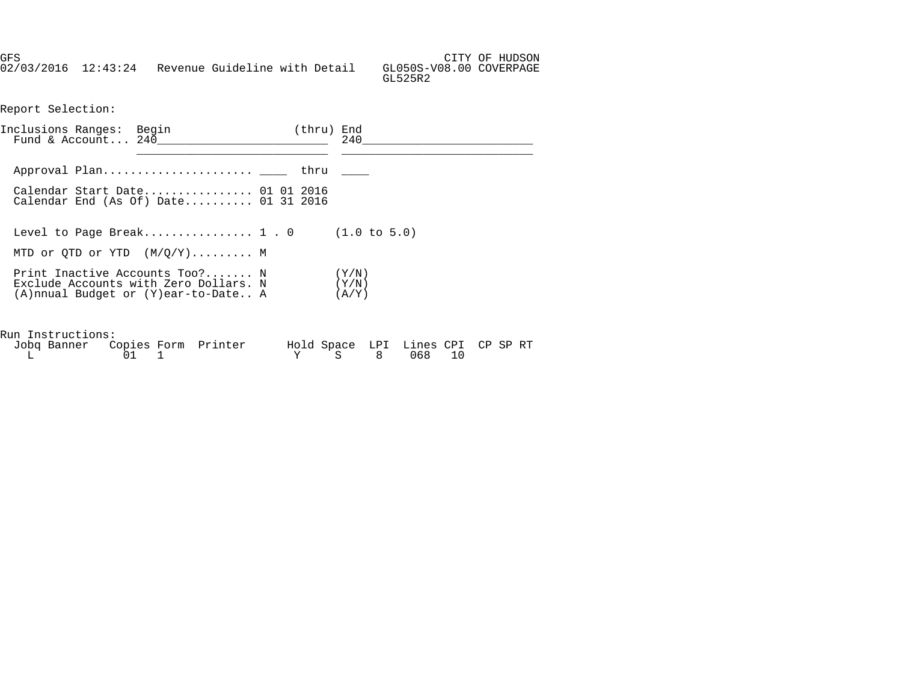GFS CITY OF HUDSON 02/03/2016 12:43:24 Revenue Guideline with Detail GL050S-V08.00 COVERPAGE GL525R2

Report Selection:

| Inclusions Ranges: Begin | Fund & Account $240$                                                                                                                         | (thru) End | 240 |
|--------------------------|----------------------------------------------------------------------------------------------------------------------------------------------|------------|-----|
|                          |                                                                                                                                              |            |     |
|                          |                                                                                                                                              |            |     |
|                          | Calendar Start Date 01 01 2016<br>Calendar End (As Of) Date $01$ 31 2016                                                                     |            |     |
|                          | Level to Page Break 1 . 0 $(1.0 \text{ to } 5.0)$                                                                                            |            |     |
|                          | MTD or OTD or YTD $(M/O/Y)$ M                                                                                                                |            |     |
|                          | Print Inactive Accounts Too? N $(Y/N)$<br>Exclude Accounts with Zero Dollars. N $(Y/N)$<br>$(A)$ nnual Budget or $(Y)$ ear-to-Date A $(A/Y)$ |            |     |
| Run Instructions:        |                                                                                                                                              |            |     |

| Jobq Banner Copies Form Printer |  | Hold Space LPI Lines CPI CP SP RT |  |  |
|---------------------------------|--|-----------------------------------|--|--|
|                                 |  | Y S 8 068 10                      |  |  |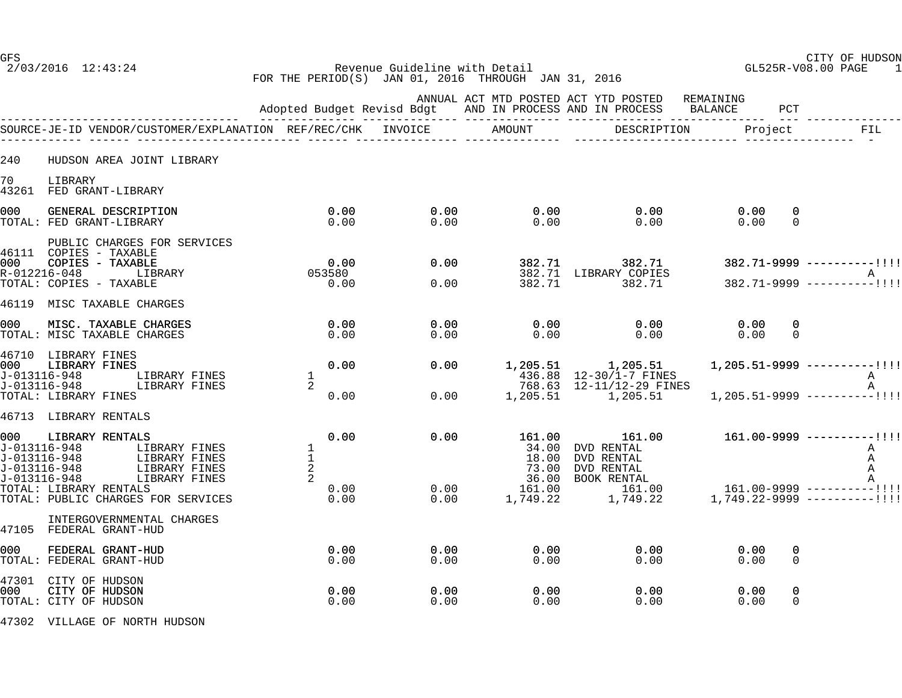GFS CITY OF HUDSON 2/03/2016 12:43:24 Revenue Guideline with Detail GL525R-V08.00 PAGE 1 FOR THE PERIOD(S) JAN 01, 2016 THROUGH JAN 31, 2016

|                                                     |                                                                                                                                                                                                                            |                                 |              |              |                                   | ANNUAL ACT MTD POSTED ACT YTD POSTED REMAINING<br>Adopted Budget Revisd Bdgt AND IN PROCESS AND IN PROCESS BALANCE                                                                                                                          |                                  | PCT                      |                                                                                             |
|-----------------------------------------------------|----------------------------------------------------------------------------------------------------------------------------------------------------------------------------------------------------------------------------|---------------------------------|--------------|--------------|-----------------------------------|---------------------------------------------------------------------------------------------------------------------------------------------------------------------------------------------------------------------------------------------|----------------------------------|--------------------------|---------------------------------------------------------------------------------------------|
|                                                     |                                                                                                                                                                                                                            |                                 |              |              |                                   | DESCRIPTION                                                                                                                                                                                                                                 | Project                          |                          | FIL                                                                                         |
| 240                                                 | HUDSON AREA JOINT LIBRARY                                                                                                                                                                                                  |                                 |              |              |                                   |                                                                                                                                                                                                                                             |                                  |                          |                                                                                             |
| 70                                                  | LIBRARY<br>43261 FED GRANT-LIBRARY                                                                                                                                                                                         |                                 |              |              |                                   |                                                                                                                                                                                                                                             |                                  |                          |                                                                                             |
| 000                                                 | GENERAL DESCRIPTION<br>TOTAL: FED GRANT-LIBRARY                                                                                                                                                                            |                                 | 0.00<br>0.00 | 0.00<br>0.00 | 0.00<br>0.00                      | 0.00<br>0.00                                                                                                                                                                                                                                | 0.00<br>0.00                     | 0<br>$\Omega$            |                                                                                             |
| 1000 l<br>R-012216-048                              | PUBLIC CHARGES FOR SERVICES<br>46111 COPIES - TAXABLE<br>$\begin{array}{ccccc}\n & & & & & 0.00 \\ \text{LIBRARY} & & & & & 053580 \\ \text{12.1} & & & & & 0\n\end{array}$<br>COPIES - TAXABLE<br>TOTAL: COPIES - TAXABLE |                                 |              | 0.00<br>0.00 | 382.71                            | 382.71<br>382.71 LIBRARY COPIES<br>382.71 382.71 382.71 382.71 382.71 382.71 382.71 382.71 382.71 382.71 382.71 382.71 382.71 382.71 382.71 382.71 382.71 382.71 382.71 382.71 382.71 382.71 382.71 382.71 382.71 382.71 382.71 382.71 382. |                                  |                          | $382.71 - 9999$ ----------!!!!                                                              |
| 46119<br>000                                        | MISC TAXABLE CHARGES<br>MISC. TAXABLE CHARGES<br>TOTAL: MISC TAXABLE CHARGES                                                                                                                                               |                                 | 0.00<br>0.00 | 0.00<br>0.00 | 0.00<br>0.00                      | 0.00<br>0.00                                                                                                                                                                                                                                | 0.00<br>0.00                     | $\mathbf{0}$<br>$\Omega$ |                                                                                             |
| l000-<br>J-013116-948<br>J-013116-948               | 46710 LIBRARY FINES<br>LIBRARY FINES<br>LIBRARY FINES<br>LIBRARY FINES                                                                                                                                                     | $\frac{1}{2}$                   | 0.00         | 0.00<br>0.00 |                                   | $\begin{array}{cccc} 1,205.51 & 1,205.51 & 1,205.51-9999 & \text{---} \\ 436.88 & 12-30/1-7 & \text{FINES} \\ 768.63 & 12-11/12-29 & \text{FINES} \\ 1,205.51 & 1,205.51 & 1,205.51-9999 & \text{---} \\ \end{array}$                       |                                  |                          | $1, 205.51 - 9999$ ----------!!!!<br>$\mathbf{A}$<br>A<br>$1, 205.51 - 9999$ ----------!!!! |
|                                                     | TOTAL: LIBRARY FINES<br>46713 LIBRARY RENTALS                                                                                                                                                                              |                                 | 0.00         |              |                                   |                                                                                                                                                                                                                                             |                                  |                          |                                                                                             |
| 000<br>J-013116-948<br>J-013116-948<br>J-013116-948 | LIBRARY RENTALS<br>LIBRARY FINES<br>LIBRAKI FINES<br>LIBRARY FINES<br>CONNY FINES                                                                                                                                          | $\frac{1}{1}$<br>$\overline{a}$ | 0.00         | 0.00         | 161.00                            | 161.00<br>34.00 DVD RENTAL<br>18.00 DVD RENTAL<br>73.00 DVD RENTAL                                                                                                                                                                          |                                  |                          | $161.00 - 9999$ ----------!!!!<br>A<br>A<br>A                                               |
| J-013116-948                                        | LIBRARY FINES<br>TOTAL: LIBRARY RENTALS<br>TOTAL: PUBLIC CHARGES FOR SERVICES                                                                                                                                              | 2                               | 0.00<br>0.00 |              | $0.00$ 161.00<br>0.00<br>1,749.22 | 36.00 BOOK RENTAL A<br>161.00 161.00 161.00-9999 ----------!!!!<br>1,749.22                                                                                                                                                                 | $1,749.22 - 9999$ ----------!!!! |                          |                                                                                             |
|                                                     | INTERGOVERNMENTAL CHARGES<br>47105 FEDERAL GRANT-HUD                                                                                                                                                                       |                                 |              |              |                                   |                                                                                                                                                                                                                                             |                                  |                          |                                                                                             |
| 000                                                 | FEDERAL GRANT-HUD<br>TOTAL: FEDERAL GRANT-HUD                                                                                                                                                                              |                                 | 0.00<br>0.00 | 0.00<br>0.00 | 0.00<br>0.00                      | 0.00<br>0.00                                                                                                                                                                                                                                | 0.00<br>0.00                     | 0<br>0                   |                                                                                             |
| 1000.                                               | 47301 CITY OF HUDSON<br>CITY OF HUDSON<br>TOTAL: CITY OF HUDSON                                                                                                                                                            |                                 | 0.00<br>0.00 | 0.00<br>0.00 | 0.00<br>0.00                      | 0.00<br>0.00                                                                                                                                                                                                                                | 0.00<br>0.00                     | 0<br>0                   |                                                                                             |
|                                                     |                                                                                                                                                                                                                            |                                 |              |              |                                   |                                                                                                                                                                                                                                             |                                  |                          |                                                                                             |

47302 VILLAGE OF NORTH HUDSON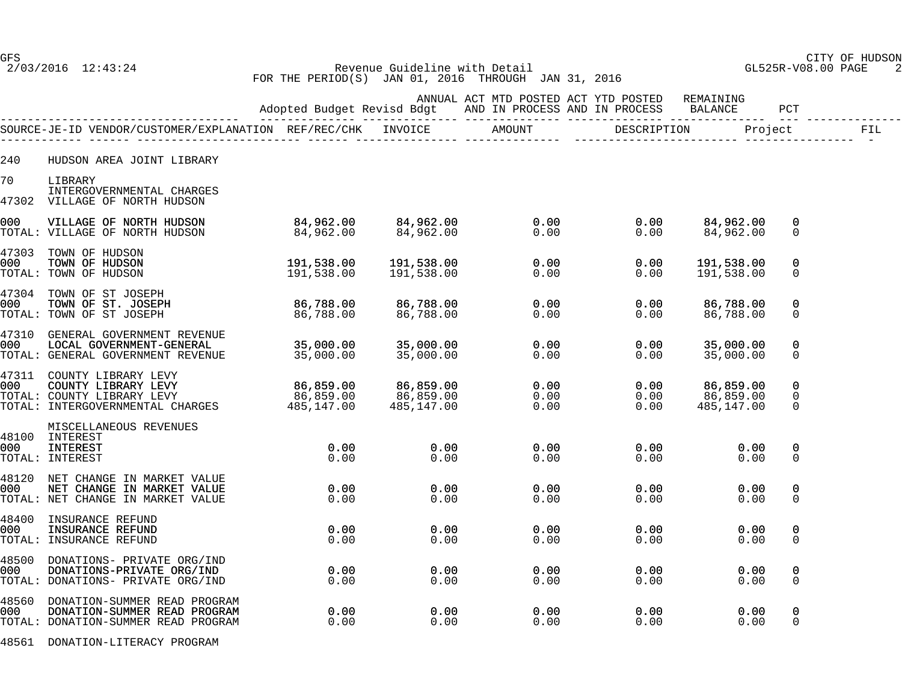GFS CITY OF HUDSON 2/03/2016 12:43:24 Revenue Guideline with Detail GL525R-V08.00 PAGE 2 FOR THE PERIOD(S) JAN 01, 2016 THROUGH JAN 31, 2016

|       |                                                                                                                                                                          |                                                     |                                      |                                                                                                                            |                                                                          |                                      |                                        | FIL |
|-------|--------------------------------------------------------------------------------------------------------------------------------------------------------------------------|-----------------------------------------------------|--------------------------------------|----------------------------------------------------------------------------------------------------------------------------|--------------------------------------------------------------------------|--------------------------------------|----------------------------------------|-----|
| 240   | HUDSON AREA JOINT LIBRARY                                                                                                                                                |                                                     |                                      |                                                                                                                            |                                                                          |                                      |                                        |     |
| 70    | LIBRARY<br>INTERGOVERNMENTAL CHARGES<br>47302 VILLAGE OF NORTH HUDSON                                                                                                    |                                                     |                                      |                                                                                                                            |                                                                          |                                      |                                        |     |
| 000   | VILLAGE OF NORTH HUDSON<br>TOTAL: VILLAGE OF NORTH HUDSON                                                                                                                |                                                     |                                      | 84,962.00  84,962.00  0.00  0.00<br>84,962.00  84,962.00  0.00  0.00                                                       |                                                                          | 84,962.00<br>84,962.00               | 0<br>$\Omega$                          |     |
| 000   | 47303 TOWN OF HUDSON<br>TOWN OF HUDSON<br>TOTAL: TOWN OF HUDSON                                                                                                          | 191,538.00<br>191,538.00                            | 191,538.00<br>191,538.00             | $0.00$<br>$0.00$                                                                                                           | 0.00<br>0.00                                                             | 191,538.00<br>191,538.00             | $\Omega$<br>$\Omega$                   |     |
|       | 47304 TOWN OF ST JOSEPH<br>000 TOWN OF ST. JOSEPH<br>TOTAL: TOWN OF ST JOSEPH                                                                                            | 86,788.00<br>86,788.00                              | 8 <b>6,788.00</b><br>86,788.00       | $\begin{array}{c} 0\, .\, 0\, 0\ 0\, .\, 0\, 0 \end{array}$                                                                | 0.00<br>0.00                                                             | 86,788.00<br>86,788.00               | 0<br>0                                 |     |
| 000   | 47310 GENERAL GOVERNMENT REVENUE<br>TOTAL: GENERAL GOVERNMENT REVENUE                                                                                                    |                                                     | 35,000.00<br>35,000.00               | $\begin{array}{c} 0.00 \\ 0.00 \end{array}$<br>0.00                                                                        | 0.00<br>0.00                                                             | 35,000.00<br>35,000.00               | 0<br>0                                 |     |
|       | 47311 COUNTY LIBRARY LEVY<br>000 COUNTY LIBRARY LEVY 66,859.00<br>TOTAL: COUNTY LIBRARY LEVY 86,859.00<br>TOTAL: INTERGOVERNMENTAL CHARGES 485,147.00                    |                                                     | 86,859.00<br>86,859.00<br>485,147.00 |                                                                                                                            | $\begin{array}{ccc} 0.00 & 0.00 \ 0.00 & 0.00 \ 0.00 & 0.00 \end{array}$ | 86,859.00<br>86,859.00<br>485,147.00 | $\Omega$<br>$\mathbf 0$<br>$\mathbf 0$ |     |
| 000 - | MISCELLANEOUS REVENUES<br>48100 INTEREST<br>$0.00$<br>0.00<br>INTEREST<br>TOTAL: INTEREST                                                                                |                                                     | 0.00<br>0.00                         | 0.00<br>0.00                                                                                                               | 0.00<br>0.00                                                             | 0.00<br>0.00                         | 0<br>$\Omega$                          |     |
| 000   | 48120 NET CHANGE IN MARKET VALUE<br>NET CHANGE IN MARKET VALUE<br>TOTAL: NET CHANGE IN MARKET VALUE                                                                      | 0.00<br>0.00                                        | 0.00<br>0.00                         | 0.00<br>0.00                                                                                                               | 0.00<br>0.00                                                             | 0.00<br>0.00                         | 0<br>$\Omega$                          |     |
| 000   | 48400 INSURANCE REFUND<br>INSURANCE REFUND<br>TOTAL: INSURANCE REFUND                                                                                                    | $\begin{array}{c} 0\,.\,00 \\ 0\,.\,00 \end{array}$ |                                      | $\begin{array}{c} 0\, .\, 0\, 0\ 0\, .\, 0\, 0 \end{array}$<br>$\begin{smallmatrix} 0.00 \ 0.00 \end{smallmatrix}$<br>0.00 | 0.00<br>0.00                                                             | 0.00<br>0.00                         | 0<br>$\mathbf{0}$                      |     |
| 000 - | 48500 DONATIONS- PRIVATE ORG/IND<br>DONATIONS- PRIVATE ORG/IND<br>DONATIONS-PRIVATE ORG/IND 0.00<br>DONATIONS- PRIVATE ORG/IND 0.00<br>TOTAL: DONATIONS- PRIVATE ORG/IND |                                                     | 0.00<br>0.00                         | 0.00<br>0.00                                                                                                               | 0.00<br>0.00                                                             | 0.00<br>0.00                         | 0<br>0                                 |     |
| 000-  | 48560 DONATION-SUMMER READ PROGRAM<br>DONATION-SUMMER READ PROGRAM<br>TOTAL: DONATION-SUMMER READ PROGRAM                                                                | $0.00$<br>0.00                                      | 0.00<br>0.00                         | 0.00<br>0.00                                                                                                               | 0.00<br>0.00                                                             | 0.00<br>0.00                         | 0<br>0                                 |     |
|       |                                                                                                                                                                          |                                                     |                                      |                                                                                                                            |                                                                          |                                      |                                        |     |

48561 DONATION-LITERACY PROGRAM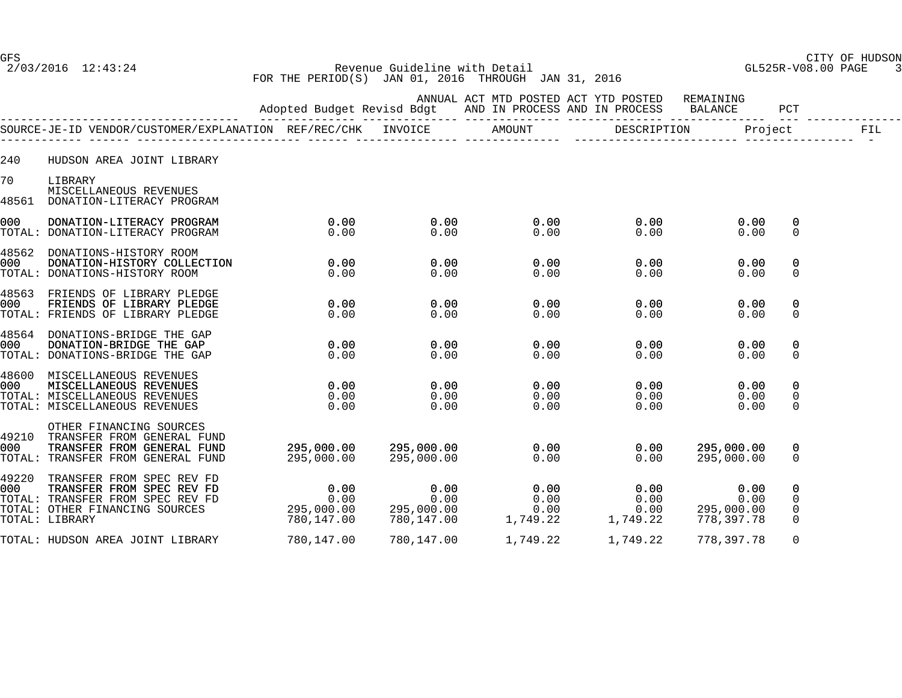GFS CITY OF HUDSON 2/03/2016 12:43:24 Revenue Guideline with Detail GL525R-V08.00 PAGE 3 FOR THE PERIOD(S) JAN 01, 2016 THROUGH JAN 31, 2016

|                |                                                                                                                                                                                                                                                          |                                                     |                              | ANNUAL ACT MTD POSTED ACT YTD POSTED REMAINING<br>Adopted Budget Revisd Bdgt AND IN PROCESS AND IN PROCESS BALANCE PCT |                                                                 |                                               |                         |     |
|----------------|----------------------------------------------------------------------------------------------------------------------------------------------------------------------------------------------------------------------------------------------------------|-----------------------------------------------------|------------------------------|------------------------------------------------------------------------------------------------------------------------|-----------------------------------------------------------------|-----------------------------------------------|-------------------------|-----|
|                |                                                                                                                                                                                                                                                          |                                                     |                              |                                                                                                                        |                                                                 |                                               |                         | FIL |
| 240            | HUDSON AREA JOINT LIBRARY                                                                                                                                                                                                                                |                                                     |                              |                                                                                                                        |                                                                 |                                               |                         |     |
| 70<br>48561    | LIBRARY<br>MISCELLANEOUS REVENUES<br>DONATION-LITERACY PROGRAM                                                                                                                                                                                           |                                                     |                              |                                                                                                                        |                                                                 |                                               |                         |     |
| 000            | DONATION-LITERACY PROGRAM<br>TOTAL: DONATION-LITERACY PROGRAM                                                                                                                                                                                            | $\sim$ 0.00<br>0.00                                 | $\overline{0.00}$<br>0.00    | 0.00<br>0.00                                                                                                           | 0.00<br>0.00                                                    | 0.00<br>0.00                                  | 0<br>$\mathbf 0$        |     |
| 48562<br>000 - | DONATIONS-HISTORY ROOM<br>DONATION-HISTORY COLLECTION<br>TOTAL: DONATIONS-HISTORY ROOM                                                                                                                                                                   | 0.00<br>0.00                                        | 0.00<br>0.00                 | 0.00<br>0.00                                                                                                           | 0.00<br>0.00                                                    | 0.00<br>0.00                                  | 0<br>$\mathbf{0}$       |     |
| 000            | 48563 FRIENDS OF LIBRARY PLEDGE<br>FRIENDS OF LIBRARY PLEDGE<br>TOTAL: FRIENDS OF LIBRARY PLEDGE                                                                                                                                                         | $0.00$ $0.00$ $0.00$                                |                              | 0.00<br>0.00                                                                                                           | 0.00<br>0.00                                                    | 0.00<br>0.00                                  | 0<br>0                  |     |
| 000            | 48564 DONATIONS-BRIDGE THE GAP<br>DONATION-BRIDGE THE GAP<br>TOTAL: DONATIONS-BRIDGE THE GAP                                                                                                                                                             | $0.00$ $0.00$ $0.00$                                |                              | 0.00<br>0.00                                                                                                           | 0.00<br>0.00                                                    | 0.00<br>0.00                                  | 0<br>$\mathbf 0$        |     |
| 000 -          | 48600 MISCELLANEOUS REVENUES<br>MISCELLANEOUS REVENUES<br>TOTAL: MISCELLANEOUS REVENUES<br>TOTAL: MISCELLANEOUS REVENUES                                                                                                                                 | $\begin{array}{c} 0.00 \\ 0.00 \\ 0.00 \end{array}$ | $0.00$ $0.00$ $0.00$<br>0.00 | 0.00<br>0.00<br>0.00<br>0.00                                                                                           | 0.00<br>0.00<br>0.00                                            | 0.00<br>0.00<br>0.00                          | 0<br>0<br>$\mathbf 0$   |     |
| 000            | OTHER FINANCING SOURCES<br>49210 TRANSFER FROM GENERAL FUND<br>TRANSFER FROM GENERAL FUND<br>TOTAL: TRANSFER FROM GENERAL FUND                                                                                                                           | $295,000.00$ $295,000.00$ 0.00<br>295,000.00        | 295,000.00                   | 0.00                                                                                                                   | 0.00<br>0.00                                                    | 295,000.00<br>295,000.00                      | 0<br>$\Omega$           |     |
| 49220          | TRANSFER FROM SPEC REV FD<br>49220 TRANSFER FROM SPEC REV FD<br>000 TRANSFER FROM SPEC REV FD 0.00 0.00 0.00 0.00<br>TOTAL: TRANSFER FROM SPEC REV FD 0.00 0.00 0.00 0.00<br>TOTAL: OTHER FINANCING SOURCES 295,000.00 295,000.00 0.00<br>TOTAL: LIRRARY |                                                     |                              |                                                                                                                        | $\begin{array}{c} 0.00 \\ 0.00 \\ 0.00 \end{array}$<br>1,749.22 | 0.00<br>0.00<br>0.00 295,000.00<br>778,397.78 | 0<br>0<br>0<br>$\Omega$ |     |
|                | TOTAL: HUDSON AREA JOINT LIBRARY                                                                                                                                                                                                                         | 780,147.00                                          |                              |                                                                                                                        | 1,749.22                                                        | 778,397.78                                    | 0                       |     |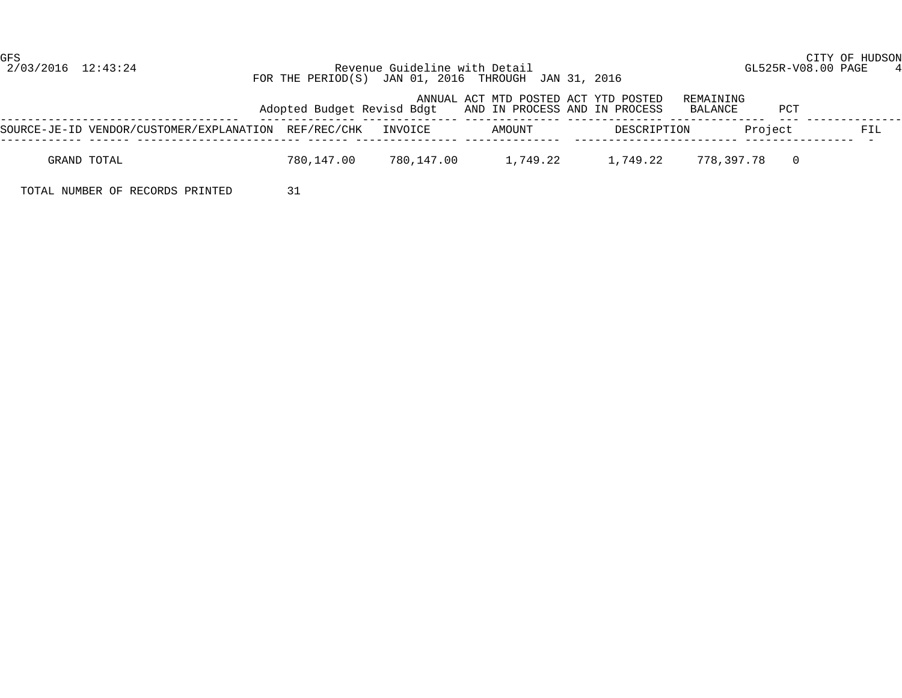GFS CITY OF HUDSON

 2/03/2016 12:43:24 Revenue Guideline with Detail GL525R-V08.00 PAGE 4 FOR THE PERIOD(S) JAN 01, 2016 THROUGH JAN 31, 2016

|                                                              |            |            | ANNUAL ACT MTD POSTED ACT YTD POSTED<br>Adopted Budget Revisd Bdgt AND IN PROCESS AND IN PROCESS |             | REMAINING<br>PCT<br>BALANCE  |     |
|--------------------------------------------------------------|------------|------------|--------------------------------------------------------------------------------------------------|-------------|------------------------------|-----|
| SOURCE-JE-ID VENDOR/CUSTOMER/EXPLANATION REF/REC/CHK INVOICE |            |            | AMOUNT                                                                                           | DESCRIPTION | Project                      | FIL |
| GRAND TOTAL                                                  | 780,147.00 | 780,147.00 | 1,749.22                                                                                         | 1,749.22    | 778.397.78<br>$\overline{0}$ |     |

TOTAL NUMBER OF RECORDS PRINTED 31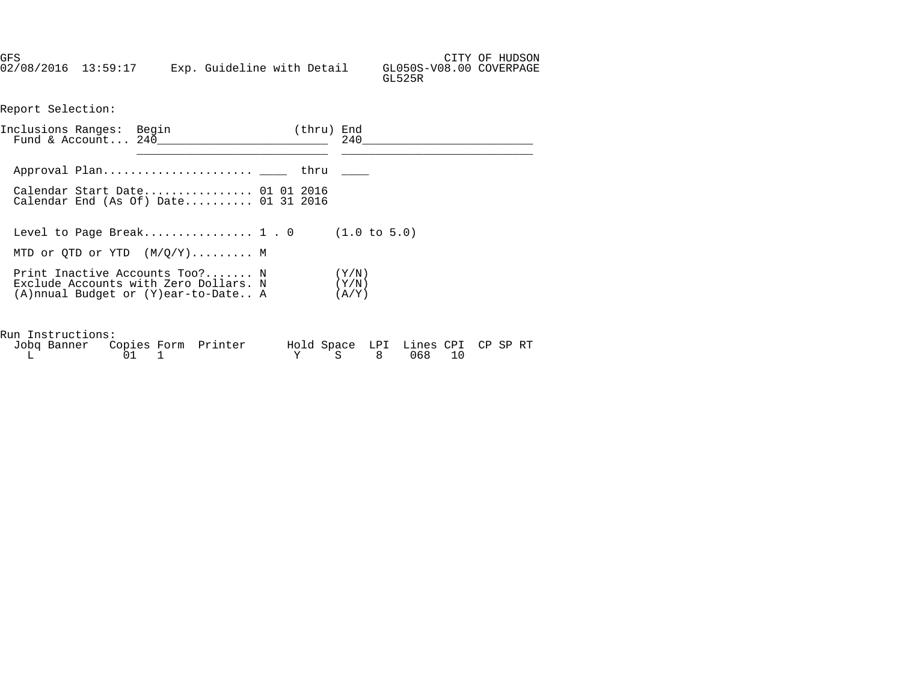| GFS                 |  |                            |  |                                   | CITY OF HUDSON |
|---------------------|--|----------------------------|--|-----------------------------------|----------------|
| 02/08/2016 13:59:17 |  | Exp. Guideline with Detail |  | GL050S-V08.00 COVERPAGE<br>GL525R |                |

Report Selection:

| Inclusions Ranges: Begin | Fund & Account $240$                                                                                                                         | (thru) End | 240 |
|--------------------------|----------------------------------------------------------------------------------------------------------------------------------------------|------------|-----|
|                          |                                                                                                                                              |            |     |
|                          | Calendar Start Date 01 01 2016<br>Calendar End (As Of) Date $01$ 31 2016                                                                     |            |     |
|                          | Level to Page Break 1 . 0 $(1.0 \text{ to } 5.0)$                                                                                            |            |     |
|                          | MTD or QTD or YTD $(M/Q/Y)$ M                                                                                                                |            |     |
|                          | Print Inactive Accounts Too? N $(Y/N)$<br>Exclude Accounts with Zero Dollars. N $(Y/N)$<br>$(A)$ nnual Budget or $(Y)$ ear-to-Date A $(A/Y)$ |            |     |
| Run Instructions:        |                                                                                                                                              |            |     |

| Jobq Banner Copies Form Printer |  | Hold Space LPI Lines CPI CP SP RT |  |  |
|---------------------------------|--|-----------------------------------|--|--|
|                                 |  | Y S 8 068 10                      |  |  |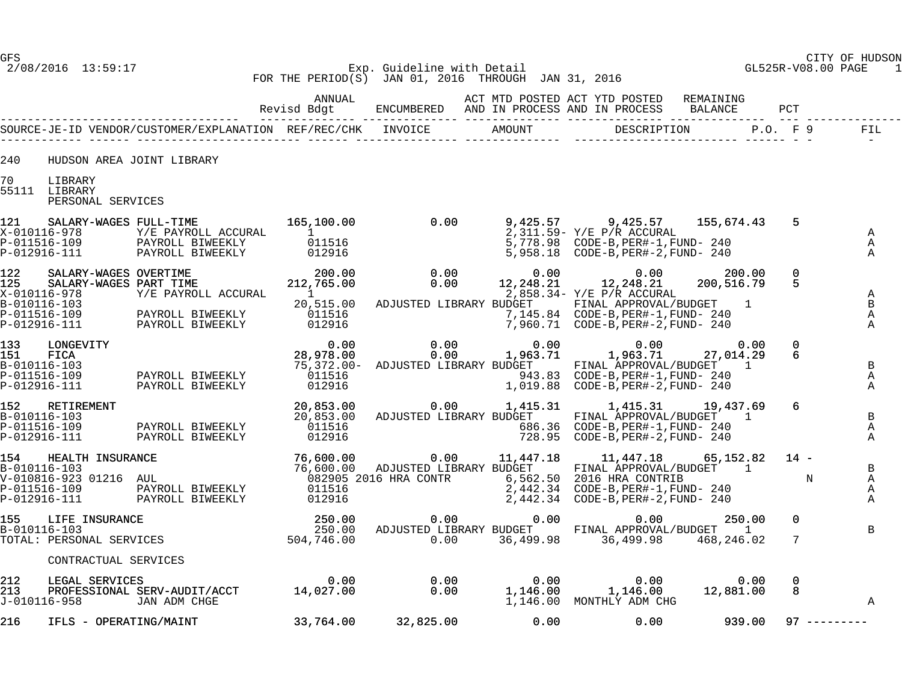#### GFS CITY OF HUDSON 2/08/2016 13:59:17 Exp. Guideline with Detail GL525R-V08.00 PAGE 1 FOR THE PERIOD(S) JAN 01, 2016 THROUGH JAN 31, 2016

|            |                                                                                                 |                                                                                                                                                                                                                                                            | ANNUAL                                                      |                                                             |                           | ACT MTD POSTED ACT YTD POSTED                                                                                                                 | REMAINING                 |                      |                                      |
|------------|-------------------------------------------------------------------------------------------------|------------------------------------------------------------------------------------------------------------------------------------------------------------------------------------------------------------------------------------------------------------|-------------------------------------------------------------|-------------------------------------------------------------|---------------------------|-----------------------------------------------------------------------------------------------------------------------------------------------|---------------------------|----------------------|--------------------------------------|
|            |                                                                                                 |                                                                                                                                                                                                                                                            |                                                             |                                                             |                           |                                                                                                                                               |                           |                      | FIL<br>$\sim$ $-$                    |
| 240<br>70  | LIBRARY                                                                                         | HUDSON AREA JOINT LIBRARY                                                                                                                                                                                                                                  |                                                             |                                                             |                           |                                                                                                                                               |                           |                      |                                      |
|            | 55111 LIBRARY<br>PERSONAL SERVICES                                                              |                                                                                                                                                                                                                                                            |                                                             |                                                             |                           |                                                                                                                                               |                           |                      |                                      |
| 121        | X-010116-978<br>P-011516-109<br>P-012916-111                                                    | SALARY-WAGES FULL-TIME<br>Y/E PAYROLL ACCURAL<br>PAYROLL BIWEEKLY<br>PAYROLL BIWEEKLY                                                                                                                                                                      | 165,100.00<br>012916                                        | $\overline{0.00}$<br>$\frac{1}{011516}$<br>011516<br>012916 | 9,425.57                  | 9,425.57<br>2,311.59- Y/E P/R ACCURAL<br>5,778.98 CODE-B, PER#-1, FUND- 240                                                                   | 155,674.43                | 5                    | Α<br>A<br>Α                          |
| 122<br>125 | SALARY-WAGES OVERTIME<br>SALARY-WAGES PART TIME<br>X-010116-978<br>B-010116-103<br>P-011516-109 | Y/E PAYROLL ACCURAL<br>PAYROLL BIWEEKLY<br>PAYROLL BIWEEKLY                                                                                                                                                                                                | 200.00<br>212,765.00<br>$\mathbf{1}$<br>20,515.00<br>011516 | 0.00<br>0.00<br>ADJUSTED LIBRARY BUDGET                     | 0.00<br>12,248.21         | 0.00<br>12,248.21<br>2,858.34- Y/E P/R ACCURAL<br>FINAL APPROVAL/BUDGET                                                                       | 200.00<br>200,516.79<br>1 | $\mathbf{0}$<br>5.   | Α<br>B<br>Α                          |
| 133<br>151 | P-012916-111<br>LONGEVITY<br>FICA<br>B-010116-103<br>P-011516-109<br>P-012916-111               | ITY<br>PAYROLL BIWEEKLY<br>PAYROLL BIWEEKLY                                                                                                                                                                                                                | 012916<br>0.00<br>28,978.00<br>011516<br>012916             | 0.00<br>0.00<br>75,372.00- ADJUSTED LIBRARY BUDGET          | 0.00<br>1,963.71          | 0.00<br>1,963.71<br>FINAL APPROVAL/BUDGET 1<br>1,019.88 CODE-B, PER#-2, FUND- 240                                                             | 0.00<br>27,014.29         | $\mathbf{0}$<br>6    | $\mathbf{A}$<br>B<br>Α<br>A          |
| 152        | RETIREMENT<br>B-010116-103<br>P-011516-109<br>P-012916-111                                      | PAYROLL BIWEEKLY<br>PAYROLL BIWEEKLY                                                                                                                                                                                                                       | 20,853.00<br>011516<br>012916                               | 0.00<br>20,853.00 ADJUSTED LIBRARY BUDGET                   | 1,415.31                  | 1,415.31<br>FINAL APPROVAL/BUDGET 1<br>728.95 CODE-B, PER#-2, FUND- 240                                                                       | 19,437.69                 | 6                    | B<br>Α<br>Α                          |
|            | P-012916-111                                                                                    | 154 HEALTH INSURANCE 76,600.00 0.00 11,447.18<br>B-010116-103 76,600.00 ADJUSTED LIBRARY BUDGET<br>V-010816-923 01216 AUL 082905 2016 HRA CONTR 6,562.50<br>P-011516-109 PAYROLL BIWEEKLY 011516<br>P-011516-109 PAYROLL BIWEEKLY 0115<br>PAYROLL BIWEEKLY | 012916                                                      |                                                             |                           | 11,447.18<br>FINAL APPROVAL/BUDGET 1<br>6,562.50 2016 HRA CONTRIB<br>2,442.34 CODE-B, PER#-1, FUND- 240<br>2,442.34 CODE-B, PER#-2, FUND- 240 | 65,152.82                 | $14 -$<br>$_{\rm N}$ | $\mathbf B$<br>$\mathbb A$<br>Α<br>Α |
|            |                                                                                                 | 155 LIFE INSURANCE<br>B-010116-103 250.00<br>TOTAL: PERSONAL SERVICES 504,746.00                                                                                                                                                                           |                                                             | 0.00                                                        | 0.00<br>0.00<br>36,499.98 | 0.00<br>250.00 ADJUSTED LIBRARY BUDGET FINAL APPROVAL/BUDGET 1<br>36,499.98                                                                   | 250.00<br>468,246.02      | $\Omega$<br>7        | B                                    |
|            | CONTRACTUAL SERVICES                                                                            |                                                                                                                                                                                                                                                            |                                                             |                                                             |                           |                                                                                                                                               |                           |                      |                                      |
| 212<br>213 | J-010116-958                                                                                    | LEGAL SERVICES<br>PROFESSIONAL SERV-AUDIT/ACCT 14,027.00<br>JAN ADM CHGE                                                                                                                                                                                   |                                                             | 0.00<br>0.00                                                |                           | $0.00$ $0.00$ $0.00$ $0.00$<br>1,146.00 $1,146.00$ $12,881.00$<br>1,146.00 MONTHLY ADM CHG                                                    |                           | $\mathbf{0}$<br>8    | Α                                    |
| 216        | IFLS - OPERATING/MAINT                                                                          |                                                                                                                                                                                                                                                            | 33,764.00                                                   | 32,825.00                                                   | 0.00                      | 0.00                                                                                                                                          | 939.00                    | $97$ ---------       |                                      |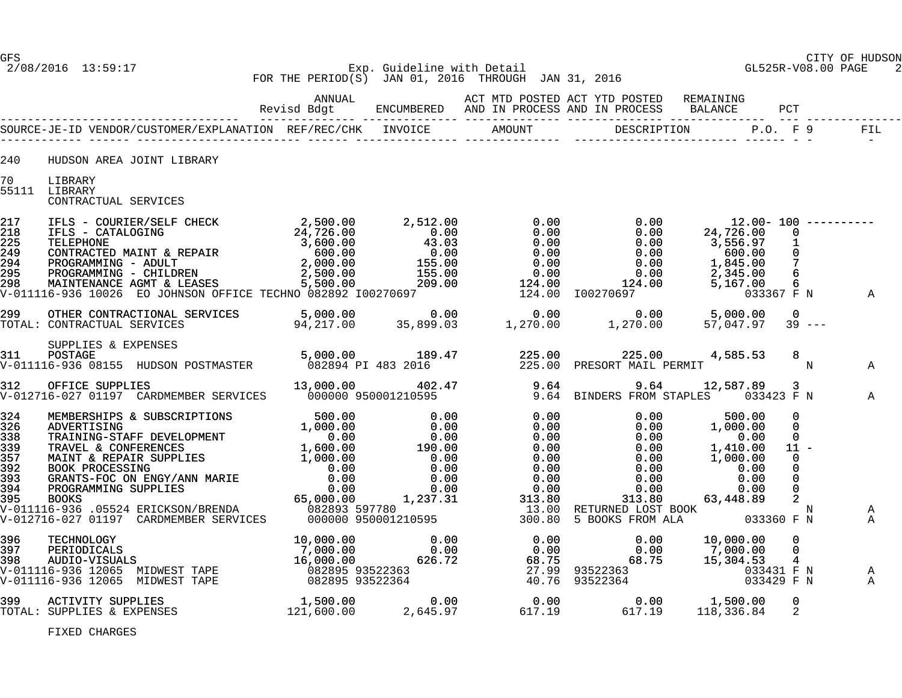#### GFS CITY OF HUDSON 2/08/2016 13:59:17 Exp. Guideline with Detail GL525R-V08.00 PAGE 2 FOR THE PERIOD(S) JAN 01, 2016 THROUGH JAN 31, 2016

| 240 | HUDSON AREA JOINT LIBRARY                                                                                                                                  |  |  |                        |                  |
|-----|------------------------------------------------------------------------------------------------------------------------------------------------------------|--|--|------------------------|------------------|
| 70  | LIBRARY<br>55111 LIBRARY<br>CONTRACTUAL SERVICES                                                                                                           |  |  |                        |                  |
|     |                                                                                                                                                            |  |  |                        |                  |
|     | 299 OTHER CONTRACTIONAL SERVICES 5,000.00 0.00 0.00 0.00 0.00 0.00 5,000.00<br>TOTAL: CONTRACTUAL SERVICES 94,217.00 35,899.03 1,270.00 1,270.00 57,047.97 |  |  | $\Omega$<br>$39 - - -$ |                  |
|     |                                                                                                                                                            |  |  |                        | Α                |
|     |                                                                                                                                                            |  |  |                        | $\mathbb A$      |
|     |                                                                                                                                                            |  |  |                        | A<br>$\mathbb A$ |
|     |                                                                                                                                                            |  |  |                        | A<br>A           |
|     |                                                                                                                                                            |  |  | 0<br>2                 |                  |

FIXED CHARGES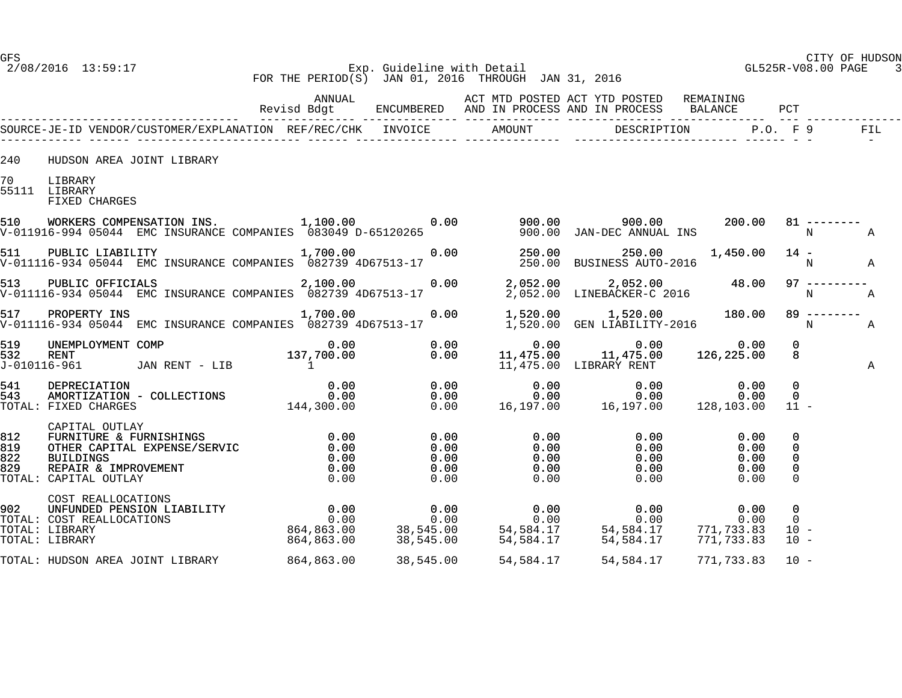#### GFS CITY OF HUDSON 2/08/2016 13:59:17 Exp. Guideline with Detail GL525R-V08.00 PAGE 3 FOR THE PERIOD(S) JAN 01, 2016 THROUGH JAN 31, 2016

|            |                                           |                                                                                                                                                                                                                                                          |  |           |                                                                                 |                                                                                                              |      |                                      | PCT                                         |                |                      |
|------------|-------------------------------------------|----------------------------------------------------------------------------------------------------------------------------------------------------------------------------------------------------------------------------------------------------------|--|-----------|---------------------------------------------------------------------------------|--------------------------------------------------------------------------------------------------------------|------|--------------------------------------|---------------------------------------------|----------------|----------------------|
|            |                                           |                                                                                                                                                                                                                                                          |  |           |                                                                                 |                                                                                                              |      |                                      |                                             |                | <b>FIL</b><br>$\sim$ |
| 240        | HUDSON AREA JOINT LIBRARY                 |                                                                                                                                                                                                                                                          |  |           |                                                                                 |                                                                                                              |      |                                      |                                             |                |                      |
| 70         | LIBRARY<br>55111 LIBRARY<br>FIXED CHARGES |                                                                                                                                                                                                                                                          |  |           |                                                                                 |                                                                                                              |      |                                      |                                             |                |                      |
| 510        |                                           | WORKERS COMPENSATION INS. [1,100.00 0.00 0.00 900.00 900.00 900.00 200.00<br>16-994 05044 EMC INSURANCE COMPANIES 083049 D-65120265 900.00 JAN-DEC ANNUAL INS<br>V-011916-994 05044 EMC INSURANCE COMPANIES 083049 D-65120265                            |  |           |                                                                                 |                                                                                                              |      |                                      | $_{\rm N}$                                  | $81$ --------  | A                    |
| 511        |                                           | PUBLIC LIABILITY 1,700.00<br>V-011116-934 05044 EMC INSURANCE COMPANIES 082739 4D67513-17                                                                                                                                                                |  |           | 0.00  250.00  250.00  250.00 $1,450.00$ 14 -<br>250.00  BUSINESS  AUTO-2016     |                                                                                                              |      | 1,450.00 14 -                        |                                             |                | $\mathbb A$          |
| 513        |                                           | PUBLIC OFFICIALS 2,100.00<br>V-011116-934 05044 EMC INSURANCE COMPANIES 082739 4D67513-17                                                                                                                                                                |  |           | 0.00 $2,052.00$ $2,052.00$ $2,052.00$ $48.00$<br>$2,052.00$ $LINEBACKER-C$ 2016 |                                                                                                              |      |                                      | $\mathbb N$                                 | $97$ --------- | A                    |
|            |                                           |                                                                                                                                                                                                                                                          |  |           |                                                                                 |                                                                                                              |      |                                      | $\mathbf N$                                 | $89$ --------  | A                    |
| 519<br>532 | J-010116-961                              |                                                                                                                                                                                                                                                          |  |           |                                                                                 |                                                                                                              |      |                                      | $\mathbf{0}$<br>8                           |                | Α                    |
| 541<br>543 |                                           | TOTAL: FIXED CHARGES                                                                                                                                                                                                                                     |  |           |                                                                                 |                                                                                                              |      |                                      | $\mathbf 0$<br>$\Omega$<br>$11 -$           |                |                      |
|            | CAPITAL OUTLAY                            | (2003)<br>CAPITAL OUTLAY<br>19 20 FURNITURE & FURNISHINGS<br>19 22 BUILDINGS<br>19 22 BUILDINGS<br>19 22 BUILDINGS<br>19 22 REPAIR & IMPROVEMENT<br>TOTAL: CAPITAL OUTLAY<br>20.00 0.00<br>20.00 0.00<br>20.00 0.00<br>20.00 0.00<br>20.00 0.00<br>20.00 |  |           | 0.00<br>0.00<br>0.00                                                            | $0.00$ $0.00$<br>$\begin{array}{cccc} 0.00 & & & & 0.00 \ 0.00 & & & & 0.00 \ 0.00 & & & & 0.00 \end{array}$ | 0.00 | 0.00<br>0.00<br>0.00<br>0.00<br>0.00 | 0<br>0<br>0<br>0<br>$\Omega$                |                |                      |
|            | COST REALLOCATIONS                        |                                                                                                                                                                                                                                                          |  |           |                                                                                 |                                                                                                              |      |                                      | $\mathbf 0$<br>$\Omega$<br>$10 -$<br>$10 -$ |                |                      |
|            |                                           | TOTAL: HUDSON AREA JOINT LIBRARY 864,863.00                                                                                                                                                                                                              |  | 38,545.00 | 54,584.17                                                                       | 54,584.17                                                                                                    |      | 771,733.83                           | $10 -$                                      |                |                      |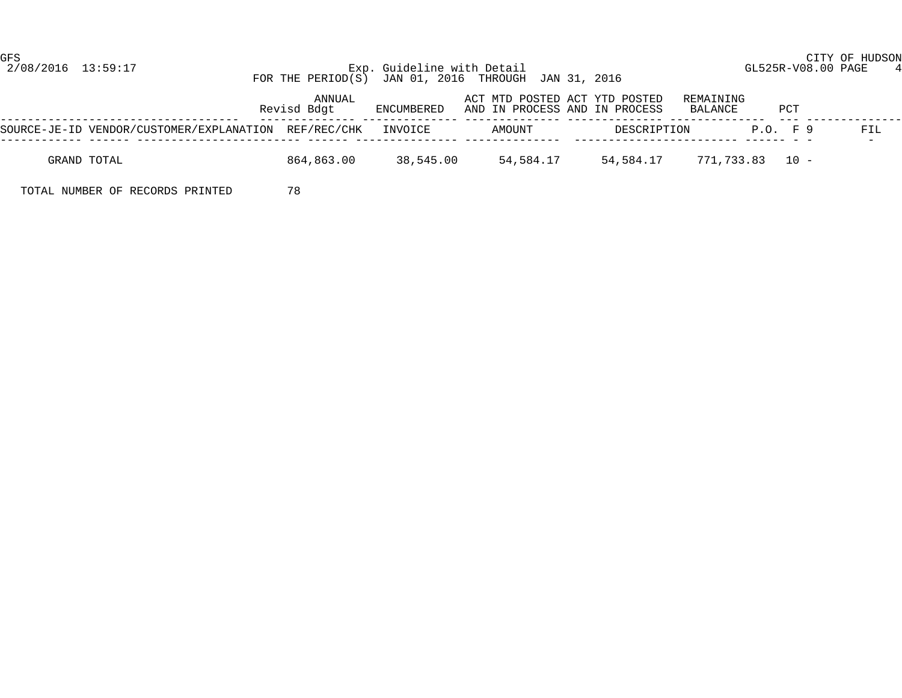GFS CITY OF HUDSON

#### 2/08/2016 13:59:17 Exp. Guideline with Detail GL525R-V08.00 PAGE 4 FOR THE PERIOD(S) JAN 01, 2016 THROUGH JAN 31, 2016

|                                                              | ANNUAL<br>Revisd Bdqt | ENCUMBERED | ACT MTD POSTED ACT YTD POSTED<br>AND IN PROCESS AND IN PROCESS |             | REMAINING<br>BALANCE | PCT          |     |
|--------------------------------------------------------------|-----------------------|------------|----------------------------------------------------------------|-------------|----------------------|--------------|-----|
| SOURCE-JE-ID VENDOR/CUSTOMER/EXPLANATION REF/REC/CHK INVOICE |                       |            | AMOUNT                                                         | DESCRIPTION |                      | $P.O.$ $F.9$ | FIL |
| GRAND TOTAL                                                  | 864,863.00            | 38,545.00  | 54,584.17                                                      | 54,584.17   | 771,733.83 10 -      |              |     |

TOTAL NUMBER OF RECORDS PRINTED 78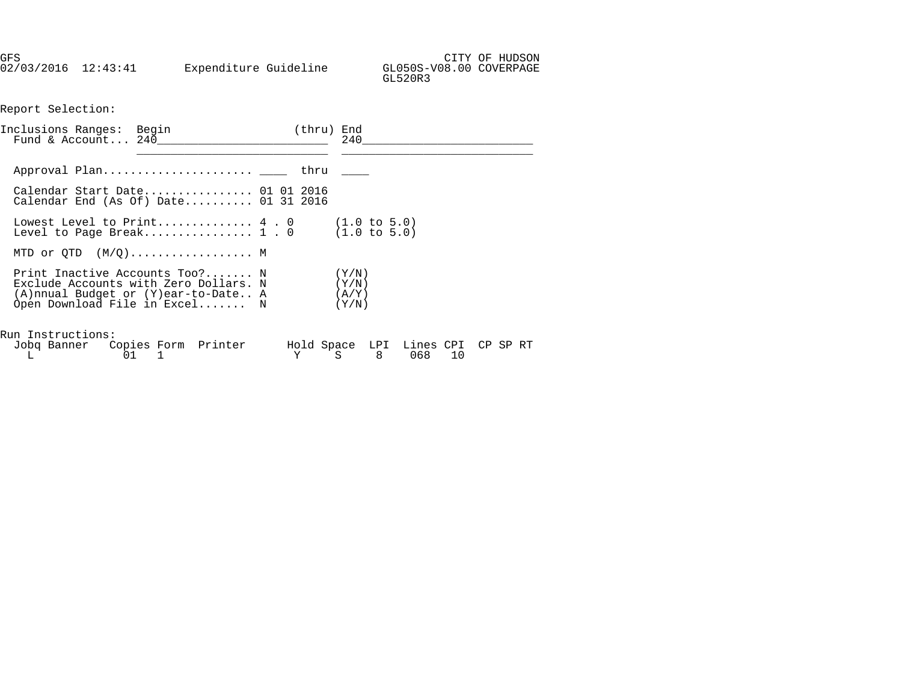GFS CITY OF HUDSON 02/03/2016 12:43:41 Expenditure Guideline GL050S-V08.00 COVERPAGE GL520R3

Report Selection:

| Inclusions Ranges: Begin<br>Fund & Account $240$                                                                                                | (thru) End<br>240                                  |
|-------------------------------------------------------------------------------------------------------------------------------------------------|----------------------------------------------------|
|                                                                                                                                                 |                                                    |
| Calendar Start Date 01 01 2016<br>Calendar End (As Of) Date $01\,31\,2016$                                                                      |                                                    |
| Lowest Level to Print $4.0$<br>Level to Page Break $1.0$                                                                                        | $(1.0 \text{ to } 5.0)$<br>$(1.0 \text{ to } 5.0)$ |
| MTD or QTD $(M/Q)$ M                                                                                                                            |                                                    |
| Print Inactive Accounts Too? N<br>Exclude Accounts with Zero Dollars. N<br>(A)nnual Budget or (Y)ear-to-Date A<br>Open Download File in Excel N | (Y/N)<br>(Y/N)<br>(A/Y)<br>(Y/N)                   |
| Run Instructions:<br>Jobq Banner Copies Form Printer<br>$L \t\t 01 \t1$                                                                         | Hold Space LPI Lines CPI CP SP RT<br>Y S 8 068 10  |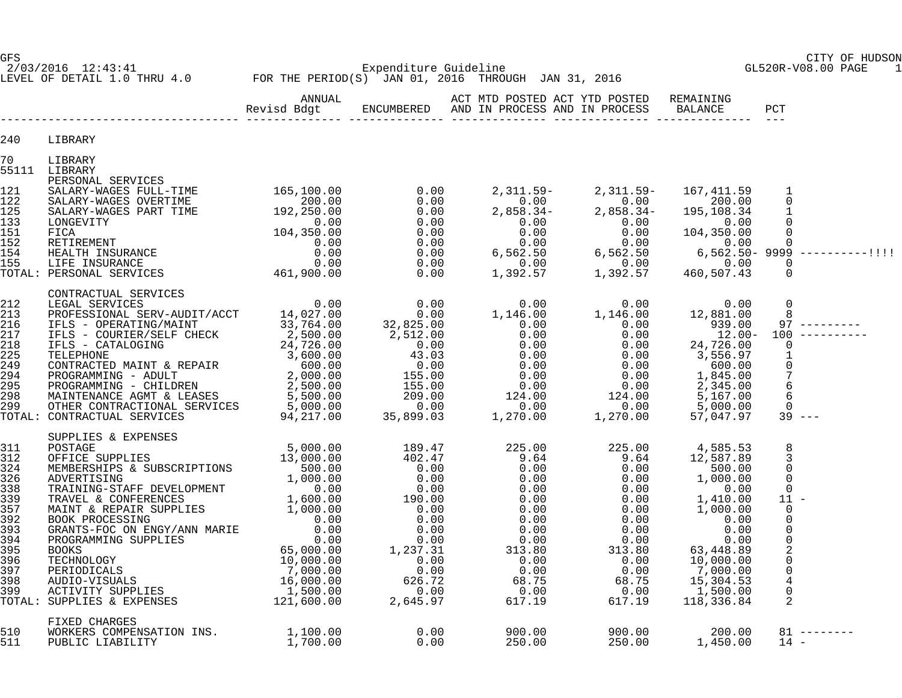GFS CITY OF HUDSON

LEVEL OF DETAIL 1.0 THRU 4.0 FOR THE PERIOD(S) JAN 01, 2016 THROUGH JAN 31, 2016

2/03/2016 12:43:41 Expenditure Guideline GL520R-V08.00 PAGE 1

|            |                                                                                                                                                                                                                                                                                                                 | ANNUAL | ACT MTD POSTED ACT YTD POSTED REMAINING                                                                                                                |  |                                                                                                                                               |
|------------|-----------------------------------------------------------------------------------------------------------------------------------------------------------------------------------------------------------------------------------------------------------------------------------------------------------------|--------|--------------------------------------------------------------------------------------------------------------------------------------------------------|--|-----------------------------------------------------------------------------------------------------------------------------------------------|
| 240        | LIBRARY                                                                                                                                                                                                                                                                                                         |        |                                                                                                                                                        |  |                                                                                                                                               |
| 70         | LIBRARY<br>55111 LIBRARY                                                                                                                                                                                                                                                                                        |        |                                                                                                                                                        |  |                                                                                                                                               |
|            | 55111 LIBRARY<br>165,100.00 0.00 2,311.59- 2,311.59- 167,411.59 1<br>165,100.00 0.00 2,311.59- 2,311.59- 167,411.59 1<br>122 SALARY-WAGES VUENTIME 192,250.00 0.00 0.00 2,858.34- 2,858.34- 195,108.34 1<br>133 LONGEVITY<br>ICA RETIREM                                                                        |        |                                                                                                                                                        |  |                                                                                                                                               |
|            | $\begin{tabular}{cccccccc} \texttt{CONTRACTUAL} \texttt{SENTRACTUAL} \texttt{SERVICES} & 0.00 & 0.00 & 0.00 & 0.00 & 0.00 & 0.00 & 0.00 & 0.00 & 0.00 & 0.00 & 0.00 & 0.00 & 0.00 & 0.00 & 0.00 & 0.00 & 0.00 & 0.00 & 0.00 & 0.00 & 0.00 & 0.00 & 0.00 & 0.00 & 0.00 & 0.00 & 0.00 & 0.00 & 0.00 & 0.00 & 0.0$ |        |                                                                                                                                                        |  |                                                                                                                                               |
|            |                                                                                                                                                                                                                                                                                                                 |        |                                                                                                                                                        |  | 8<br>3<br>$\Omega$<br>$\Omega$<br>$\Omega$<br>11<br>$\mathbf 0$<br>$\Omega$<br>0<br>$\Omega$<br>2<br>$\Omega$<br>$\mathbf 0$<br>$\Omega$<br>2 |
| 510<br>511 | FIXED CHARGES<br>WORKERS COMPENSATION INS. 1,100.00<br>PUBLIC LIABILITY 1,700.00                                                                                                                                                                                                                                |        | $\begin{array}{cccccccc} 0.00 & & & 900.00 & & & 900.00 & & & 200.00 & & 81 & \--\ 0.00 & & & & 250.00 & & & 250.00 & & & 1,450.00 & & 14 \end{array}$ |  | $81$ --------                                                                                                                                 |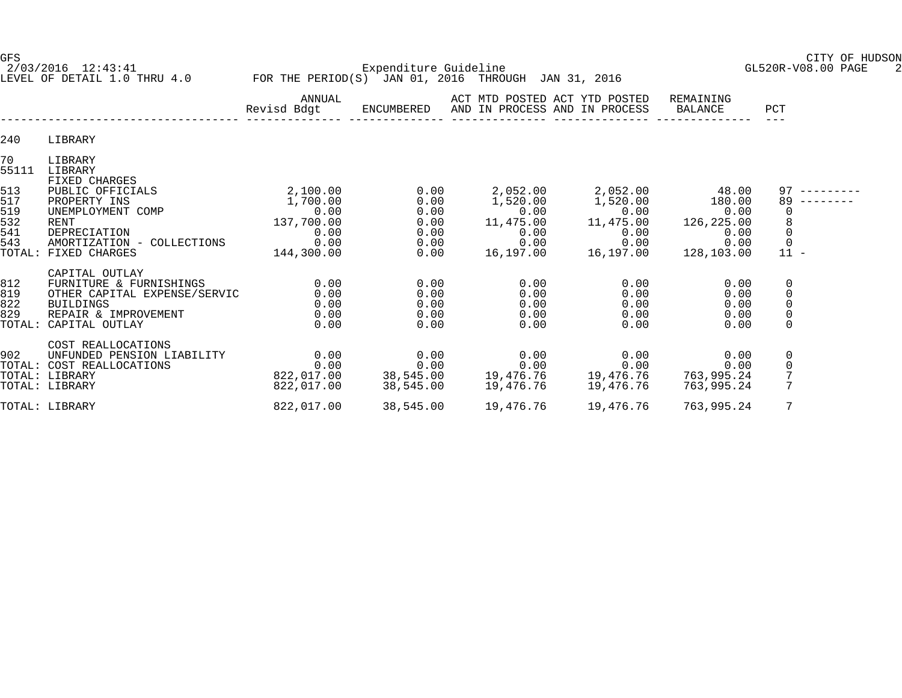2/03/2016 12:43:41 Expenditure Guideline GL520R-V08.00 PAGE 2 LEVEL OF DETAIL 1.0 THRU 4.0 FOR THE PERIOD(S) JAN 01, 2016 THROUGH JAN 31, 2016

GFS CITY OF HUDSON

|                                 |                                                                                                                                         | ANNUAL<br>Revisd Bdgt                              | ENCUMBERED                             | ACT MTD POSTED ACT YTD POSTED<br>AND IN PROCESS AND IN PROCESS |                                                   | REMAINING<br>BALANCE                          | PCT                                            |  |
|---------------------------------|-----------------------------------------------------------------------------------------------------------------------------------------|----------------------------------------------------|----------------------------------------|----------------------------------------------------------------|---------------------------------------------------|-----------------------------------------------|------------------------------------------------|--|
| 240                             | LIBRARY                                                                                                                                 |                                                    |                                        |                                                                |                                                   |                                               |                                                |  |
| 70<br>55111                     | LIBRARY<br>LIBRARY<br><b>FIXED CHARGES</b>                                                                                              |                                                    |                                        |                                                                |                                                   |                                               |                                                |  |
| 513<br>517<br>519<br>532<br>541 | PUBLIC OFFICIALS<br>PROPERTY INS<br>UNEMPLOYMENT COMP<br>RENT<br>DEPRECIATION                                                           | 2,100.00<br>1,700.00<br>0.00<br>137,700.00<br>0.00 | 0.00<br>0.00<br>0.00<br>0.00<br>0.00   | 2,052.00<br>1,520.00<br>0.00<br>11,475.00<br>0.00              | 2,052.00<br>1,520.00<br>0.00<br>11,475.00<br>0.00 | 48.00<br>180.00<br>0.00<br>126,225.00<br>0.00 | 97<br>89<br>0<br>$\,8\,$<br>$\overline{0}$     |  |
| 543<br>TOTAL:                   | AMORTIZATION - COLLECTIONS<br>FIXED CHARGES                                                                                             | 0.00<br>144,300.00                                 | 0.00<br>0.00                           | 0.00<br>16,197.00                                              | 0.00<br>16,197.00                                 | 0.00<br>128,103.00                            | $\mathbf 0$<br>$11 -$                          |  |
| 812<br>819<br>822<br>829        | CAPITAL OUTLAY<br>FURNITURE & FURNISHINGS<br>OTHER CAPITAL EXPENSE/SERVIC<br>BUILDINGS<br>REPAIR & IMPROVEMENT<br>TOTAL: CAPITAL OUTLAY | 0.00<br>0.00<br>0.00<br>0.00<br>0.00               | 0.00<br>0.00<br>0.00<br>0.00<br>0.00   | 0.00<br>0.00<br>0.00<br>0.00<br>0.00                           | 0.00<br>0.00<br>0.00<br>0.00<br>0.00              | 0.00<br>0.00<br>0.00<br>0.00<br>0.00          | 0<br>0<br>0<br>$\mathsf{O}\xspace$<br>$\Omega$ |  |
| 902                             | COST REALLOCATIONS<br>UNFUNDED PENSION LIABILITY<br>TOTAL: COST REALLOCATIONS<br>TOTAL: LIBRARY<br>TOTAL: LIBRARY                       | 0.00<br>0.00<br>822,017.00<br>822,017.00           | 0.00<br>0.00<br>38,545.00<br>38,545.00 | 0.00<br>0.00<br>19,476.76                                      | 0.00<br>0.00<br>19,476.76 19,476.76<br>19,476.76  | 0.00<br>0.00<br>763,995.24<br>763,995.24      | 0<br>$\mathsf{O}\xspace$<br>7                  |  |
|                                 | TOTAL: LIBRARY                                                                                                                          | 822,017.00                                         | 38,545.00                              | 19,476.76                                                      | 19,476.76                                         | 763,995.24                                    | 7                                              |  |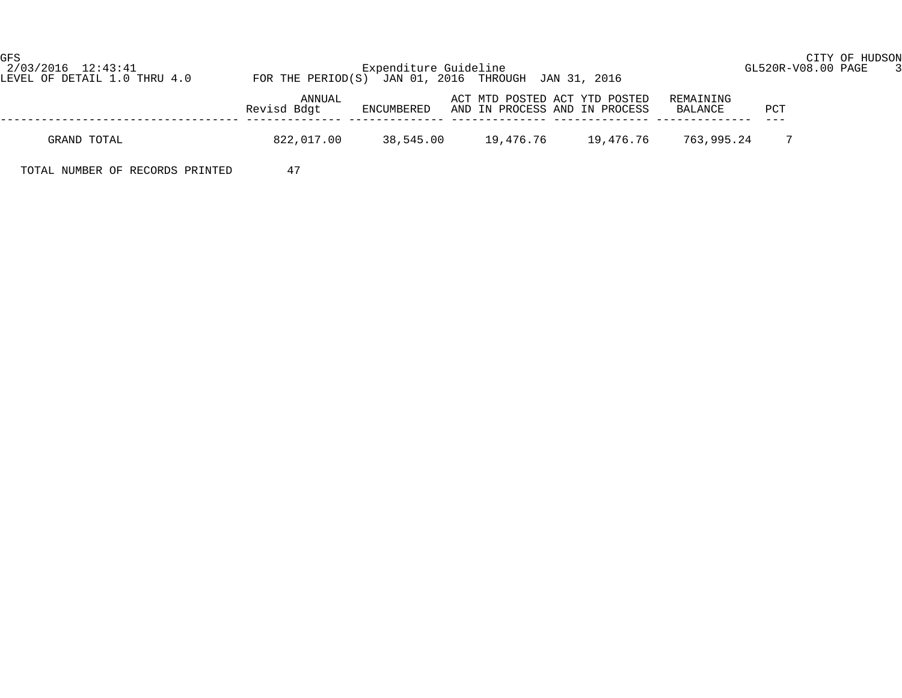GFS CITY OF HUDSON

| 2/03/2016 12:43:41<br>LEVEL OF DETAIL 1.0 THRU 4.0 | FOR THE PERIOD(S) JAN 01, 2016 THROUGH JAN 31, 2016 | Expenditure Guideline | GL520R-V08.00 PAGE 3                                           |           |                      |                |  |
|----------------------------------------------------|-----------------------------------------------------|-----------------------|----------------------------------------------------------------|-----------|----------------------|----------------|--|
|                                                    | ANNUAL<br>Revisd Bdat                               | ENCUMBERED            | ACT MTD POSTED ACT YTD POSTED<br>AND IN PROCESS AND IN PROCESS |           | REMAINING<br>BALANCE | PCT            |  |
| GRAND TOTAL                                        | 822,017.00                                          | 38,545.00             | 19,476.76                                                      | 19,476.76 | 763,995.24           | $7\phantom{0}$ |  |
| TOTAL NUMBER OF RECORDS PRINTED                    | 47                                                  |                       |                                                                |           |                      |                |  |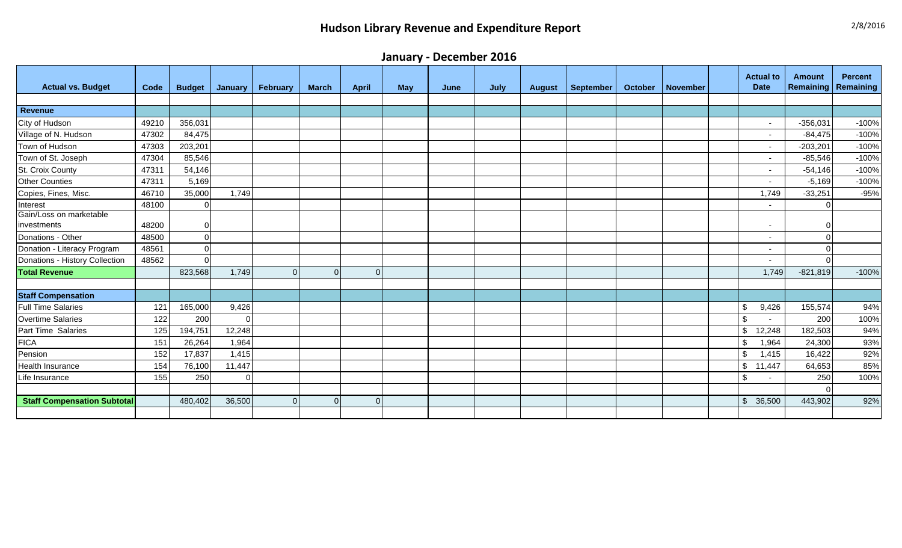# **Hudson Library Revenue and Expenditure Report** 2008 2008 2009 2009 278/2016

**January - December 2016**

| <b>Actual vs. Budget</b>               | Code  | <b>Budget</b> | January | <b>February</b> | <b>March</b> | <b>April</b> | <b>May</b> | June | July | <b>August</b> | September | <b>October</b> | <b>November</b> | <b>Actual to</b><br><b>Date</b>      | <b>Amount</b><br>Remaining | <b>Percent</b><br><b>Remaining</b> |
|----------------------------------------|-------|---------------|---------|-----------------|--------------|--------------|------------|------|------|---------------|-----------|----------------|-----------------|--------------------------------------|----------------------------|------------------------------------|
|                                        |       |               |         |                 |              |              |            |      |      |               |           |                |                 |                                      |                            |                                    |
| <b>Revenue</b>                         |       |               |         |                 |              |              |            |      |      |               |           |                |                 |                                      |                            |                                    |
| City of Hudson                         | 49210 | 356,031       |         |                 |              |              |            |      |      |               |           |                |                 | $\sim$                               | $-356,031$                 | $-100%$                            |
| Village of N. Hudson                   | 47302 | 84,475        |         |                 |              |              |            |      |      |               |           |                |                 | $\sim$                               | $-84,475$                  | $-100%$                            |
| Town of Hudson                         | 47303 | 203,201       |         |                 |              |              |            |      |      |               |           |                |                 | $\overline{\phantom{a}}$             | $-203,201$                 | $-100%$                            |
| Town of St. Joseph                     | 47304 | 85,546        |         |                 |              |              |            |      |      |               |           |                |                 | $\overline{\phantom{a}}$             | $-85,546$                  | $-100%$                            |
| St. Croix County                       | 47311 | 54,146        |         |                 |              |              |            |      |      |               |           |                |                 | $\sim$                               | $-54,146$                  | $-100%$                            |
| <b>Other Counties</b>                  | 47311 | 5,169         |         |                 |              |              |            |      |      |               |           |                |                 | $\sim$                               | $-5,169$                   | $-100%$                            |
| Copies, Fines, Misc.                   | 46710 | 35,000        | 1,749   |                 |              |              |            |      |      |               |           |                |                 | 1,749                                | $-33,251$                  | $-95%$                             |
| Interest                               | 48100 | $\Omega$      |         |                 |              |              |            |      |      |               |           |                |                 | $\sim$                               | $\Omega$                   |                                    |
| Gain/Loss on marketable<br>investments | 48200 | $\Omega$      |         |                 |              |              |            |      |      |               |           |                |                 | $\sim$                               | $\mathbf 0$                |                                    |
| Donations - Other                      | 48500 | $\Omega$      |         |                 |              |              |            |      |      |               |           |                |                 | $\sim$                               | $\Omega$                   |                                    |
| Donation - Literacy Program            | 48561 | ΟI            |         |                 |              |              |            |      |      |               |           |                |                 | $\sim$                               | $\Omega$                   |                                    |
| Donations - History Collection         | 48562 | $\Omega$      |         |                 |              |              |            |      |      |               |           |                |                 | $\overline{a}$                       | $\Omega$                   |                                    |
| <b>Total Revenue</b>                   |       | 823,568       | 1,749   |                 | $\Omega$     | $\Omega$     |            |      |      |               |           |                |                 | 1,749                                | $-821,819$                 | $-100%$                            |
|                                        |       |               |         |                 |              |              |            |      |      |               |           |                |                 |                                      |                            |                                    |
| <b>Staff Compensation</b>              |       |               |         |                 |              |              |            |      |      |               |           |                |                 |                                      |                            |                                    |
| <b>Full Time Salaries</b>              | 121   | 165,000       | 9,426   |                 |              |              |            |      |      |               |           |                |                 | 9,426<br>\$                          | 155,574                    | 94%                                |
| <b>Overtime Salaries</b>               | 122   | 200           |         |                 |              |              |            |      |      |               |           |                |                 | $\boldsymbol{\mathsf{S}}$<br>$\sim$  | 200                        | 100%                               |
| Part Time Salaries                     | 125   | 194,751       | 12,248  |                 |              |              |            |      |      |               |           |                |                 | 12,248<br>\$                         | 182,503                    | 94%                                |
| <b>FICA</b>                            | 151   | 26,264        | 1,964   |                 |              |              |            |      |      |               |           |                |                 | \$<br>1,964                          | 24,300                     | 93%                                |
| Pension                                | 152   | 17,837        | 1,415   |                 |              |              |            |      |      |               |           |                |                 | \$<br>1,415                          | 16,422                     | 92%                                |
| Health Insurance                       | 154   | 76,100        | 11,447  |                 |              |              |            |      |      |               |           |                |                 | $\$\$<br>11,447                      | 64,653                     | 85%                                |
| Life Insurance                         | 155   | 250           |         |                 |              |              |            |      |      |               |           |                |                 | $\boldsymbol{\mathsf{\$}}$<br>$\sim$ | 250                        | 100%                               |
|                                        |       |               |         |                 |              |              |            |      |      |               |           |                |                 |                                      | $\Omega$                   |                                    |
| <b>Staff Compensation Subtotal</b>     |       | 480,402       | 36,500  |                 | $\Omega$     | $\Omega$     |            |      |      |               |           |                |                 | $\mathcal{L}$<br>36,500              | 443,902                    | 92%                                |
|                                        |       |               |         |                 |              |              |            |      |      |               |           |                |                 |                                      |                            |                                    |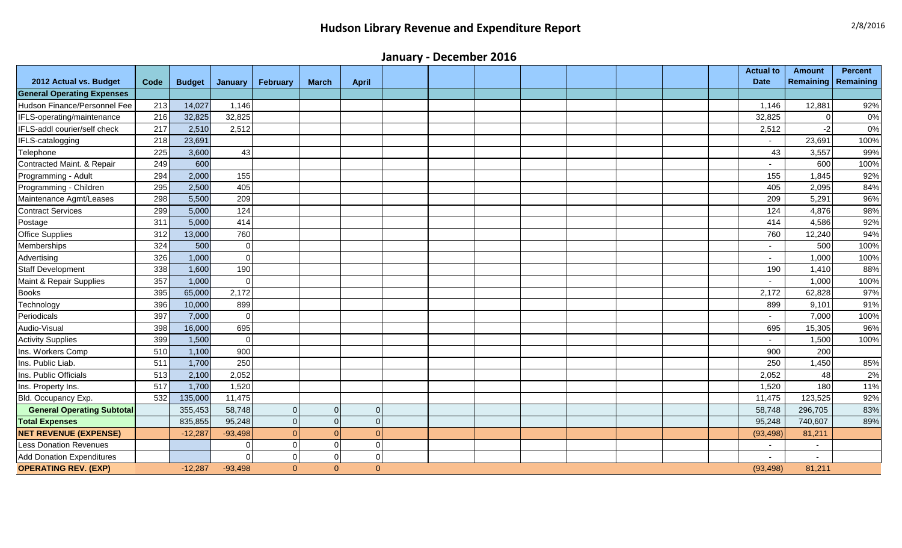# **Hudson Library Revenue and Expenditure Report** 2008 2008 2009 2009 278/2016

**January - December 2016**

| 2012 Actual vs. Budget            | Code | <b>Budget</b> | January   | February | <b>March</b> | <b>April</b>   |  |  |  |  | <b>Actual to</b><br><b>Date</b> | <b>Amount</b><br>Remaining | <b>Percent</b><br>Remaining |
|-----------------------------------|------|---------------|-----------|----------|--------------|----------------|--|--|--|--|---------------------------------|----------------------------|-----------------------------|
| <b>General Operating Expenses</b> |      |               |           |          |              |                |  |  |  |  |                                 |                            |                             |
| Hudson Finance/Personnel Fee      | 213  | 14,027        | 1,146     |          |              |                |  |  |  |  | 1,146                           | 12,881                     | 92%                         |
| IFLS-operating/maintenance        | 216  | 32,825        | 32,825    |          |              |                |  |  |  |  | 32,825                          | $\Omega$                   | 0%                          |
| IFLS-addl courier/self check      | 217  | 2,510         | 2,512     |          |              |                |  |  |  |  | 2,512                           | $-2$                       | 0%                          |
| IFLS-catalogging                  | 218  | 23,691        |           |          |              |                |  |  |  |  | $\sim$                          | 23,691                     | 100%                        |
| Telephone                         | 225  | 3,600         | 43        |          |              |                |  |  |  |  | 43                              | 3,557                      | 99%                         |
| Contracted Maint. & Repair        | 249  | 600           |           |          |              |                |  |  |  |  |                                 | 600                        | 100%                        |
| Programming - Adult               | 294  | 2,000         | 155       |          |              |                |  |  |  |  | 155                             | 1,845                      | 92%                         |
| Programming - Children            | 295  | 2,500         | 405       |          |              |                |  |  |  |  | 405                             | 2,095                      | 84%                         |
| Maintenance Agmt/Leases           | 298  | 5,500         | 209       |          |              |                |  |  |  |  | 209                             | 5,291                      | 96%                         |
| <b>Contract Services</b>          | 299  | 5,000         | 124       |          |              |                |  |  |  |  | 124                             | 4,876                      | 98%                         |
| Postage                           | 311  | 5,000         | 414       |          |              |                |  |  |  |  | 414                             | 4,586                      | 92%                         |
| <b>Office Supplies</b>            | 312  | 13,000        | 760       |          |              |                |  |  |  |  | 760                             | 12,240                     | 94%                         |
| Memberships                       | 324  | 500           | $\Omega$  |          |              |                |  |  |  |  |                                 | 500                        | 100%                        |
| Advertising                       | 326  | 1,000         | $\Omega$  |          |              |                |  |  |  |  | $\sim$                          | 1,000                      | 100%                        |
| <b>Staff Development</b>          | 338  | 1,600         | 190       |          |              |                |  |  |  |  | 190                             | 1,410                      | 88%                         |
| Maint & Repair Supplies           | 357  | 1,000         |           |          |              |                |  |  |  |  | ٠                               | 1,000                      | 100%                        |
| <b>Books</b>                      | 395  | 65,000        | 2,172     |          |              |                |  |  |  |  | 2,172                           | 62,828                     | 97%                         |
| Technology                        | 396  | 10,000        | 899       |          |              |                |  |  |  |  | 899                             | 9,101                      | 91%                         |
| Periodicals                       | 397  | 7,000         | $\Omega$  |          |              |                |  |  |  |  | $\overline{\phantom{0}}$        | 7,000                      | 100%                        |
| Audio-Visual                      | 398  | 16,000        | 695       |          |              |                |  |  |  |  | 695                             | 15,305                     | 96%                         |
| <b>Activity Supplies</b>          | 399  | 1,500         |           |          |              |                |  |  |  |  | $\blacksquare$                  | 1,500                      | 100%                        |
| Ins. Workers Comp                 | 510  | 1,100         | 900       |          |              |                |  |  |  |  | 900                             | 200                        |                             |
| Ins. Public Liab.                 | 511  | 1,700         | 250       |          |              |                |  |  |  |  | 250                             | 1,450                      | 85%                         |
| Ins. Public Officials             | 513  | 2,100         | 2,052     |          |              |                |  |  |  |  | 2,052                           | 48                         | 2%                          |
| Ins. Property Ins.                | 517  | 1,700         | 1,520     |          |              |                |  |  |  |  | 1,520                           | 180                        | 11%                         |
| Bld. Occupancy Exp.               | 532  | 135,000       | 11,475    |          |              |                |  |  |  |  | 11,475                          | 123,525                    | 92%                         |
| <b>General Operating Subtotal</b> |      | 355,453       | 58,748    |          | $\Omega$     | $\overline{0}$ |  |  |  |  | 58,748                          | 296,705                    | 83%                         |
| <b>Total Expenses</b>             |      | 835,855       | 95,248    |          | $\Omega$     | $\overline{0}$ |  |  |  |  | 95,248                          | 740,607                    | 89%                         |
| <b>NET REVENUE (EXPENSE)</b>      |      | $-12,287$     | $-93,498$ |          | $\Omega$     | $\Omega$       |  |  |  |  | (93, 498)                       | 81,211                     |                             |
| <b>Less Donation Revenues</b>     |      |               |           |          | $\Omega$     | $\Omega$       |  |  |  |  | $\overline{\phantom{a}}$        | $\overline{\phantom{a}}$   |                             |
| <b>Add Donation Expenditures</b>  |      |               |           |          | $\Omega$     | $\Omega$       |  |  |  |  | $\blacksquare$                  | $\blacksquare$             |                             |
| <b>OPERATING REV. (EXP)</b>       |      | $-12,287$     | $-93,498$ | $\Omega$ | $\Omega$     | $\Omega$       |  |  |  |  | (93, 498)                       | 81,211                     |                             |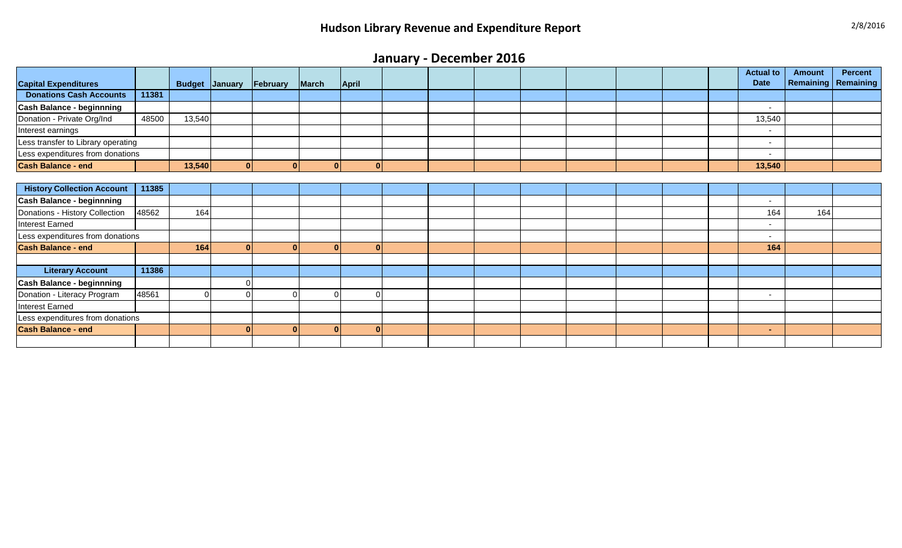# **January - December 2016**

|                                    |       |        |                       |          |                |              |  |  |  |  | <b>Actual to</b><br><b>Date</b> | <b>Amount</b><br><b>Remaining   Remaining</b> | <b>Percent</b> |
|------------------------------------|-------|--------|-----------------------|----------|----------------|--------------|--|--|--|--|---------------------------------|-----------------------------------------------|----------------|
| <b>Capital Expenditures</b>        |       |        | <b>Budget January</b> | February | March          | <b>April</b> |  |  |  |  |                                 |                                               |                |
| <b>Donations Cash Accounts</b>     | 11381 |        |                       |          |                |              |  |  |  |  |                                 |                                               |                |
| <b>Cash Balance - beginnning</b>   |       |        |                       |          |                |              |  |  |  |  | $\overline{\phantom{0}}$        |                                               |                |
| Donation - Private Org/Ind         | 48500 | 13,540 |                       |          |                |              |  |  |  |  | 13,540                          |                                               |                |
| Interest earnings                  |       |        |                       |          |                |              |  |  |  |  | $\overline{\phantom{a}}$        |                                               |                |
| Less transfer to Library operating |       |        |                       |          |                |              |  |  |  |  | $\overline{\phantom{a}}$        |                                               |                |
| Less expenditures from donations   |       |        |                       |          |                |              |  |  |  |  | $\overline{a}$                  |                                               |                |
| <b>Cash Balance - end</b>          |       | 13,540 | $\mathbf{0}$          | n        | $\overline{0}$ | -OI          |  |  |  |  | 13,540                          |                                               |                |
|                                    |       |        |                       |          |                |              |  |  |  |  |                                 |                                               |                |
| <b>History Collection Account</b>  | 11385 |        |                       |          |                |              |  |  |  |  |                                 |                                               |                |
| <b>Cash Balance - beginnning</b>   |       |        |                       |          |                |              |  |  |  |  | $\overline{\phantom{a}}$        |                                               |                |
| Donations - History Collection     | 48562 | 164    |                       |          |                |              |  |  |  |  | 164                             | 164                                           |                |
| Interest Earned                    |       |        |                       |          |                |              |  |  |  |  | $\sim$                          |                                               |                |
| Less expenditures from donations   |       |        |                       |          |                |              |  |  |  |  | $\sim$                          |                                               |                |
| <b>Cash Balance - end</b>          |       | 164    | $\Omega$              |          | $\overline{0}$ | $\mathbf{0}$ |  |  |  |  | 164                             |                                               |                |
|                                    |       |        |                       |          |                |              |  |  |  |  |                                 |                                               |                |
| <b>Literary Account</b>            | 11386 |        |                       |          |                |              |  |  |  |  |                                 |                                               |                |
| <b>Cash Balance - beginnning</b>   |       |        |                       |          |                |              |  |  |  |  |                                 |                                               |                |
| Donation - Literacy Program        | 48561 |        |                       |          | ∩              |              |  |  |  |  |                                 |                                               |                |
| Interest Earned                    |       |        |                       |          |                |              |  |  |  |  |                                 |                                               |                |
| Less expenditures from donations   |       |        |                       |          |                |              |  |  |  |  |                                 |                                               |                |
| <b>Cash Balance - end</b>          |       |        | n                     |          | $\overline{0}$ | $\mathbf{0}$ |  |  |  |  | $\sim$                          |                                               |                |
|                                    |       |        |                       |          |                |              |  |  |  |  |                                 |                                               |                |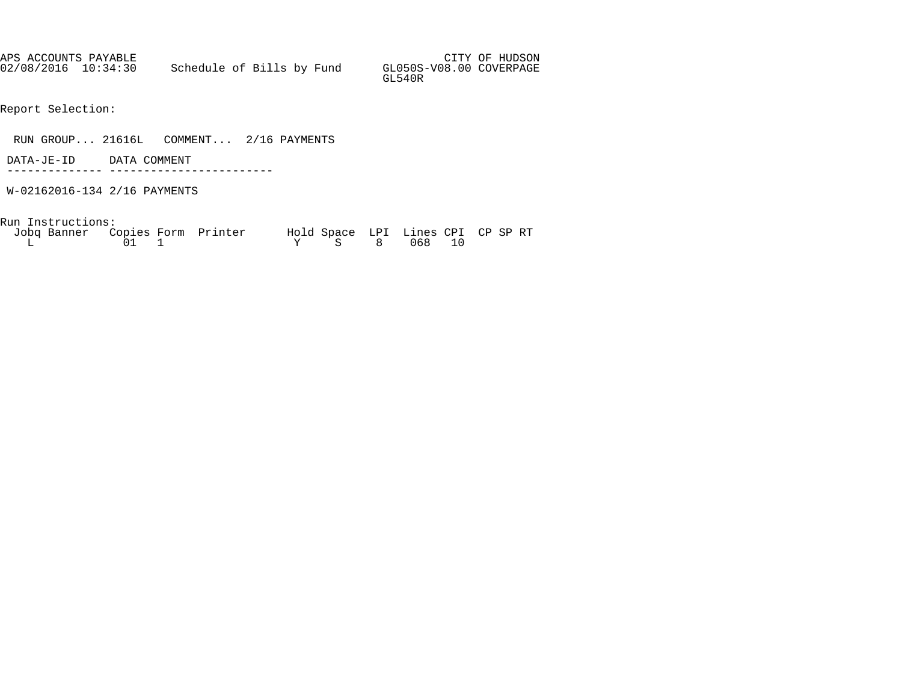APS ACCOUNTS PAYABLE AND SUMMAN SERVICES OF HUDSON AND SUMMAN SERVICES OF HUDSON 02/08/2016 10:34:30 Schedule of Bills by Fund GL050S-V08.00 COVERPAGE GL540R

Report Selection:

RUN GROUP... 21616L COMMENT... 2/16 PAYMENTS

 DATA-JE-ID DATA COMMENT -------------- ------------------------

W-02162016-134 2/16 PAYMENTS

Run Instructions:

| Jobq Banner Copies Form Printer |           | Hold Space LPI Lines CPI CP SP RT |  |  |  |
|---------------------------------|-----------|-----------------------------------|--|--|--|
|                                 | $01 \t 1$ | Y S 8 068 10                      |  |  |  |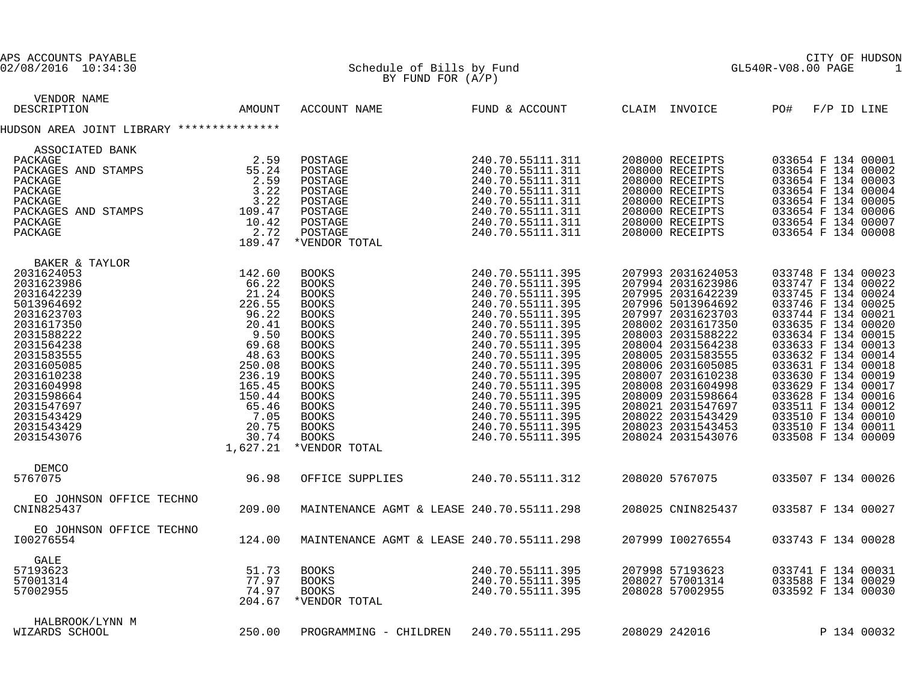| APS ACCOUNTS PAYABLE<br>02/08/2016 10:34:30                                                                                                                                                                                                                                                                                                                                                                                                                                                                            |        | Schedule of Bills by Fund                                                                                                                                                                                                                                                                                                                                                                                                                                                                        |                                                                                                                                                                                  | CITY OF<br>GL540R-V08.00 PAGE<br>CITY OF HUDSON<br>1                                                                                                                                                                                                                                                                                                              |                                                                                                                                                                                                                                                                                                                                                                                    |  |  |
|------------------------------------------------------------------------------------------------------------------------------------------------------------------------------------------------------------------------------------------------------------------------------------------------------------------------------------------------------------------------------------------------------------------------------------------------------------------------------------------------------------------------|--------|--------------------------------------------------------------------------------------------------------------------------------------------------------------------------------------------------------------------------------------------------------------------------------------------------------------------------------------------------------------------------------------------------------------------------------------------------------------------------------------------------|----------------------------------------------------------------------------------------------------------------------------------------------------------------------------------|-------------------------------------------------------------------------------------------------------------------------------------------------------------------------------------------------------------------------------------------------------------------------------------------------------------------------------------------------------------------|------------------------------------------------------------------------------------------------------------------------------------------------------------------------------------------------------------------------------------------------------------------------------------------------------------------------------------------------------------------------------------|--|--|
|                                                                                                                                                                                                                                                                                                                                                                                                                                                                                                                        |        | BY FUND FOR $(A/P)$                                                                                                                                                                                                                                                                                                                                                                                                                                                                              |                                                                                                                                                                                  |                                                                                                                                                                                                                                                                                                                                                                   |                                                                                                                                                                                                                                                                                                                                                                                    |  |  |
| VENDOR NAME<br>DESCRIPTION                                                                                                                                                                                                                                                                                                                                                                                                                                                                                             | AMOUNT | ACCOUNT NAME FUND & ACCOUNT CLAIM INVOICE PO#                                                                                                                                                                                                                                                                                                                                                                                                                                                    |                                                                                                                                                                                  |                                                                                                                                                                                                                                                                                                                                                                   | $F/P$ ID LINE                                                                                                                                                                                                                                                                                                                                                                      |  |  |
| HUDSON AREA JOINT LIBRARY ***************                                                                                                                                                                                                                                                                                                                                                                                                                                                                              |        |                                                                                                                                                                                                                                                                                                                                                                                                                                                                                                  |                                                                                                                                                                                  |                                                                                                                                                                                                                                                                                                                                                                   |                                                                                                                                                                                                                                                                                                                                                                                    |  |  |
| ASSOCIATED BANK                                                                                                                                                                                                                                                                                                                                                                                                                                                                                                        |        |                                                                                                                                                                                                                                                                                                                                                                                                                                                                                                  |                                                                                                                                                                                  |                                                                                                                                                                                                                                                                                                                                                                   |                                                                                                                                                                                                                                                                                                                                                                                    |  |  |
| $\begin{tabular}{l l l} ASSOCIATED BANK & & & & & & \\ \texttt{PACKAGE} & & & & & & \\ \texttt{PACKAGES AND STAMPS} & & & & 55.24 \\ \texttt{PACKAGE} & & & 2.59 \\ \texttt{PACKAGE} & & 3.22 \\ \texttt{PACKAGES AND STAMPS} & & 3.22 \\ \texttt{PACKAGE} & & 3.22 \\ \texttt{PACKAGE} & & 109.47 \\ \texttt{PACKAGE} & & 10.42 \\ \texttt{PACKAGE} & & 2.72 \\ \texttt{189.47} & & & \\ \end{tabular}$                                                                                                               |        | POSTAGE<br>POSTAGE<br>POSTAGE<br>POSTAGE<br>POSTAGE<br>POSTAGE<br>POSTAGE<br>POSTAGE<br>*VENDOR TOTAL                                                                                                                                                                                                                                                                                                                                                                                            | 240.70.55111.311<br>240.70.55111.311<br>240.70.55111.311<br>240.70.55111.311<br>240.70.55111.311<br>240.70.55111.311<br>240.70.55111.311<br>240.70.55111.311<br>240.70.55111.311 | 208000 RECEIPTS<br>208000 RECEIPTS<br>208000 RECEIPTS<br>208000 RECEIPTS<br>208000 RECEIPTS<br>208000 RECEIPTS<br>208000 RECEIPTS<br>208000 RECEIPTS                                                                                                                                                                                                              | 033654 F 134 00001<br>033654 F 134 00002<br>033654 F 134 00003<br>033654 F 134 00004<br>033654 F 134 00005<br>033654 F 134 00006<br>033654 F 134 00007<br>033654 F 134 00008                                                                                                                                                                                                       |  |  |
|                                                                                                                                                                                                                                                                                                                                                                                                                                                                                                                        |        |                                                                                                                                                                                                                                                                                                                                                                                                                                                                                                  |                                                                                                                                                                                  |                                                                                                                                                                                                                                                                                                                                                                   |                                                                                                                                                                                                                                                                                                                                                                                    |  |  |
| BAKER & TAYLOR<br>31624053<br>31623986<br>31642239<br>13964692<br>31642239<br>13964692<br>31623703<br>31632703<br>3163222<br>31588222<br>31583555<br>31583555<br>31604988<br>31605085<br>31604988<br>31604988<br>31604988<br>31598664<br>31543429<br>31543429<br>3154342<br>2031624053<br>2031623986<br>2031642239<br>5013964692<br>2031623703<br>2031617350<br>2031588222<br>2031564238<br>2031583555<br>2031605085<br>2031610238<br>2031604998<br>2031598664<br>2031547697<br>2031543429<br>2031543429<br>2031543076 |        | $\begin{smallmatrix}240.70.55111.395\\240.70.55111.395\\240.70.55111.395\\240.70.55111.395\\240.70.55111.395\\240.70.55111.395\\240.70.55111.395\\240.70.55111.395\\240.70.55111.395\\240.70.55111.395\\240.70.55111.395\\240.70.55111.395\\240.70.551$<br><b>BOOKS</b><br>BOOKS<br><b>BOOKS</b><br>BOOKS<br><b>BOOKS</b><br><b>BOOKS</b><br>BOOKS<br><b>BOOKS</b><br><b>BOOKS</b><br><b>BOOKS</b><br><b>BOOKS</b><br>BOOKS<br>BOOKS<br>BOOKS<br>BOOKS<br>BOOKS<br><b>BOOKS</b><br>*VENDOR TOTAL |                                                                                                                                                                                  | 207993 2031624053<br>207994 2031623986<br>207995 2031642239<br>207996 5013964692<br>207997 2031623703<br>208002 2031617350<br>208003 2031588222<br>208004 2031564238<br>208005 2031583555<br>208006 2031605085<br>208007 2031610238<br>208008 2031604998<br>208009 2031598664<br>208021 2031547697<br>208022 2031543429<br>208023 2031543453<br>208024 2031543076 | 033748 F 134 00023<br>033747 F 134 00022<br>033745 F 134 00024<br>033746 F 134 00025<br>033744 F 134 00021<br>033635 F 134 00020<br>033634 F 134 00015<br>033633 F 134 00013<br>033632 F 134 00014<br>033631 F 134 00018<br>033630 F 134 00019<br>033629 F 134 00019<br>033628 F 134 00016<br>033511 F 134 00012<br>033510 F 134 00010<br>033510 F 134 00011<br>033508 F 134 00009 |  |  |
| DEMCO<br>5767075                                                                                                                                                                                                                                                                                                                                                                                                                                                                                                       | 96.98  | OFFICE SUPPLIES                                                                                                                                                                                                                                                                                                                                                                                                                                                                                  | 240.70.55111.312                                                                                                                                                                 | 208020 5767075                                                                                                                                                                                                                                                                                                                                                    | 033507 F 134 00026                                                                                                                                                                                                                                                                                                                                                                 |  |  |
| EO JOHNSON OFFICE TECHNO<br>CNIN825437                                                                                                                                                                                                                                                                                                                                                                                                                                                                                 | 209.00 | MAINTENANCE AGMT & LEASE 240.70.55111.298                                                                                                                                                                                                                                                                                                                                                                                                                                                        |                                                                                                                                                                                  | 208025 CNIN825437                                                                                                                                                                                                                                                                                                                                                 | 033587 F 134 00027                                                                                                                                                                                                                                                                                                                                                                 |  |  |
| EO JOHNSON OFFICE TECHNO<br>I00276554                                                                                                                                                                                                                                                                                                                                                                                                                                                                                  | 124.00 | MAINTENANCE AGMT & LEASE 240.70.55111.298                                                                                                                                                                                                                                                                                                                                                                                                                                                        |                                                                                                                                                                                  | 207999 100276554                                                                                                                                                                                                                                                                                                                                                  | 033743 F 134 00028                                                                                                                                                                                                                                                                                                                                                                 |  |  |
| GALE<br>51.73<br>77.97<br>74.97<br>204.67<br>57193623<br>57001314<br>57002955                                                                                                                                                                                                                                                                                                                                                                                                                                          |        | 240.70.55111.395<br>240.70.55111.395<br>240.70.55111.395<br>BOOKS<br><b>BOOKS</b><br>BOOKS<br>*VENDOR TOTAL                                                                                                                                                                                                                                                                                                                                                                                      |                                                                                                                                                                                  | 207998 57193623<br>207550 57155025<br>208027 57001314<br>208028 57002955                                                                                                                                                                                                                                                                                          | 033741 F 134 00031<br>033588 F 134 00029<br>033592 F 134 00030                                                                                                                                                                                                                                                                                                                     |  |  |
| HALBROOK/LYNN M<br>WIZARDS SCHOOL                                                                                                                                                                                                                                                                                                                                                                                                                                                                                      | 250.00 | PROGRAMMING - CHILDREN 240.70.55111.295                                                                                                                                                                                                                                                                                                                                                                                                                                                          |                                                                                                                                                                                  | 208029 242016                                                                                                                                                                                                                                                                                                                                                     | P 134 00032                                                                                                                                                                                                                                                                                                                                                                        |  |  |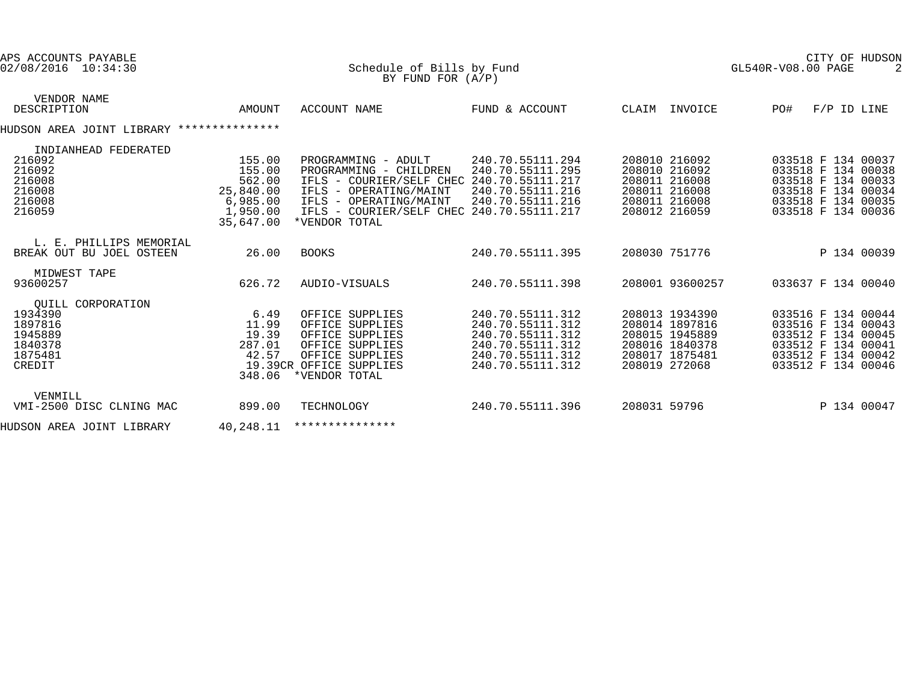| APS ACCOUNTS PAYABLE<br>02/08/2016 10:34:30                                        |                                                                              | Schedule of Bills by Fund<br>BY FUND FOR $(A/P)$                                                                                                                                                             |                                                                                                                      |                                                                                                         | CITY OF HUDSON<br>GL540R-V08.00 PAGE                                                                                             |
|------------------------------------------------------------------------------------|------------------------------------------------------------------------------|--------------------------------------------------------------------------------------------------------------------------------------------------------------------------------------------------------------|----------------------------------------------------------------------------------------------------------------------|---------------------------------------------------------------------------------------------------------|----------------------------------------------------------------------------------------------------------------------------------|
| VENDOR NAME<br>DESCRIPTION                                                         | AMOUNT                                                                       | ACCOUNT NAME                                                                                                                                                                                                 | FUND & ACCOUNT                                                                                                       | CLAIM INVOICE                                                                                           | PO#<br>$F/P$ ID LINE                                                                                                             |
| HUDSON AREA JOINT LIBRARY ***************                                          |                                                                              |                                                                                                                                                                                                              |                                                                                                                      |                                                                                                         |                                                                                                                                  |
| INDIANHEAD FEDERATED<br>216092<br>216092<br>216008<br>216008<br>216008<br>216059   | 155.00<br>155.00<br>562.00<br>25,840.00<br>6,985.00<br>1,950.00<br>35,647.00 | PROGRAMMING - ADULT<br>PROGRAMMING - CHILDREN<br>IFLS - COURIER/SELF CHEC 240.70.55111.217<br>IFLS - OPERATING/MAINT<br>IFLS - OPERATING/MAINT<br>IFLS - COURIER/SELF CHEC 240.70.55111.217<br>*VENDOR TOTAL | 240.70.55111.294<br>240.70.55111.295<br>240.70.55111.216<br>240.70.55111.216                                         | 208010 216092<br>208010 216092<br>208011 216008<br>208011 216008<br>208011 216008<br>208012 216059      | 033518 F 134 00037<br>033518 F 134 00038<br>033518 F 134 00033<br>033518 F 134 00034<br>033518 F 134 00035<br>033518 F 134 00036 |
| L. E. PHILLIPS MEMORIAL<br>BREAK OUT BU JOEL OSTEEN                                | 26.00                                                                        | <b>BOOKS</b>                                                                                                                                                                                                 | 240.70.55111.395                                                                                                     | 208030 751776                                                                                           | P 134 00039                                                                                                                      |
| MIDWEST TAPE<br>93600257                                                           | 626.72                                                                       | AUDIO-VISUALS                                                                                                                                                                                                | 240.70.55111.398                                                                                                     | 208001 93600257                                                                                         | 033637 F 134 00040                                                                                                               |
| OUILL CORPORATION<br>1934390<br>1897816<br>1945889<br>1840378<br>1875481<br>CREDIT | 6.49<br>11.99<br>19.39<br>287.01<br>42.57<br>348.06                          | OFFICE SUPPLIES<br>OFFICE SUPPLIES<br>OFFICE SUPPLIES<br>OFFICE SUPPLIES<br>OFFICE SUPPLIES<br>19.39CR OFFICE SUPPLIES<br>*VENDOR TOTAL                                                                      | 240.70.55111.312<br>240.70.55111.312<br>240.70.55111.312<br>240.70.55111.312<br>240.70.55111.312<br>240.70.55111.312 | 208013 1934390<br>208014 1897816<br>208015 1945889<br>208016 1840378<br>208017 1875481<br>208019 272068 | 033516 F 134 00044<br>033516 F 134 00043<br>033512 F 134 00045<br>033512 F 134 00041<br>033512 F 134 00042<br>033512 F 134 00046 |
| VENMILL<br>VMI-2500 DISC CLNING MAC                                                | 899.00                                                                       | TECHNOLOGY                                                                                                                                                                                                   | 240.70.55111.396                                                                                                     | 208031 59796                                                                                            | P 134 00047                                                                                                                      |
| HUDSON AREA JOINT LIBRARY                                                          | 40,248.11                                                                    | ***************                                                                                                                                                                                              |                                                                                                                      |                                                                                                         |                                                                                                                                  |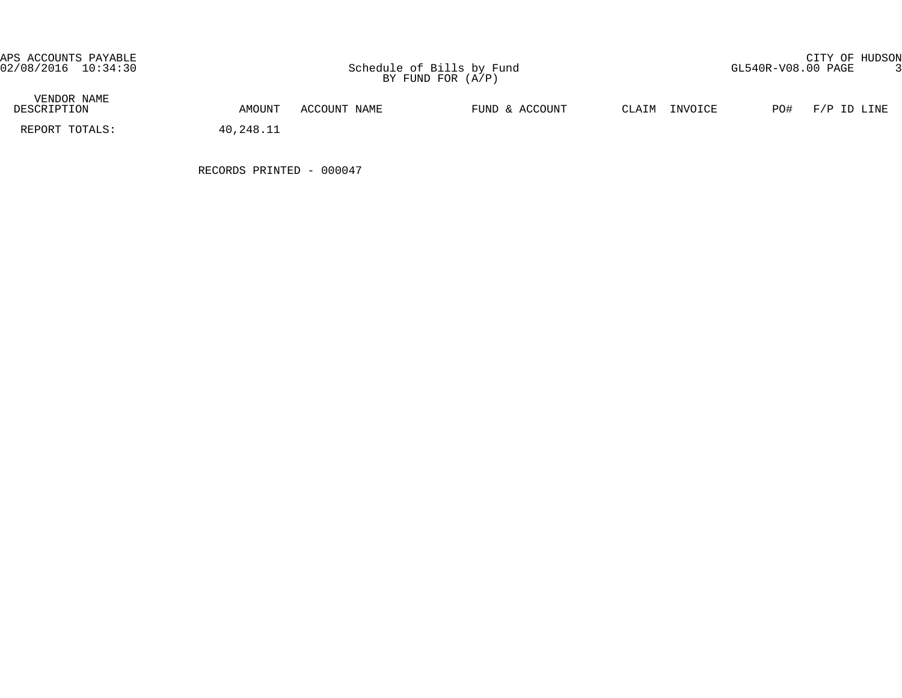APS ACCOUNTS PAYABLE CITY OF HUDSON

| VENDOR NAME<br>DESCRIPTION | AMOUNT    | ACCOUNT NAME | FUND & ACCOUNT | INVOICE<br>CLAIM | PO#<br>F/P ID LINE |
|----------------------------|-----------|--------------|----------------|------------------|--------------------|
| REPORT TOTALS:             | 40,248.11 |              |                |                  |                    |

RECORDS PRINTED - 000047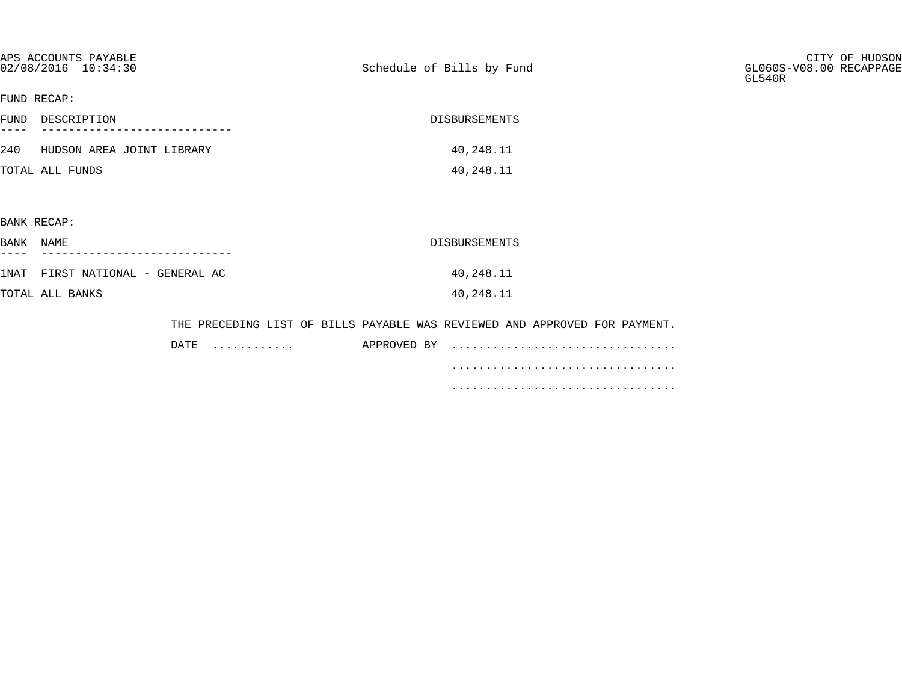| APS ACCOUNTS PAYABLE<br>02/08/2016 10:34:30 |           | Schedule of Bills by Fund                                                  | CITY OF HUDSON<br>GL060S-V08.00 RECAPPAGE<br>GL540R |
|---------------------------------------------|-----------|----------------------------------------------------------------------------|-----------------------------------------------------|
| FUND RECAP:                                 |           |                                                                            |                                                     |
| FUND DESCRIPTION                            |           | DISBURSEMENTS                                                              |                                                     |
| 240 HUDSON AREA JOINT LIBRARY               |           | 40,248.11                                                                  |                                                     |
| TOTAL ALL FUNDS                             |           | 40,248.11                                                                  |                                                     |
|                                             |           |                                                                            |                                                     |
| BANK RECAP:                                 |           |                                                                            |                                                     |
| BANK NAME                                   |           | DISBURSEMENTS                                                              |                                                     |
| 1NAT FIRST NATIONAL - GENERAL AC            |           | 40,248.11                                                                  |                                                     |
| TOTAL ALL BANKS                             |           | 40,248.11                                                                  |                                                     |
|                                             |           | THE PRECEDING LIST OF BILLS PAYABLE WAS REVIEWED AND APPROVED FOR PAYMENT. |                                                     |
|                                             | DATE<br>. | APPROVED BY                                                                |                                                     |

 ................................. .................................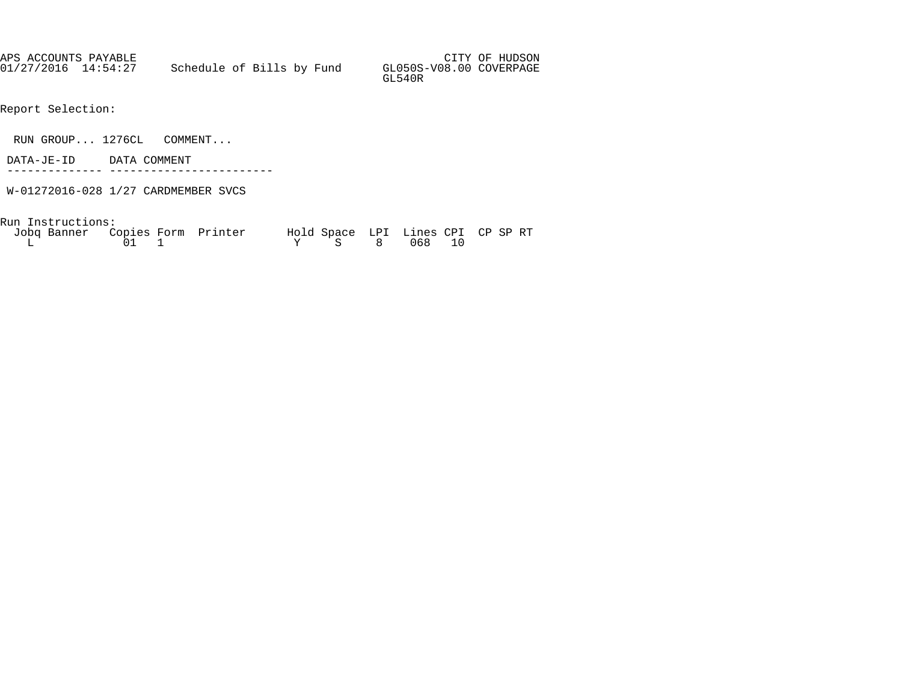| APS ACCOUNTS PAYABLE |                           |  |                                   | CITY OF HUDSON |
|----------------------|---------------------------|--|-----------------------------------|----------------|
| 01/27/2016 14:54:27  | Schedule of Bills by Fund |  | GL050S-V08.00 COVERPAGE<br>GL540R |                |

- Report Selection:
- RUN GROUP... 1276CL COMMENT...
- DATA-JE-ID DATA COMMENT
- -------------- ------------------------
- W-01272016-028 1/27 CARDMEMBER SVCS

Run Instructions:

| Jobq Banner Copies Form Printer |              | Hold Space LPI Lines CPI CP SP RT |  |  |
|---------------------------------|--------------|-----------------------------------|--|--|
|                                 | $01 \quad 1$ | Y S 8 068 10                      |  |  |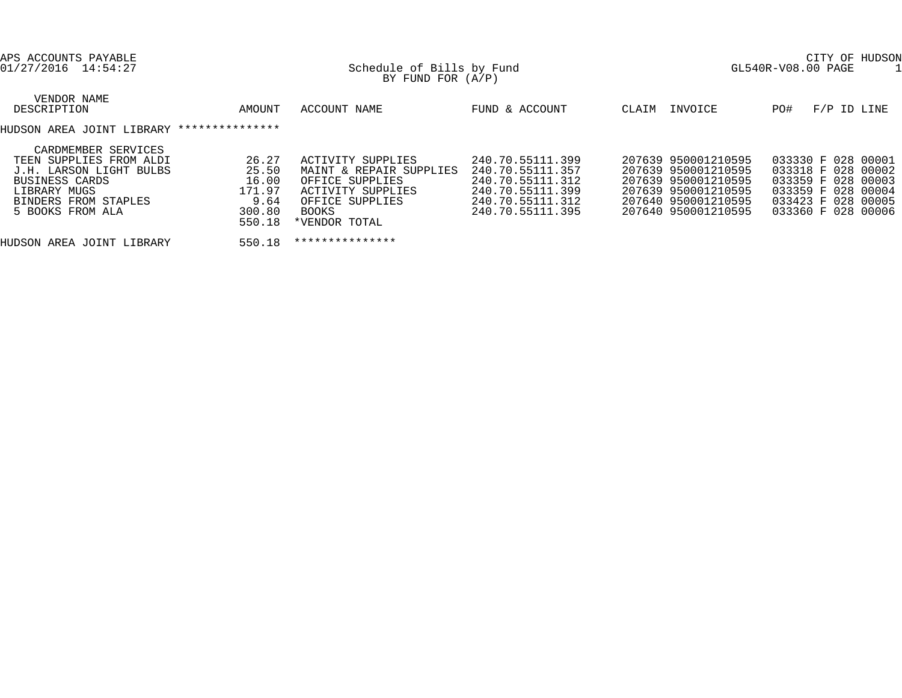| APS ACCOUNTS PAYABLE<br>01/27/2016 14:54:27                                                                                                                                                                              | Schedule of Bills by Fund<br>BY FUND FOR $(A/P)$                                                                                  |                                                                                                                      | CITY OF HUDSON<br>GL540R-V08.00 PAGE                                                                                                   |                                                                                                                                  |  |  |
|--------------------------------------------------------------------------------------------------------------------------------------------------------------------------------------------------------------------------|-----------------------------------------------------------------------------------------------------------------------------------|----------------------------------------------------------------------------------------------------------------------|----------------------------------------------------------------------------------------------------------------------------------------|----------------------------------------------------------------------------------------------------------------------------------|--|--|
| VENDOR NAME<br>DESCRIPTION<br>AMOUNT                                                                                                                                                                                     | ACCOUNT NAME                                                                                                                      | FUND & ACCOUNT                                                                                                       | INVOICE<br>CLAIM                                                                                                                       | F/P ID LINE<br>PO#                                                                                                               |  |  |
| ***************<br>HUDSON AREA JOINT LIBRARY                                                                                                                                                                             |                                                                                                                                   |                                                                                                                      |                                                                                                                                        |                                                                                                                                  |  |  |
| CARDMEMBER SERVICES<br>26.27<br>TEEN SUPPLIES FROM ALDI<br>25.50<br>J.H. LARSON LIGHT BULBS<br>16.00<br>BUSINESS CARDS<br>171.97<br>LIBRARY MUGS<br>9.64<br>BINDERS FROM STAPLES<br>300.80<br>5 BOOKS FROM ALA<br>550.18 | ACTIVITY SUPPLIES<br>MAINT & REPAIR SUPPLIES<br>OFFICE SUPPLIES<br>ACTIVITY SUPPLIES<br>OFFICE SUPPLIES<br>BOOKS<br>*VENDOR TOTAL | 240.70.55111.399<br>240.70.55111.357<br>240.70.55111.312<br>240.70.55111.399<br>240.70.55111.312<br>240.70.55111.395 | 207639 950001210595<br>207639 950001210595<br>207639 950001210595<br>207639 950001210595<br>207640 950001210595<br>207640 950001210595 | 033330 F 028 00001<br>033318 F 028 00002<br>033359 F 028 00003<br>033359 F 028 00004<br>033423 F 028 00005<br>033360 F 028 00006 |  |  |
| 550.18<br>HUDSON AREA JOINT LIBRARY                                                                                                                                                                                      | ***************                                                                                                                   |                                                                                                                      |                                                                                                                                        |                                                                                                                                  |  |  |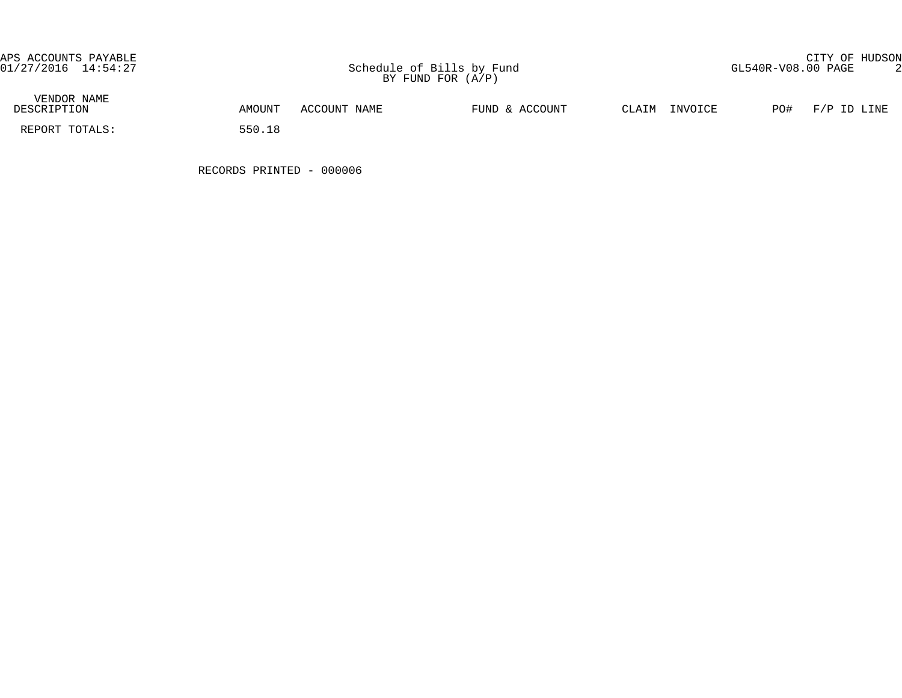APS ACCOUNTS PAYABLE CITY OF HUDSON

| VENDOR NAME<br>DESCRIPTION | AMOUNT | ACCOUNT NAME | FUND & ACCOUNT | CLAIM | INVOICE | PO# | F/P ID LINE |
|----------------------------|--------|--------------|----------------|-------|---------|-----|-------------|
| REPORT TOTALS:             | 550.18 |              |                |       |         |     |             |

RECORDS PRINTED - 000006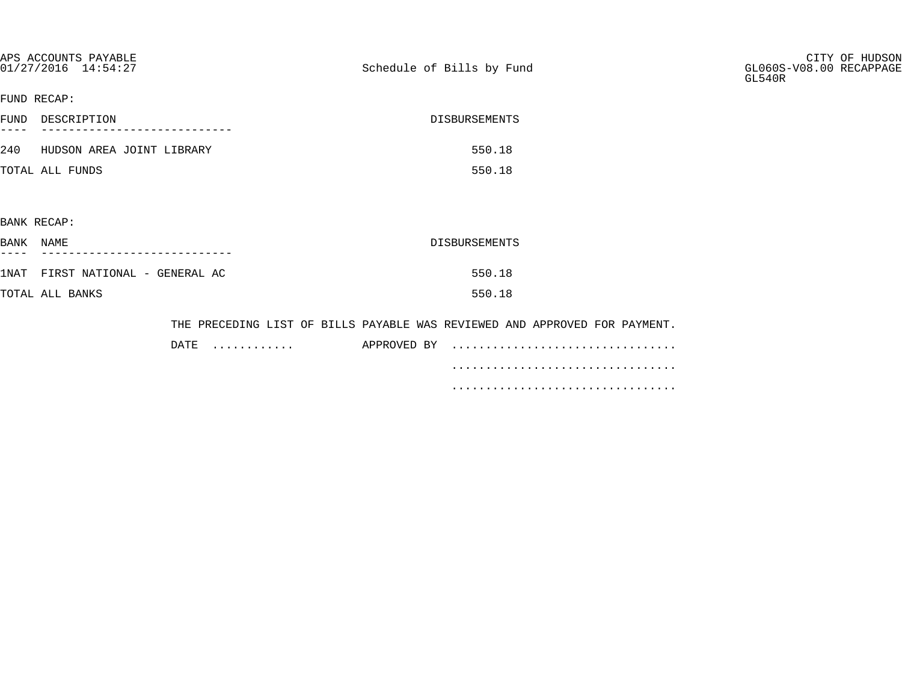| APS ACCOUNTS PAYABLE<br>01/27/2016 14:54:27 |                 | Schedule of Bills by Fund |                                                                            | CITY OF HUDSON<br>GL060S-V08.00 RECAPPAGE<br>GL540R |
|---------------------------------------------|-----------------|---------------------------|----------------------------------------------------------------------------|-----------------------------------------------------|
| FUND RECAP:                                 |                 |                           |                                                                            |                                                     |
| FUND DESCRIPTION                            |                 |                           | DISBURSEMENTS                                                              |                                                     |
| 240 HUDSON AREA JOINT LIBRARY               |                 |                           | 550.18                                                                     |                                                     |
| TOTAL ALL FUNDS                             |                 |                           | 550.18                                                                     |                                                     |
|                                             |                 |                           |                                                                            |                                                     |
| BANK RECAP:                                 |                 |                           |                                                                            |                                                     |
| BANK NAME                                   |                 |                           | DISBURSEMENTS                                                              |                                                     |
| 1NAT FIRST NATIONAL - GENERAL AC            |                 |                           | 550.18                                                                     |                                                     |
| TOTAL ALL BANKS                             |                 |                           | 550.18                                                                     |                                                     |
|                                             |                 |                           | THE PRECEDING LIST OF BILLS PAYABLE WAS REVIEWED AND APPROVED FOR PAYMENT. |                                                     |
|                                             | $\texttt{DATE}$ |                           | APPROVED BY                                                                |                                                     |

.................................

.................................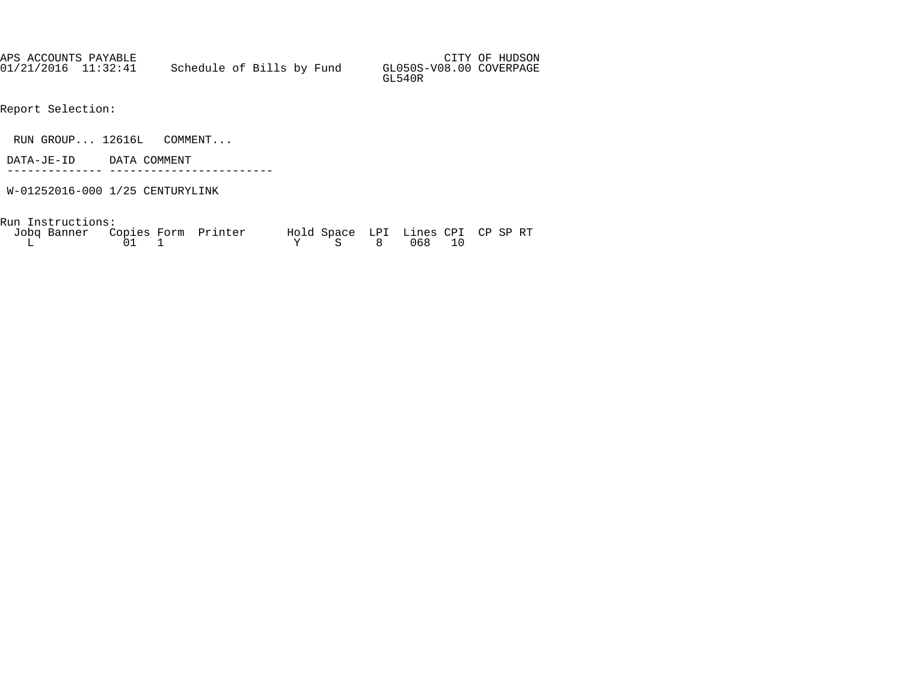| APS ACCOUNTS PAYABLE |                           |  |                                   | CITY OF HUDSON |
|----------------------|---------------------------|--|-----------------------------------|----------------|
| 01/21/2016 11:32:41  | Schedule of Bills by Fund |  | GL050S-V08.00 COVERPAGE<br>GL540R |                |

- Report Selection:
- RUN GROUP... 12616L COMMENT...
- DATA-JE-ID DATA COMMENT
- -------------- ------------------------
- W-01252016-000 1/25 CENTURYLINK

Run Instructions:

| Jobq Banner Copies Form Printer |              | Hold Space LPI Lines CPI CP SP RT |  |  |
|---------------------------------|--------------|-----------------------------------|--|--|
|                                 | $01 \quad 1$ | Y S 8 068 10                      |  |  |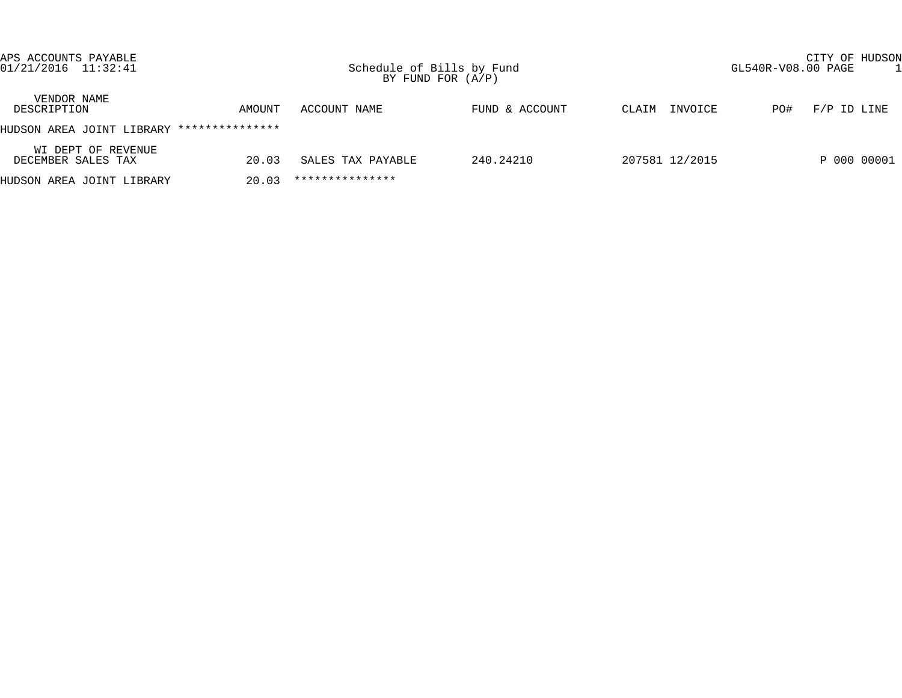| APS ACCOUNTS PAYABLE<br>$01/21/2016$ $11:32:41$ |                 |                   | CITY OF HUDSON<br>Schedule of Bills by Fund<br>GL540R-V08.00 PAGE<br>BY FUND FOR $(A/P)$ |                  |                      |  |  |  |
|-------------------------------------------------|-----------------|-------------------|------------------------------------------------------------------------------------------|------------------|----------------------|--|--|--|
| VENDOR NAME<br>DESCRIPTION                      | AMOUNT          | ACCOUNT NAME      | FUND & ACCOUNT                                                                           | INVOICE<br>CLAIM | $F/P$ ID LINE<br>PO# |  |  |  |
| HUDSON AREA JOINT LIBRARY                       | *************** |                   |                                                                                          |                  |                      |  |  |  |
| WI DEPT OF REVENUE<br>DECEMBER SALES TAX        | 20.03           | SALES TAX PAYABLE | 240.24210                                                                                | 207581 12/2015   | P 000 00001          |  |  |  |
| HUDSON AREA JOINT LIBRARY                       | 20.03           | ***************   |                                                                                          |                  |                      |  |  |  |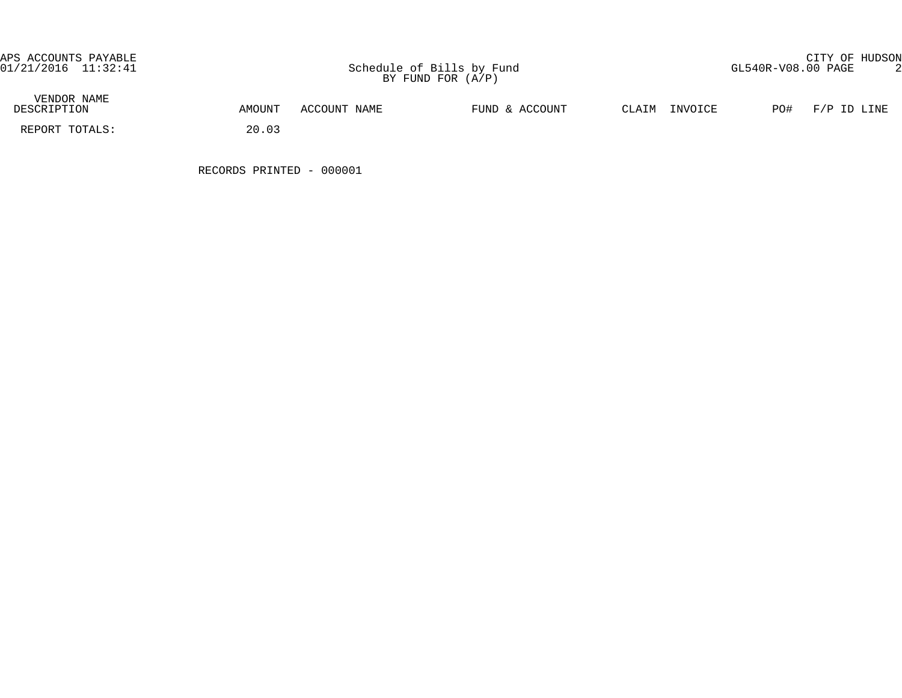APS ACCOUNTS PAYABLE CITY OF HUDSON

| VENDOR NAME<br>DESCRIPTION | AMOUNT | ACCOUNT NAME | FUND & ACCOUNT | CLAIM<br>INVOICE | PO#<br>F/P ID LINE |
|----------------------------|--------|--------------|----------------|------------------|--------------------|
| REPORT TOTALS:             | 20.03  |              |                |                  |                    |

RECORDS PRINTED - 000001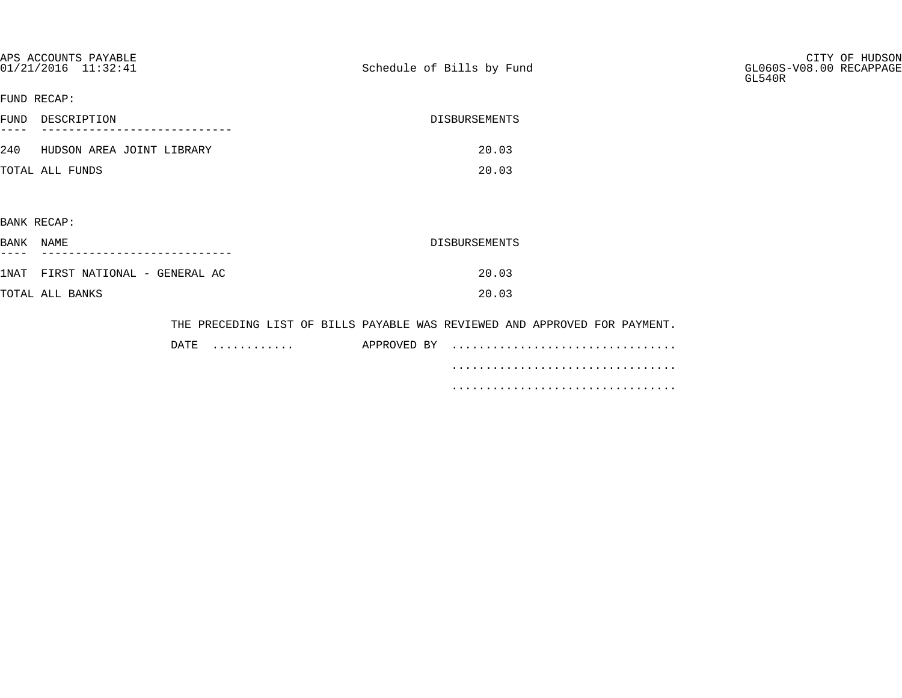| APS ACCOUNTS PAYABLE<br>01/21/2016 11:32:41 |           | Schedule of Bills by Fund                                                  | CITY OF HUDSON<br>GL060S-V08.00 RECAPPAGE<br>GL540R |
|---------------------------------------------|-----------|----------------------------------------------------------------------------|-----------------------------------------------------|
| FUND RECAP:                                 |           |                                                                            |                                                     |
| FUND DESCRIPTION                            |           | DISBURSEMENTS                                                              |                                                     |
| 240 HUDSON AREA JOINT LIBRARY               |           | 20.03                                                                      |                                                     |
| TOTAL ALL FUNDS                             |           | 20.03                                                                      |                                                     |
|                                             |           |                                                                            |                                                     |
| BANK RECAP:                                 |           |                                                                            |                                                     |
| BANK NAME                                   |           | DISBURSEMENTS                                                              |                                                     |
| 1NAT FIRST NATIONAL - GENERAL AC            |           | 20.03                                                                      |                                                     |
| TOTAL ALL BANKS                             |           | 20.03                                                                      |                                                     |
|                                             |           |                                                                            |                                                     |
|                                             |           | THE PRECEDING LIST OF BILLS PAYABLE WAS REVIEWED AND APPROVED FOR PAYMENT. |                                                     |
|                                             | DATE<br>. | APPROVED BY                                                                |                                                     |

.................................

.................................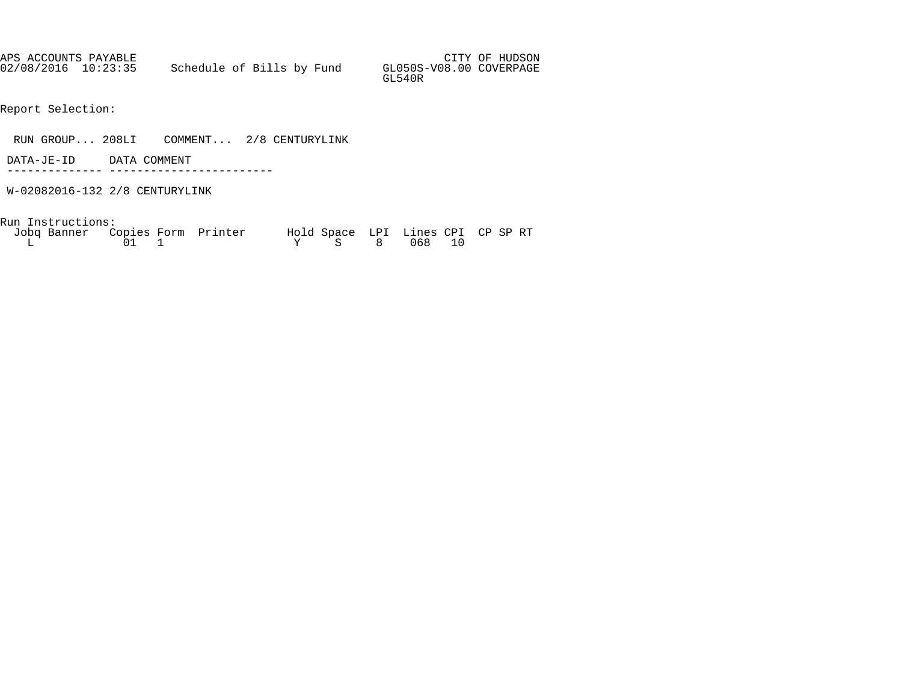| APS ACCOUNTS PAYABLE |                           |  |  |                                   | CITY OF HUDSON |
|----------------------|---------------------------|--|--|-----------------------------------|----------------|
| 02/08/2016 10:23:35  | Schedule of Bills by Fund |  |  | GL050S-V08.00 COVERPAGE<br>GL540R |                |

- Report Selection:
- RUN GROUP... 208LI COMMENT... 2/8 CENTURYLINK
- DATA-JE-ID DATA COMMENT
- -------------- ------------------------ W-02082016-132 2/8 CENTURYLINK
- Run Instructions:

| Jobq Banner Copies Form Printer |              | Hold Space LPI Lines CPI CP SP RT |  |  |
|---------------------------------|--------------|-----------------------------------|--|--|
|                                 | $01 \quad 1$ | Y S 8 068 10                      |  |  |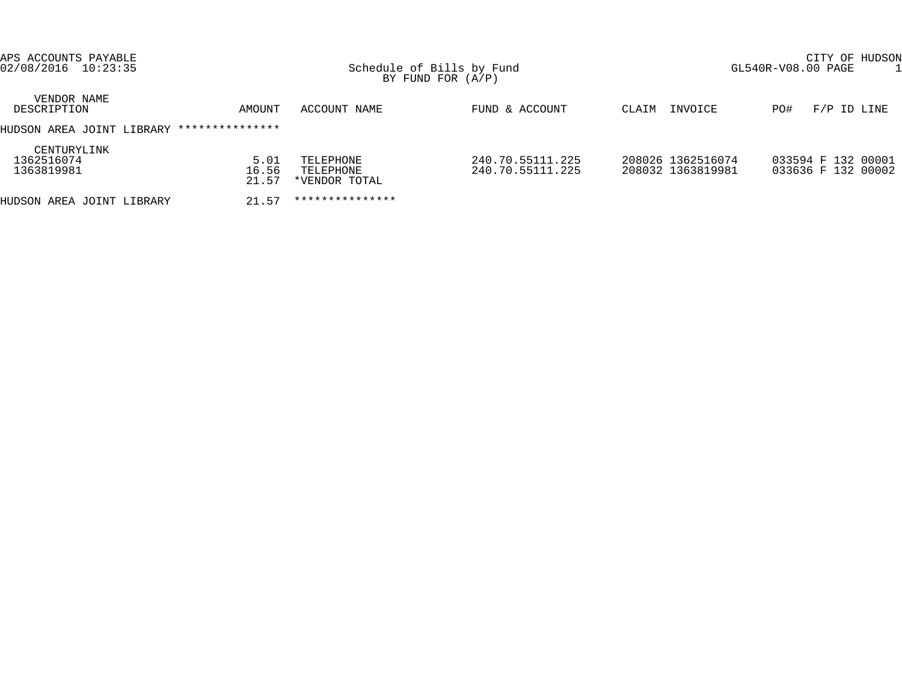| APS ACCOUNTS PAYABLE<br>02/08/2016 10:23:35 |                        |                                         | Schedule of Bills by Fund<br>BY FUND FOR $(A/P)$ |                                        | CITY OF HUDSON<br>GL540R-V08.00 PAGE     |  |  |  |
|---------------------------------------------|------------------------|-----------------------------------------|--------------------------------------------------|----------------------------------------|------------------------------------------|--|--|--|
| VENDOR NAME<br>DESCRIPTION                  | AMOUNT                 | ACCOUNT NAME                            | FUND & ACCOUNT                                   | INVOICE<br>CLAIM                       | $F/P$ ID LINE<br>PO#                     |  |  |  |
| HUDSON AREA JOINT LIBRARY                   | ***************        |                                         |                                                  |                                        |                                          |  |  |  |
| CENTURYLINK<br>1362516074<br>1363819981     | 5.01<br>16.56<br>21.57 | TELEPHONE<br>TELEPHONE<br>*VENDOR TOTAL | 240.70.55111.225<br>240.70.55111.225             | 208026 1362516074<br>208032 1363819981 | 033594 F 132 00001<br>033636 F 132 00002 |  |  |  |
| HUDSON AREA JOINT LIBRARY                   | 21.57                  | ***************                         |                                                  |                                        |                                          |  |  |  |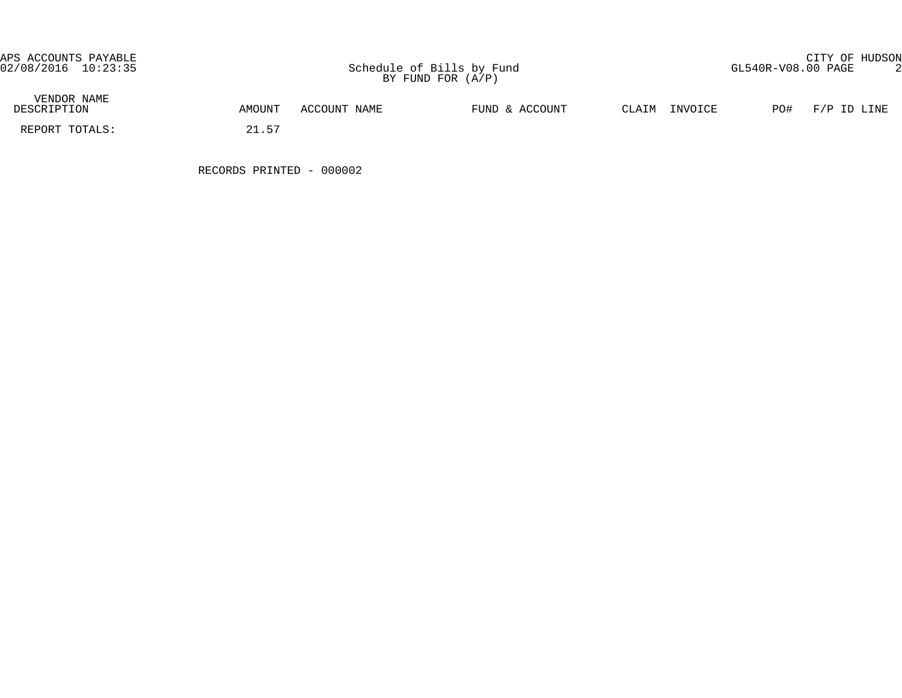APS ACCOUNTS PAYABLE CITY OF HUDSON

| VENDOR NAME<br>DESCRIPTION | AMOUNT     | ACCOUNT NAME | FUND & ACCOUNT | INVOICE<br>CLAIM | PO# | F/P ID LINE |
|----------------------------|------------|--------------|----------------|------------------|-----|-------------|
| REPORT TOTALS:             | 57<br>21.J |              |                |                  |     |             |

RECORDS PRINTED - 000002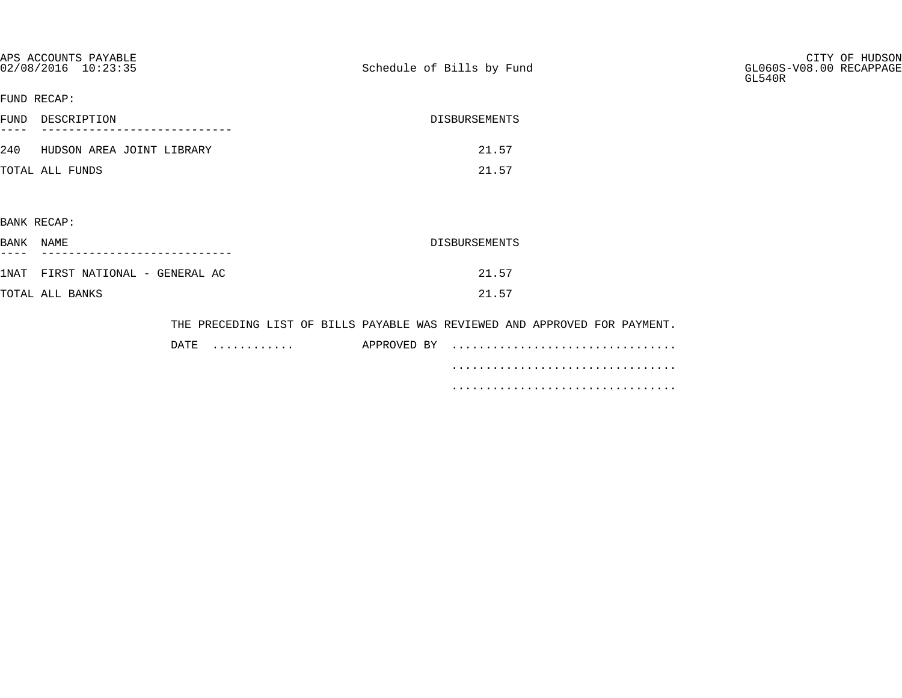| APS ACCOUNTS PAYABLE<br>02/08/2016 10:23:35 |           | Schedule of Bills by Fund                                                                 | CITY OF HUDSON<br>GL060S-V08.00 RECAPPAGE<br>GL540R |
|---------------------------------------------|-----------|-------------------------------------------------------------------------------------------|-----------------------------------------------------|
| FUND RECAP:                                 |           |                                                                                           |                                                     |
| FUND DESCRIPTION                            |           | DISBURSEMENTS                                                                             |                                                     |
| 240 HUDSON AREA JOINT LIBRARY               |           | 21.57                                                                                     |                                                     |
| TOTAL ALL FUNDS                             |           | 21.57                                                                                     |                                                     |
|                                             |           |                                                                                           |                                                     |
| BANK RECAP:                                 |           |                                                                                           |                                                     |
| BANK NAME                                   |           | DISBURSEMENTS                                                                             |                                                     |
| 1NAT FIRST NATIONAL - GENERAL AC            |           | 21.57                                                                                     |                                                     |
| TOTAL ALL BANKS                             |           | 21.57                                                                                     |                                                     |
|                                             | DATE<br>. | THE PRECEDING LIST OF BILLS PAYABLE WAS REVIEWED AND APPROVED FOR PAYMENT.<br>APPROVED BY |                                                     |
|                                             |           |                                                                                           |                                                     |

.................................

.................................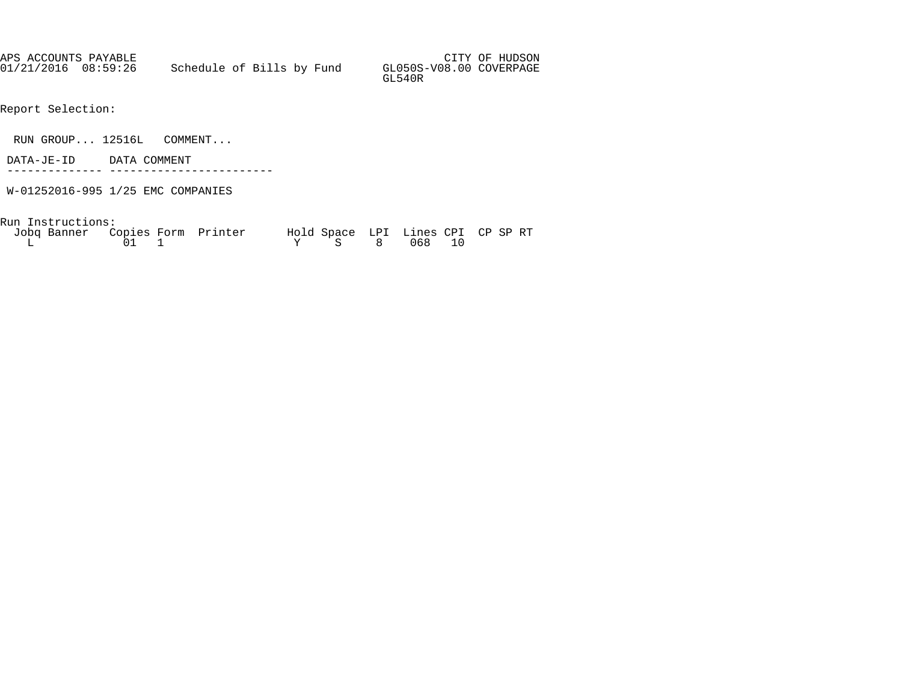| APS ACCOUNTS PAYABLE |                           |  |                                   | CITY OF HUDSON |
|----------------------|---------------------------|--|-----------------------------------|----------------|
| 01/21/2016 08:59:26  | Schedule of Bills by Fund |  | GL050S-V08.00 COVERPAGE<br>GL540R |                |

- Report Selection:
- RUN GROUP... 12516L COMMENT...
- DATA-JE-ID DATA COMMENT
- -------------- ------------------------
- W-01252016-995 1/25 EMC COMPANIES

Run Instructions:

| Jobq Banner Copies Form Printer |              | Hold Space LPI Lines CPI CP SP RT |  |  |
|---------------------------------|--------------|-----------------------------------|--|--|
|                                 | $01 \quad 1$ | Y S 8 068 10                      |  |  |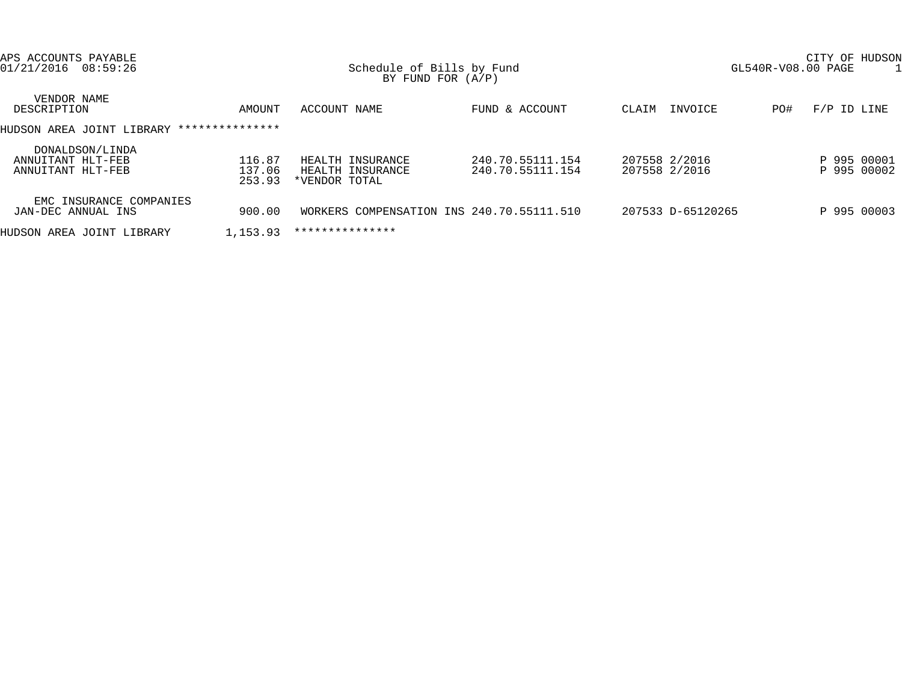| APS ACCOUNTS PAYABLE<br>01/21/2016<br>08:59:26            |                            | Schedule of Bills by Fund<br>BY FUND FOR $(A/P)$      |                                      |                                | CITY OF HUDSON<br>GL540R-V08.00 PAGE |
|-----------------------------------------------------------|----------------------------|-------------------------------------------------------|--------------------------------------|--------------------------------|--------------------------------------|
| VENDOR NAME<br>DESCRIPTION                                | AMOUNT                     | ACCOUNT NAME                                          | FUND & ACCOUNT                       | INVOICE<br>CLAIM               | PO#<br>$F/P$ ID LINE                 |
| HUDSON AREA JOINT LIBRARY                                 | ***************            |                                                       |                                      |                                |                                      |
| DONALDSON/LINDA<br>ANNUITANT HLT-FEB<br>ANNUITANT HLT-FEB | 116.87<br>137.06<br>253.93 | HEALTH INSURANCE<br>HEALTH INSURANCE<br>*VENDOR TOTAL | 240.70.55111.154<br>240.70.55111.154 | 207558 2/2016<br>207558 2/2016 | P 995 00001<br>P 995 00002           |
| EMC INSURANCE COMPANIES<br>JAN-DEC ANNUAL INS             | 900.00                     | WORKERS COMPENSATION INS 240.70.55111.510             |                                      | 207533 D-65120265              | P 995 00003                          |
| HUDSON AREA JOINT LIBRARY                                 | 1,153.93                   | ***************                                       |                                      |                                |                                      |
|                                                           |                            |                                                       |                                      |                                |                                      |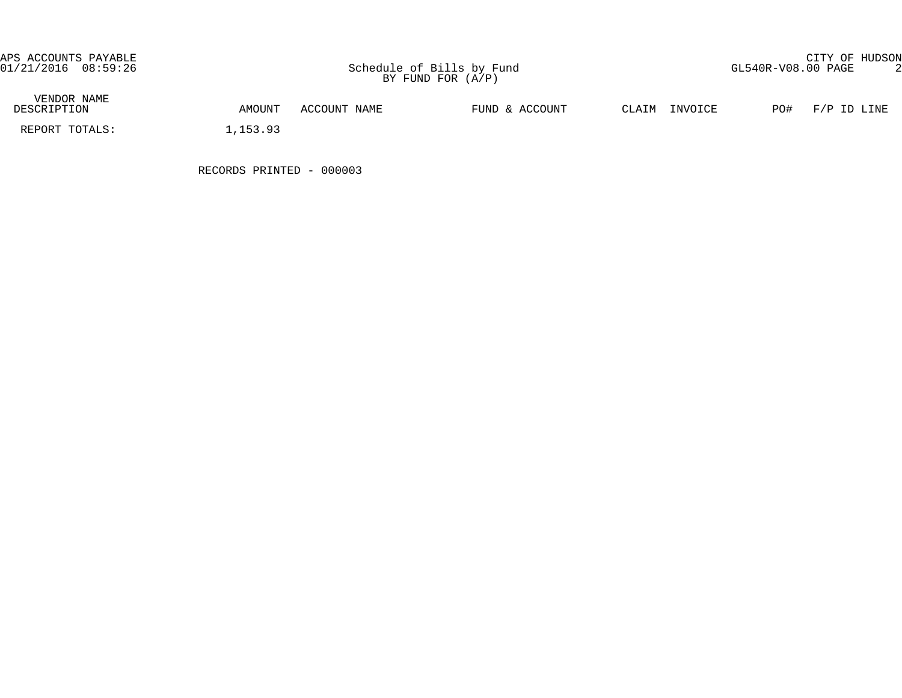APS ACCOUNTS PAYABLE CITY OF HUDSON

| VENDOR NAME<br>DESCRIPTION | AMOUNT   | ACCOUNT NAME | FUND & ACCOUNT | INVOICE<br>CLAIM | PO# | $F/P$ ID LINE |
|----------------------------|----------|--------------|----------------|------------------|-----|---------------|
| REPORT TOTALS:             | , 153.93 |              |                |                  |     |               |

RECORDS PRINTED - 000003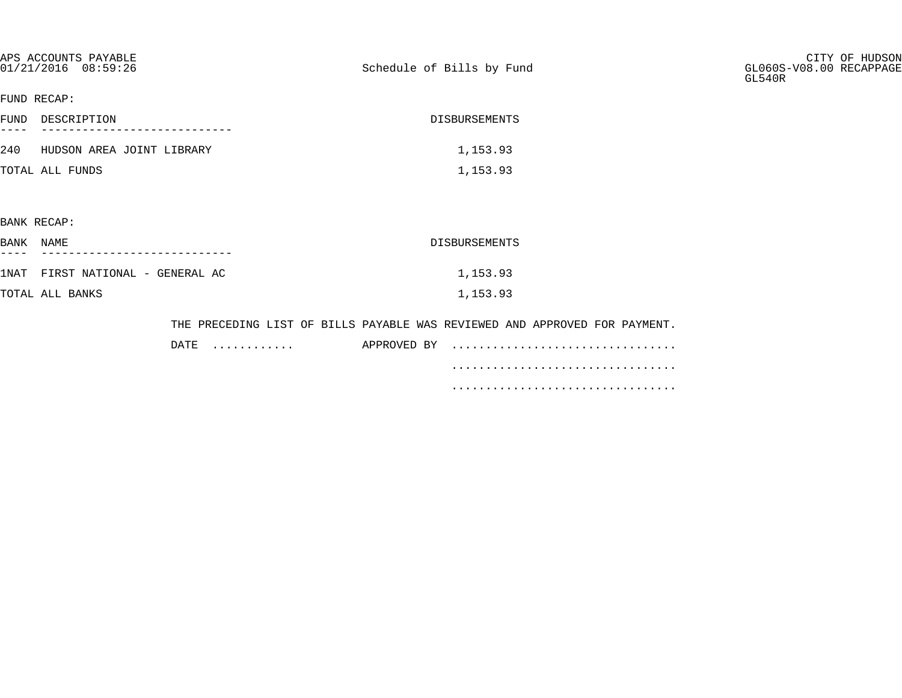|             | APS ACCOUNTS PAYABLE<br>01/21/2016 08:59:26 | Schedule of Bills by Fund                                                  | CITY OF HUDSON<br>GL060S-V08.00 RECAPPAGE<br>GL540R |
|-------------|---------------------------------------------|----------------------------------------------------------------------------|-----------------------------------------------------|
| FUND RECAP: |                                             |                                                                            |                                                     |
|             | FUND DESCRIPTION                            | DISBURSEMENTS                                                              |                                                     |
|             | 240 HUDSON AREA JOINT LIBRARY               | 1,153.93                                                                   |                                                     |
|             | TOTAL ALL FUNDS                             | 1,153.93                                                                   |                                                     |
|             |                                             |                                                                            |                                                     |
| BANK RECAP: |                                             |                                                                            |                                                     |
| BANK NAME   |                                             | DISBURSEMENTS                                                              |                                                     |
|             | 1NAT FIRST NATIONAL - GENERAL AC            | 1,153.93                                                                   |                                                     |
|             | TOTAL ALL BANKS                             | 1,153.93                                                                   |                                                     |
|             |                                             | THE PRECEDING LIST OF BILLS PAYABLE WAS REVIEWED AND APPROVED FOR PAYMENT. |                                                     |

| DATE. | . | APPROVED BY |  |
|-------|---|-------------|--|
|       |   |             |  |
|       |   |             |  |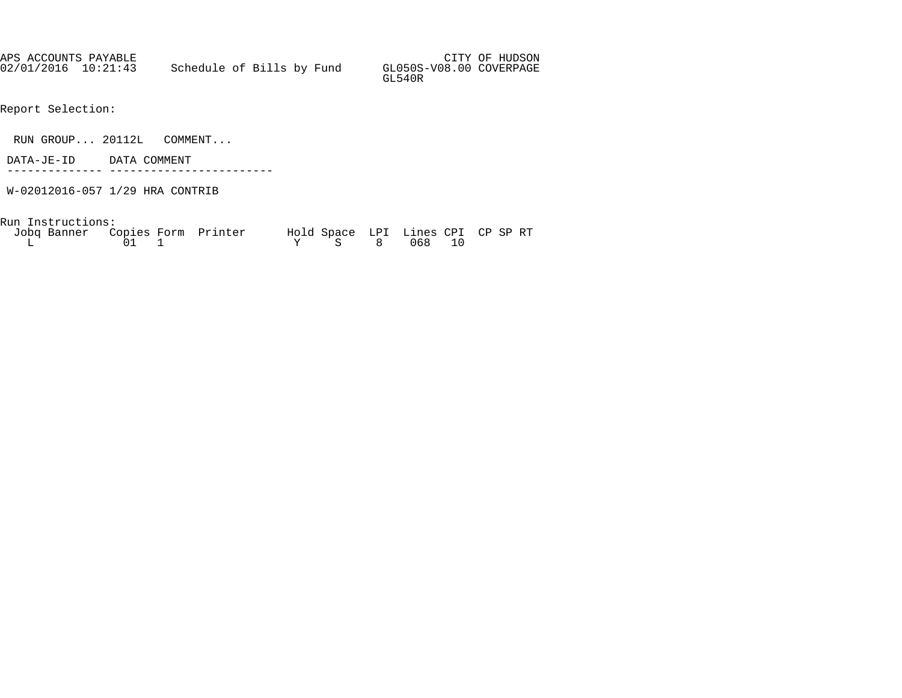| APS ACCOUNTS PAYABLE |                           |  |                                   | CITY OF HUDSON |
|----------------------|---------------------------|--|-----------------------------------|----------------|
| 02/01/2016 10:21:43  | Schedule of Bills by Fund |  | GL050S-V08.00 COVERPAGE<br>GL540R |                |

- Report Selection:
- RUN GROUP... 20112L COMMENT...
- DATA-JE-ID DATA COMMENT
- -------------- ------------------------
- W-02012016-057 1/29 HRA CONTRIB

Run Instructions:

| Jobq Banner Copies Form Printer |              | Hold Space LPI Lines CPI CP SP RT |  |  |
|---------------------------------|--------------|-----------------------------------|--|--|
|                                 | $01 \quad 1$ | Y S 8 068 10                      |  |  |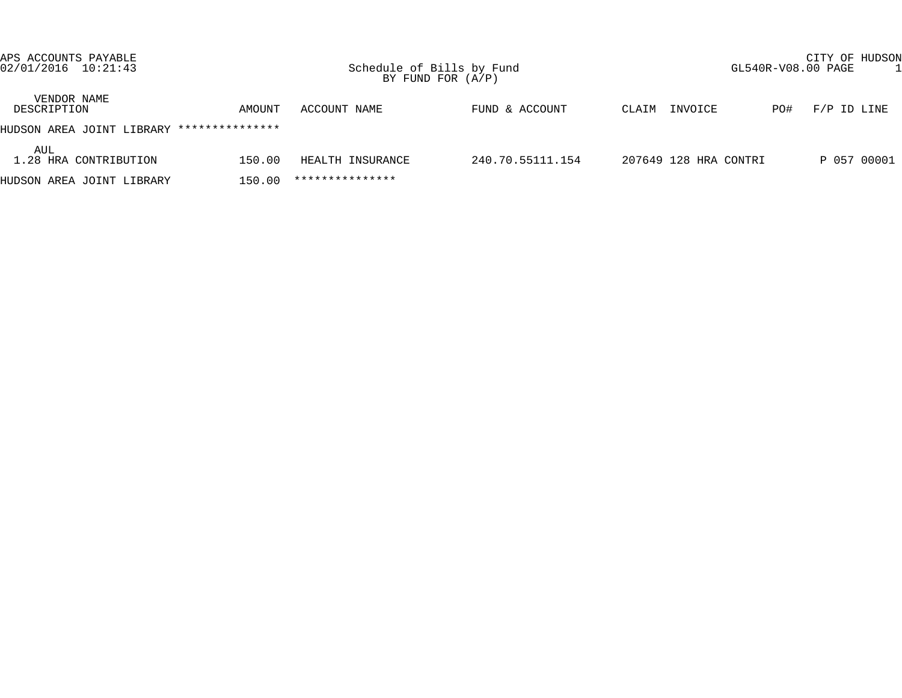| APS ACCOUNTS PAYABLE<br>02/01/2016 10:21:43 |                 | Schedule of Bills by Fund | BY FUND FOR $(A/P)$ | CITY OF HUDSON<br>GL540R-V08.00 PAGE |     |             |  |  |
|---------------------------------------------|-----------------|---------------------------|---------------------|--------------------------------------|-----|-------------|--|--|
| VENDOR NAME<br>DESCRIPTION                  | AMOUNT          | ACCOUNT NAME              | FUND & ACCOUNT      | INVOICE<br>CLAIM                     | PO# | F/P ID LINE |  |  |
| HUDSON AREA JOINT LIBRARY                   | *************** |                           |                     |                                      |     |             |  |  |
| AUL<br>1.28 HRA CONTRIBUTION                | 150.00          | HEALTH INSURANCE          | 240.70.55111.154    | 207649 128 HRA CONTRI                |     | P 057 00001 |  |  |
| HUDSON AREA JOINT LIBRARY                   | 150.00          | ***************           |                     |                                      |     |             |  |  |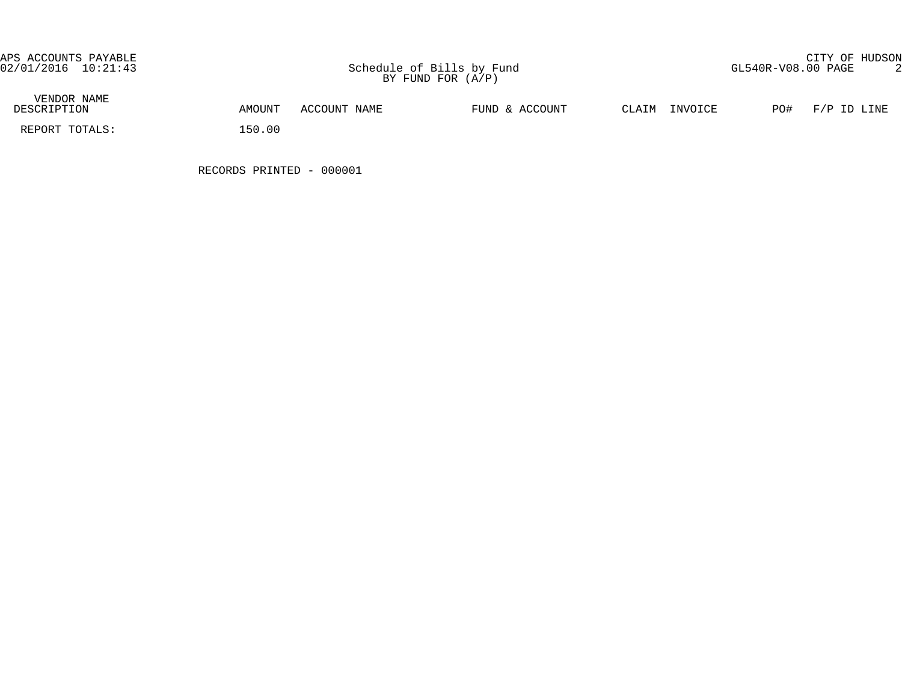APS ACCOUNTS PAYABLE CITY OF HUDSON

| VENDOR NAME<br>DESCRIPTION | AMOUNT | ACCOUNT NAME | FUND & ACCOUNT | CLAIM | INVOICE | PO# | F/P ID LINE |
|----------------------------|--------|--------------|----------------|-------|---------|-----|-------------|
| REPORT TOTALS:             | 150.00 |              |                |       |         |     |             |

RECORDS PRINTED - 000001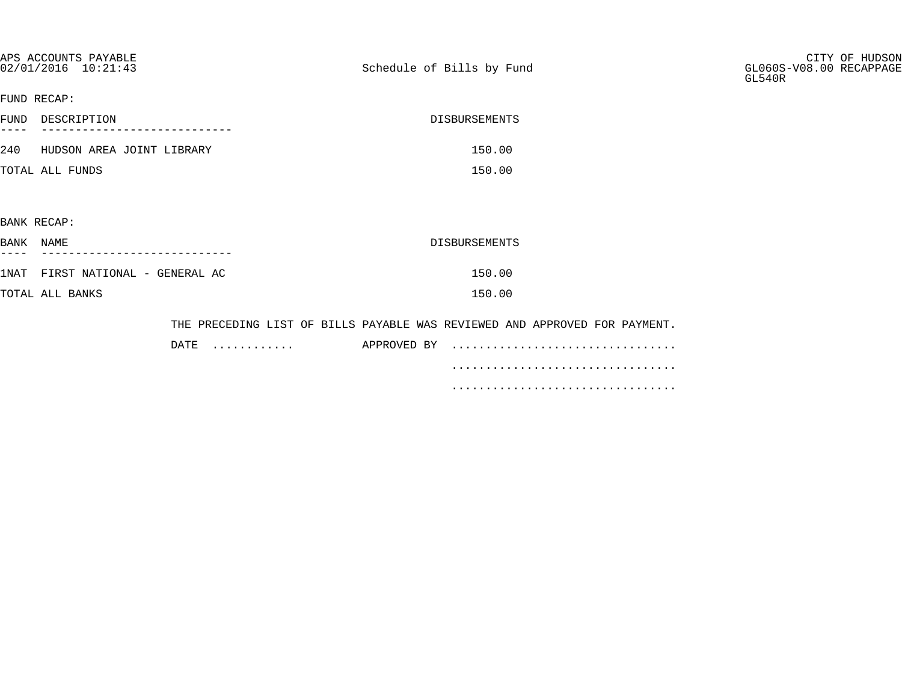| APS ACCOUNTS PAYABLE<br>02/01/2016 10:21:43 |           | Schedule of Bills by Fund |                                                                            | CITY OF HUDSON<br>GL060S-V08.00 RECAPPAGE<br>GL540R |
|---------------------------------------------|-----------|---------------------------|----------------------------------------------------------------------------|-----------------------------------------------------|
| FUND RECAP:                                 |           |                           |                                                                            |                                                     |
| FUND DESCRIPTION                            |           |                           | DISBURSEMENTS                                                              |                                                     |
| 240 HUDSON AREA JOINT LIBRARY               |           |                           | 150.00                                                                     |                                                     |
| TOTAL ALL FUNDS                             |           |                           | 150.00                                                                     |                                                     |
|                                             |           |                           |                                                                            |                                                     |
| BANK RECAP:                                 |           |                           |                                                                            |                                                     |
| BANK NAME                                   |           |                           | DISBURSEMENTS                                                              |                                                     |
| 1NAT FIRST NATIONAL - GENERAL AC            |           |                           | 150.00                                                                     |                                                     |
| TOTAL ALL BANKS                             |           |                           | 150.00                                                                     |                                                     |
|                                             |           |                           | THE PRECEDING LIST OF BILLS PAYABLE WAS REVIEWED AND APPROVED FOR PAYMENT. |                                                     |
|                                             | DATE<br>. | APPROVED BY               |                                                                            |                                                     |

.................................

.................................